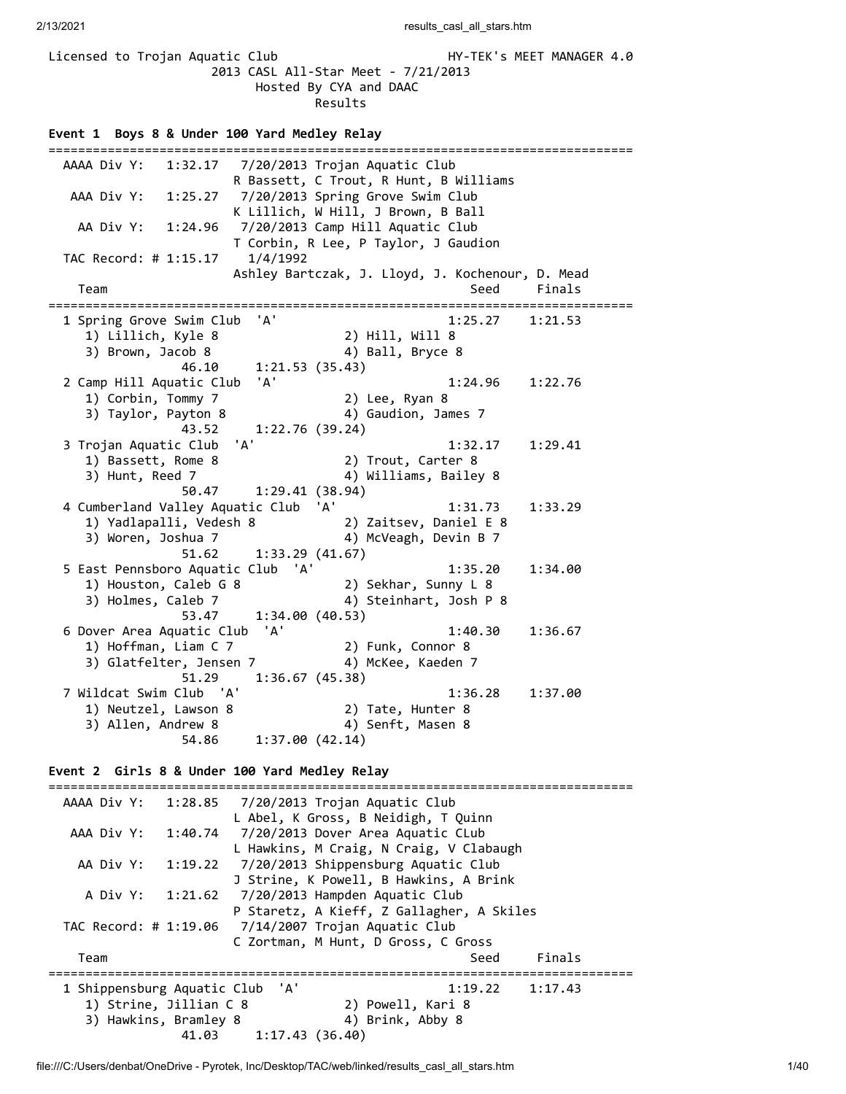Licensed to Trojan Aquatic Club HY-TEK's MEET MANAGER 4.0 2013 CASL All-Star Meet - 7/21/2013 Hosted By CYA and DAAC Results

**Event 1 Boys 8 & Under 100 Yard Medley Relay** =============================================================================== AAAA Div Y: 1:32.17 7/20/2013 Trojan Aquatic Club R Bassett, C Trout, R Hunt, B Williams AAA Div Y: 1:25.27 7/20/2013 Spring Grove Swim Club K Lillich, W Hill, J Brown, B Ball AA Div Y: 1:24.96 7/20/2013 Camp Hill Aquatic Club T Corbin, R Lee, P Taylor, J Gaudion TAC Record: # 1:15.17 1/4/1992 Ashley Bartczak, J. Lloyd, J. Kochenour, D. Mead Team Seed Finals =============================================================================== 1 Spring Grove Swim Club 'A' 1:25.27 1:21.53 1) Lillich, Kyle 8 2) Hill, Will 8 3) Brown, Jacob 8 4) Ball, Bryce 8 46.10 1:21.53 (35.43) 2 Camp Hill Aquatic Club 'A' 1:24.96 1:22.76 1) Corbin, Tommy 7 (2) Lee, Ryan 8<br>3) Taylor, Payton 8 (4) Gaudion, James 7 3) Taylor, Payton 8 4) Gaudion, James 7 43.52 1:22.76 (39.24) 3 Trojan Aquatic Club 'A' 1:32.17 1:29.41 10 Bassett, Rome 8 2) Trout, Carter 8<br>1) Bassett, Rome 8 2) Trout, Carter 8 3) Hunt, Reed 7 (2008) 4) Williams, Bailey 8 50.47 1:29.41 (38.94) 4 Cumberland Valley Aquatic Club 'A' 1:31.73 1:33.29 1) Yadlapalli, Vedesh 8 2) Zaitsev, Daniel E 8 3) Woren, Joshua 7 4) McVeagh, Devin B 7 51.62 1:33.29 (41.67) 5 East Pennsboro Aquatic Club 'A' 1:35.20 1:34.00 1) Houston, Caleb G 8 2) Sekhar, Sunny L 8 3) Holmes, Caleb 7 4) Steinhart, Josh P 8  $53.47$  1:34.00 (40.53) 6 Dover Area Aquatic Club 'A' 1:40.30 1:36.67 1) Hoffman, Liam C 7 2) Funk, Connor 8 3) Glatfelter, Jensen 7 4) McKee, Kaeden 7 51.29 1:36.67 (45.38) 7 Wildcat Swim Club 'A' 1:36.28 1:37.00 1) Neutzel, Lawson 8 2) Tate, Hunter 8 3) Allen, Andrew 8 4) Senft, Masen 8 54.86 1:37.00 (42.14)

**Event 2 Girls 8 & Under 100 Yard Medley Relay**

=============================================================================== AAAA Div Y: 1:28.85 7/20/2013 Trojan Aquatic Club L Abel, K Gross, B Neidigh, T Quinn AAA Div Y: 1:40.74 7/20/2013 Dover Area Aquatic CLub L Hawkins, M Craig, N Craig, V Clabaugh AA Div Y: 1:19.22 7/20/2013 Shippensburg Aquatic Club J Strine, K Powell, B Hawkins, A Brink A Div Y: 1:21.62 7/20/2013 Hampden Aquatic Club P Staretz, A Kieff, Z Gallagher, A Skiles TAC Record: # 1:19.06 7/14/2007 Trojan Aquatic Club C Zortman, M Hunt, D Gross, C Gross Team Seed Finals =============================================================================== 1 Shippensburg Aquatic Club 'A' 1:19.22 1:17.43 1) Strine, Jillian C 8 2) Powell, Kari 8 3) Hawkins, Bramley 8 4) Brink, Abby 8 41.03 1:17.43 (36.40)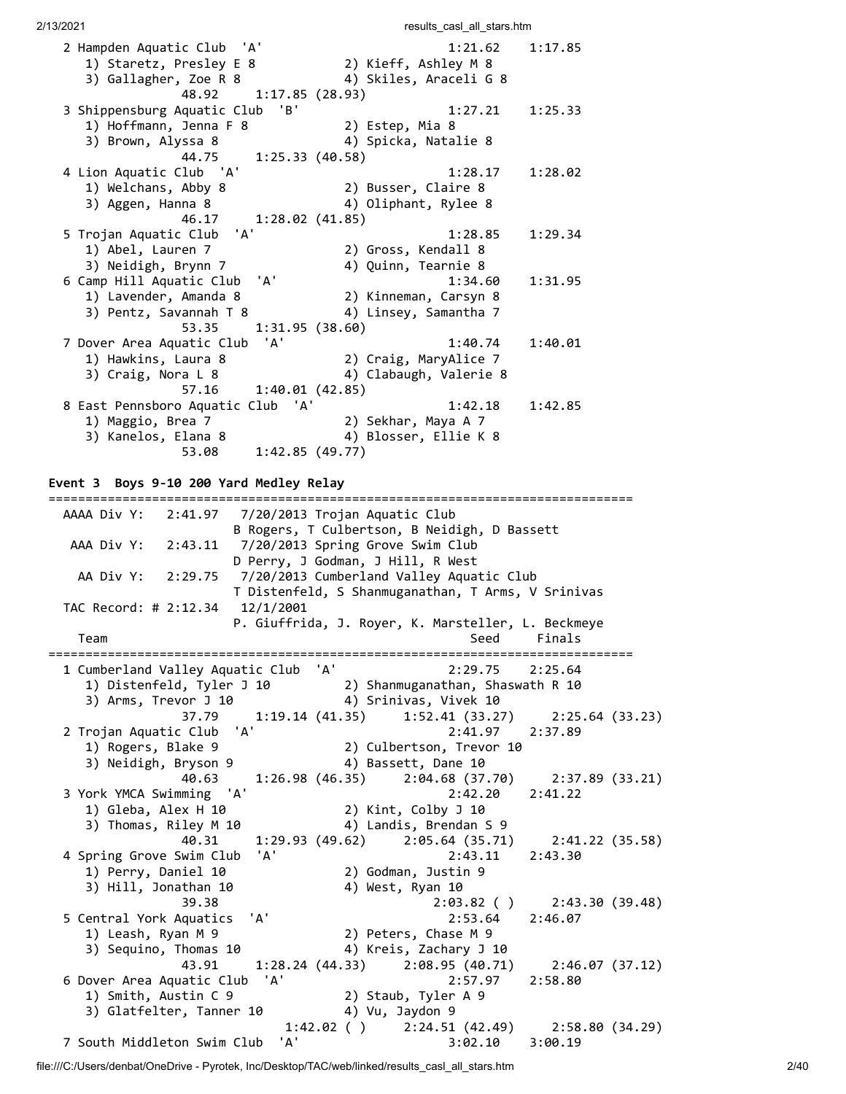| 2/13/2021                                         | results_casl_all_stars.htm                                |                |
|---------------------------------------------------|-----------------------------------------------------------|----------------|
| 2 Hampden Aquatic Club<br>'A'                     | 1:21.62<br>1:17.85                                        |                |
| 1) Staretz, Presley E 8                           | 2) Kieff, Ashley M 8                                      |                |
| 3) Gallagher, Zoe R 8                             | 4) Skiles, Araceli G 8                                    |                |
| 1:17.85(28.93)<br>48.92                           |                                                           |                |
| 3 Shippensburg Aquatic Club<br>'B'                | 1:27.21<br>1:25.33                                        |                |
| 1) Hoffmann, Jenna F 8                            | 2) Estep, Mia 8                                           |                |
| 3) Brown, Alyssa 8                                | 4) Spicka, Natalie 8                                      |                |
| 44.75<br>1:25.33(40.58)                           |                                                           |                |
| 4 Lion Aquatic Club 'A'                           | 1:28.17<br>1:28.02                                        |                |
| 1) Welchans, Abby 8                               | 2) Busser, Claire 8                                       |                |
| 3) Aggen, Hanna 8                                 | 4) Oliphant, Rylee 8                                      |                |
| 46.17<br>1:28.02(41.85)                           |                                                           |                |
| 'A'<br>5 Trojan Aquatic Club                      | 1:28.85<br>1:29.34                                        |                |
| 1) Abel, Lauren 7                                 | 2) Gross, Kendall 8                                       |                |
| 3) Neidigh, Brynn 7                               | 4) Quinn, Tearnie 8                                       |                |
| 6 Camp Hill Aquatic Club<br>'A'                   | 1:34.60<br>1:31.95                                        |                |
| 1) Lavender, Amanda 8                             | 2) Kinneman, Carsyn 8                                     |                |
| 3) Pentz, Savannah T 8                            | 4) Linsey, Samantha 7                                     |                |
| 1:31.95(38.60)<br>53.35                           |                                                           |                |
| 7 Dover Area Aquatic Club<br>'A'                  | 1:40.74<br>1:40.01                                        |                |
| 1) Hawkins, Laura 8                               | 2) Craig, MaryAlice 7                                     |                |
| 3) Craig, Nora L 8                                | 4) Clabaugh, Valerie 8                                    |                |
| 57.16<br>1:40.01(42.85)                           |                                                           |                |
| 8 East Pennsboro Aquatic Club 'A'                 | 1:42.18<br>1:42.85                                        |                |
| 1) Maggio, Brea 7<br>3) Kanelos, Elana 8          | 2) Sekhar, Maya A 7<br>4) Blosser, Ellie K 8              |                |
| 53.08<br>1:42.85(49.77)                           |                                                           |                |
|                                                   |                                                           |                |
| Event 3 Boys 9-10 200 Yard Medley Relay           |                                                           |                |
|                                                   |                                                           |                |
| AAAA Div Y: 2:41.97                               | 7/20/2013 Trojan Aquatic Club                             |                |
|                                                   | B Rogers, T Culbertson, B Neidigh, D Bassett              |                |
| 2:43.11<br>AAA Div Y:                             | 7/20/2013 Spring Grove Swim Club                          |                |
|                                                   | D Perry, J Godman, J Hill, R West                         |                |
| AA Div Y:                                         | 2:29.75 7/20/2013 Cumberland Valley Aquatic Club          |                |
|                                                   | T Distenfeld, S Shanmuganathan, T Arms, V Srinivas        |                |
| TAC Record: # 2:12.34 12/1/2001                   |                                                           |                |
|                                                   | P. Giuffrida, J. Royer, K. Marsteller, L. Beckmeye        |                |
| Team                                              | Finals<br>Seed                                            |                |
|                                                   | 'A'<br>2:29.75                                            |                |
| 1 Cumberland Valley Aquatic Club                  | 2:25.64                                                   |                |
| 1) Distenfeld, Tyler J 10<br>3) Arms, Trevor J 10 | 2) Shanmuganathan, Shaswath R 10<br>4) Srinivas, Vivek 10 |                |
| 1:19.14(41.35)<br>37.79                           | 1:52.41(33.27)                                            | 2:25.64(33.23) |
| 'A'<br>2 Trojan Aquatic Club                      | 2:41.97<br>2:37.89                                        |                |
| 1) Rogers, Blake 9                                | 2) Culbertson, Trevor 10                                  |                |
| 3) Neidigh, Bryson 9                              | 4) Bassett, Dane 10                                       |                |
|                                                   |                                                           |                |

3) Neidigh, Bryson 9 4) Bassett, Dane 10 40.63 1:26.98 (46.35) 2:04.68 (37.70) 2:37.89 (33.21) 3 York YMCA Swimming 'A' 2:42.20 2:41.22 1) Gleba, Alex H 10 2) Kint, Colby J 10 3) Thomas, Riley M 10 4) Landis, Brendan S 9 40.31 1:29.93 (49.62) 2:05.64 (35.71) 2:41.22 (35.58) 4 Spring Grove Swim Club 'A' 2:43.11 2:43.30 1) Perry, Daniel 10 2) Godman, Justin 9 3) Hill, Jonathan 10 4) West, Ryan 10 39.38 2:03.82 ( ) 2:43.30 (39.48) 5 Central York Aquatics 'A' 2:53.64 2:46.07 1) Leash, Ryan M 9 2) Peters, Chase M 9 3) Sequino, Thomas 10 4) Kreis, Zachary J 10 43.91 1:28.24 (44.33) 2:08.95 (40.71) 2:46.07 (37.12) 6 Dover Area Aquatic Club 'A' 2:57.97 2:58.80 1) Smith, Austin C 9 2) Staub, Tyler A 9 3) Glatfelter, Tanner 10 4) Vu, Jaydon 9

file:///C:/Users/denbat/OneDrive - Pyrotek, Inc/Desktop/TAC/web/linked/results\_casl\_all\_stars.htm 2/40 7 South Middleton Swim Club 'A' 3:02.10 3:00.19

1:42.02 ( ) 2:24.51 (42.49) 2:58.80 (34.29)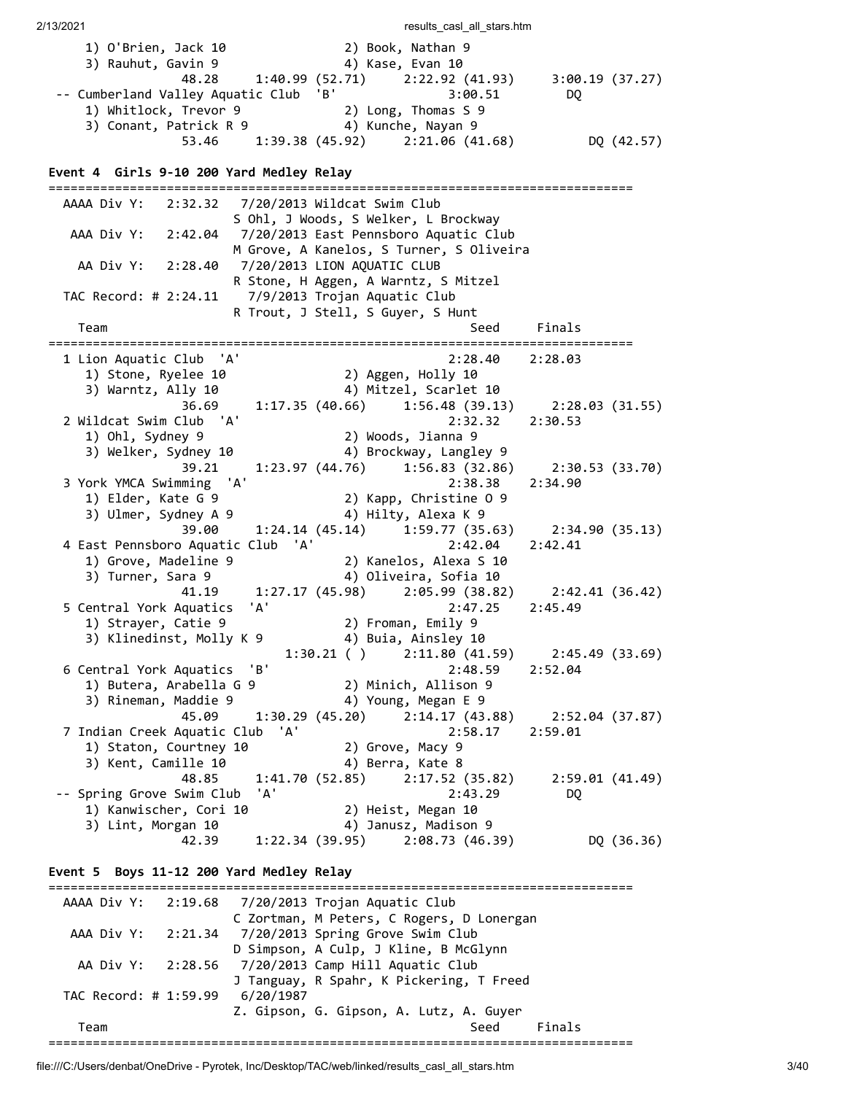2/13/2021 **results** casl all stars.htm 1) O'Brien, Jack 10 2) Book, Nathan 9 3) Rauhut, Gavin 9 4) Kase, Evan 10 48.28 1:40.99 (52.71) 2:22.92 (41.93) 3:00.19 (37.27) -- Cumberland Valley Aquatic Club 'B' 3:00.51 DQ 1) Whitlock, Trevor 9 2) Long, Thomas S 9 3) Conant, Patrick R 9 4) Kunche, Nayan 9 53.46 1:39.38 (45.92) 2:21.06 (41.68) DQ (42.57) **Event 4 Girls 9-10 200 Yard Medley Relay** =============================================================================== AAAA Div Y: 2:32.32 7/20/2013 Wildcat Swim Club S Ohl, J Woods, S Welker, L Brockway AAA Div Y: 2:42.04 7/20/2013 East Pennsboro Aquatic Club M Grove, A Kanelos, S Turner, S Oliveira AA Div Y: 2:28.40 7/20/2013 LION AQUATIC CLUB R Stone, H Aggen, A Warntz, S Mitzel TAC Record: # 2:24.11 7/9/2013 Trojan Aquatic Club R Trout, J Stell, S Guyer, S Hunt Team Seed Finals =============================================================================== 1 Lion Aquatic Club 'A' 2:28.40 2:28.03 1) Stone, Ryelee 10 2) Aggen, Holly 10 3) Warntz, Ally 10 4) Mitzel, Scarlet 10 36.69 1:17.35 (40.66) 1:56.48 (39.13) 2:28.03 (31.55) 2 Wildcat Swim Club 'A' 2:32.32 2:30.53 1) Ohl, Sydney 9 2) Woods, Jianna 9 3) Welker, Sydney 10 4) Brockway, Langley 9 39.21 1:23.97 (44.76) 1:56.83 (32.86) 2:30.53 (33.70) 3 York YMCA Swimming 'A' 2:38.38 2:34.90 1) Elder, Kate G 9 2) Kapp, Christine O 9 3) Ulmer, Sydney A 9 4) Hilty, Alexa K 9 39.00 1:24.14 (45.14) 1:59.77 (35.63) 2:34.90 (35.13) 4 East Pennsboro Aquatic Club 'A' 2:42.04 2:42.41 1) Grove, Madeline 9 2) Kanelos, Alexa S 10 3) Turner, Sara 9 4) Oliveira, Sofia 10 41.19 1:27.17 (45.98) 2:05.99 (38.82) 2:42.41 (36.42) 5 Central York Aquatics 'A' 2:47.25 2:45.49 1) Strayer, Catie 9 2) Froman, Emily 9 3) Klinedinst, Molly K 9 4) Buia, Ainsley 10 1:30.21 ( ) 2:11.80 (41.59) 2:45.49 (33.69)<br>2:48.59 2:52.04 6 Central York Aquatics 'B' 1) Butera, Arabella G 9 2) Minich, Allison 9 3) Rineman, Maddie 9  $\hspace{1cm}$  4) Young, Megan E 9 45.09 1:30.29 (45.20) 2:14.17 (43.88) 2:52.04 (37.87) 7 Indian Creek Aquatic Club 'A' 2:58.17 2:59.01 1) Staton, Courtney 10 2) Grove, Macy 9 3) Kent, Camille 10 4) Berra, Kate 8 48.85 1:41.70 (52.85) 2:17.52 (35.82) 2:59.01 (41.49) -- Spring Grove Swim Club 'A' 2:43.29 DQ 1) Kanwischer, Cori 10 2) Heist, Megan 10 3) Lint, Morgan 10 4) Janusz, Madison 9 42.39 1:22.34 (39.95) 2:08.73 (46.39) DQ (36.36) **Event 5 Boys 11-12 200 Yard Medley Relay** =============================================================================== AAAA Div Y: 2:19.68 7/20/2013 Trojan Aquatic Club C Zortman, M Peters, C Rogers, D Lonergan AAA Div Y: 2:21.34 7/20/2013 Spring Grove Swim Club D Simpson, A Culp, J Kline, B McGlynn AA Div Y: 2:28.56 7/20/2013 Camp Hill Aquatic Club J Tanguay, R Spahr, K Pickering, T Freed TAC Record: # 1:59.99 6/20/1987 Z. Gipson, G. Gipson, A. Lutz, A. Guyer Team Seed Finals ===============================================================================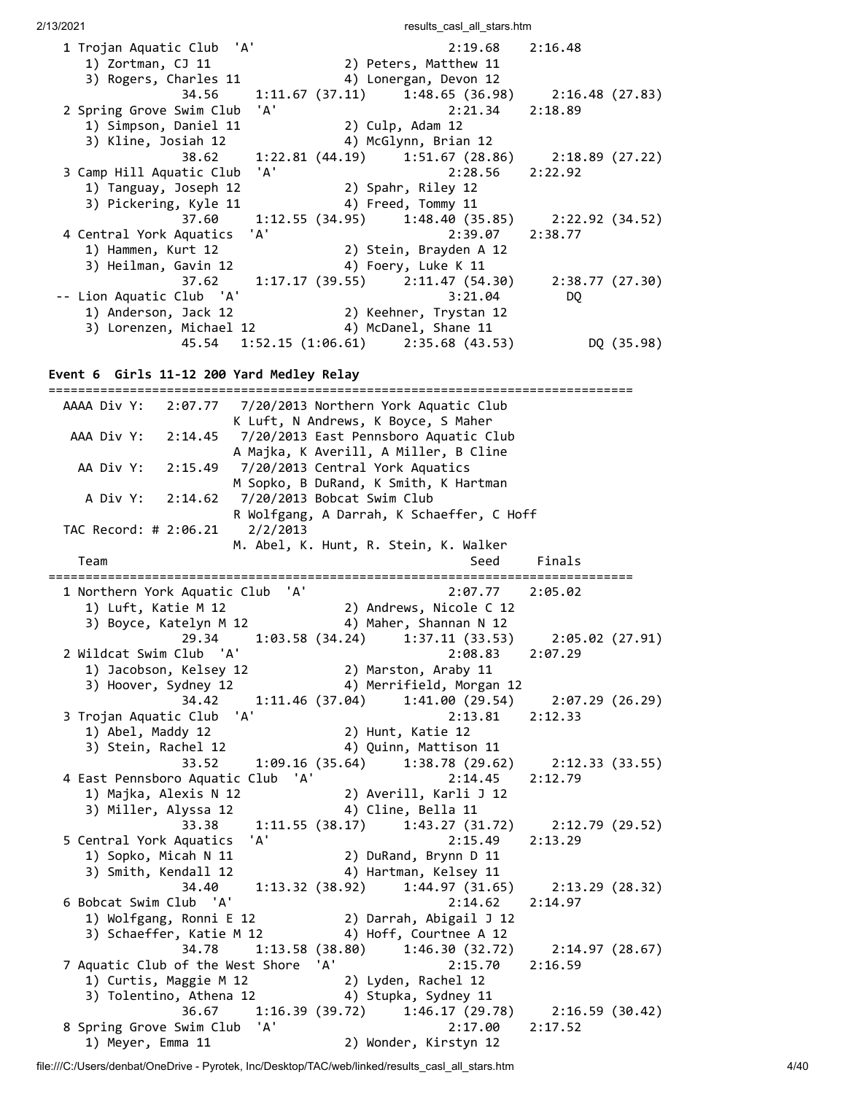| 1 Trojan Aquatic Club 'A'                     |  | $2:19.68$ $2:16.48$                                   |                 |            |
|-----------------------------------------------|--|-------------------------------------------------------|-----------------|------------|
| 1) Zortman, CJ 11                             |  | 2) Peters, Matthew 11                                 |                 |            |
| 3) Rogers, Charles 11                         |  | 4) Lonergan, Devon 12                                 |                 |            |
|                                               |  | 34.56 1:11.67 (37.11) 1:48.65 (36.98) 2:16.48 (27.83) |                 |            |
| 2 Spring Grove Swim Club 'A'                  |  | 2:21.34 2:18.89                                       |                 |            |
| 1) Simpson, Daniel 11                         |  | 2) Culp, Adam 12                                      |                 |            |
| 3) Kline, Josiah 12                           |  | 4) McGlynn, Brian 12                                  |                 |            |
|                                               |  | 38.62 1:22.81 (44.19) 1:51.67 (28.86) 2:18.89 (27.22) |                 |            |
| 3 Camp Hill Aquatic Club 'A'                  |  | $2:28.56$ $2:22.92$                                   |                 |            |
| 1) Tanguay, Joseph 12                         |  | 2) Spahr, Riley 12                                    |                 |            |
| 3) Pickering, Kyle 11                         |  | 4) Freed, Tommy 11                                    |                 |            |
|                                               |  | 37.60 1:12.55 (34.95) 1:48.40 (35.85) 2:22.92 (34.52) |                 |            |
| 4 Central York Aquatics 'A'                   |  | $2:39.07$ $2:38.77$                                   |                 |            |
| 1) Hammen, Kurt 12                            |  | 2) Stein, Brayden A 12                                |                 |            |
| 3) Heilman, Gavin 12                          |  | 4) Foery, Luke K 11                                   |                 |            |
|                                               |  | 37.62   1:17.17   (39.55)   2:11.47   (54.30)         | 2:38.77 (27.30) |            |
| -- Lion Aquatic Club 'A'                      |  | 3:21.04                                               | DQ.             |            |
| 1) Anderson, Jack 12                          |  | 2) Keehner, Trystan 12                                |                 |            |
| 3) Lorenzen, Michael 12 (4) McDanel, Shane 11 |  |                                                       |                 |            |
|                                               |  | 45.54 1:52.15 (1:06.61) 2:35.68 (43.53)               |                 | DQ (35.98) |

**Event 6 Girls 11-12 200 Yard Medley Relay**

| AAAA Div Y:<br>2:07.77            |                            |       | 7/20/2013 Northern York Aquatic Club                                                               |                 |                |
|-----------------------------------|----------------------------|-------|----------------------------------------------------------------------------------------------------|-----------------|----------------|
|                                   |                            |       | K Luft, N Andrews, K Boyce, S Maher                                                                |                 |                |
| AAA Div Y: 2:14.45                |                            |       | 7/20/2013 East Pennsboro Aquatic Club                                                              |                 |                |
|                                   |                            |       | A Majka, K Averill, A Miller, B Cline                                                              |                 |                |
| AA Div Y:<br>2:15.49              |                            |       | 7/20/2013 Central York Aquatics                                                                    |                 |                |
|                                   |                            |       | M Sopko, B DuRand, K Smith, K Hartman                                                              |                 |                |
| A Div Y: 2:14.62                  | 7/20/2013 Bobcat Swim Club |       |                                                                                                    |                 |                |
|                                   |                            |       | R Wolfgang, A Darrah, K Schaeffer, C Hoff                                                          |                 |                |
| TAC Record: # 2:06.21             | 2/2/2013                   |       |                                                                                                    |                 |                |
|                                   |                            |       | M. Abel, K. Hunt, R. Stein, K. Walker                                                              |                 |                |
| Team                              |                            |       | Seed                                                                                               | Finals          |                |
| 1 Northern York Aquatic Club 'A'  |                            |       |                                                                                                    | 2:05.02         |                |
|                                   |                            |       | 2:07.77<br>$2:07.77$<br>3) Boyce, Katelyn M 12 (2) Andrews, Nicole C 12<br>4) Mahen C <sup>1</sup> |                 |                |
|                                   |                            |       |                                                                                                    |                 |                |
| 29.34                             |                            |       | $1:03.58$ (34.24) $1:37.11$ (33.53)                                                                | 2:05.02 (27.91) |                |
| 2 Wildcat Swim Club 'A'           |                            |       | 2:08.83                                                                                            | 2:07.29         |                |
| 1) Jacobson, Kelsey 12            |                            |       | 2:08.8<br>2) Marston, Araby 11<br>4) Mennifical                                                    |                 |                |
| 3) Hoover, Sydney 12              |                            |       | 4) Merrifield, Morgan 12                                                                           |                 |                |
| 34.42                             |                            |       | $1:11.46(37.04)$ $1:41.00(29.54)$                                                                  |                 | 2:07.29(26.29) |
| 3 Trojan Aquatic Club 'A'         |                            |       | 2:13.81                                                                                            | 2:12.33         |                |
| 1) Abel, Maddy 12                 |                            |       | 2) Hunt, Katie 12                                                                                  |                 |                |
| 3) Stein, Rachel 12               |                            |       | 4) Quinn, Mattison 11                                                                              |                 |                |
| 33.52                             |                            |       | $1:09.16$ (35.64) $1:38.78$ (29.62) $2:12.33$ (33.55)                                              |                 |                |
| 4 East Pennsboro Aquatic Club 'A' |                            |       | 2:14.45                                                                                            | 2:12.79         |                |
| 1) Majka, Alexis N 12             |                            |       | 2) Averill, Karli J 12                                                                             |                 |                |
| 3) Miller, Alyssa 12              |                            |       | 4) Cline, Bella 11                                                                                 |                 |                |
| 33.38                             |                            |       | 1:11.55(38.17) 1:43.27(31.72)                                                                      | 2:12.79 (29.52) |                |
| 5 Central York Aquatics           | 'A'                        |       | 2:15.49                                                                                            | 2:13.29         |                |
| 1) Sopko, Micah N 11              |                            |       | 2) DuRand, Brynn D 11                                                                              |                 |                |
| 3) Smith, Kendall 12              |                            |       | 4) Hartman, Kelsey 11                                                                              |                 |                |
| 34.40                             |                            |       | $1:13.32$ (38.92) $1:44.97$ (31.65)                                                                | 2:13.29 (28.32) |                |
| 6 Bobcat Swim Club 'A'            |                            |       | 2:14.62                                                                                            | 2:14.97         |                |
| 1) Wolfgang, Ronni E 12           |                            |       | 2) Darrah, Abigail J 12                                                                            |                 |                |
| 3) Schaeffer, Katie M 12          |                            |       | 4) Hoff, Courtnee A 12                                                                             |                 |                |
| 34.78                             |                            |       | $1:13.58$ (38.80) $1:46.30$ (32.72)                                                                | 2:14.97 (28.67) |                |
| 7 Aquatic Club of the West Shore  |                            | ' A ' | 2:15.70                                                                                            | 2:16.59         |                |
| 1) Curtis, Maggie M 12            |                            |       | 2) Lyden, Rachel 12                                                                                |                 |                |
| 3) Tolentino, Athena 12           |                            |       | 4) Stupka, Sydney 11                                                                               |                 |                |
| 36.67                             |                            |       | $1:16.39(39.72)$ $1:46.17(29.78)$                                                                  | 2:16.59 (30.42) |                |
| 8 Spring Grove Swim Club 'A'      |                            |       | 2:17.00                                                                                            | 2:17.52         |                |
| 1) Meyer, Emma 11                 |                            |       | 2) Wonder, Kirstyn 12                                                                              |                 |                |

file:///C:/Users/denbat/OneDrive - Pyrotek, Inc/Desktop/TAC/web/linked/results\_casl\_all\_stars.htm 4/40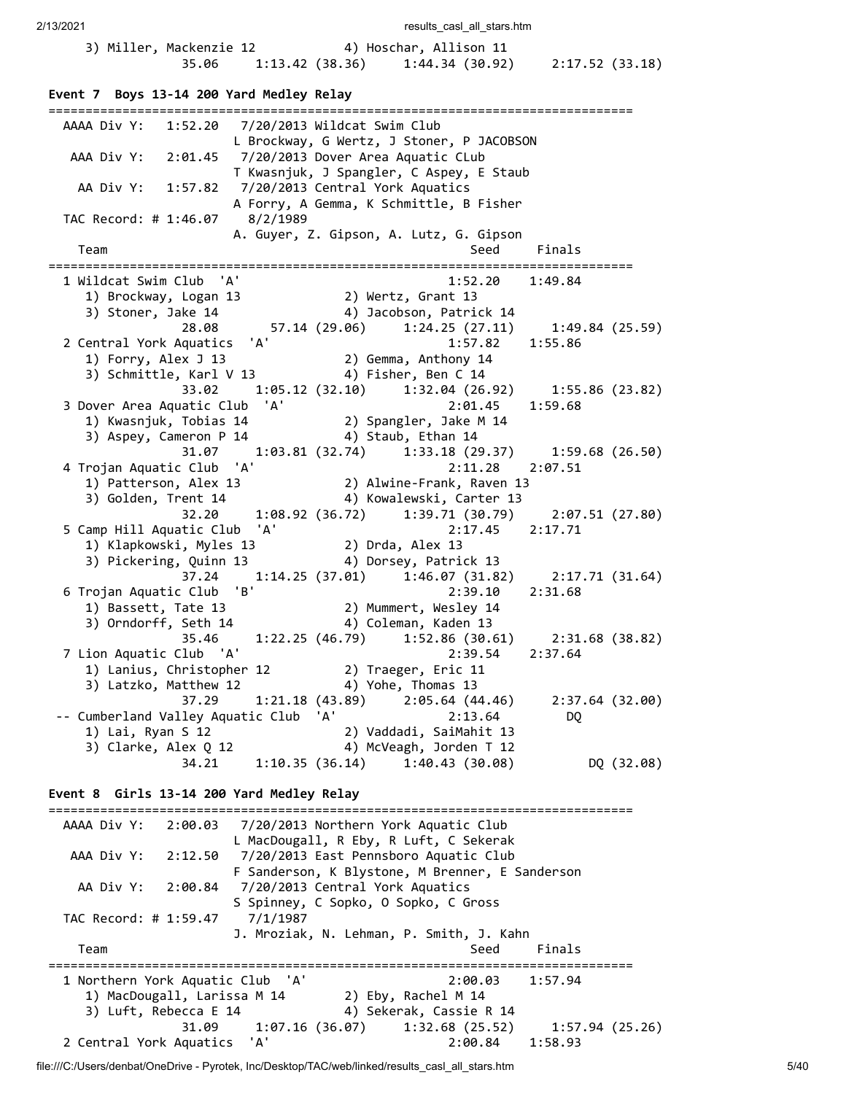| 3) Miller, Mackenzie 12 |       |                 | 4) Hoschar, Allison 11 |                 |
|-------------------------|-------|-----------------|------------------------|-----------------|
|                         | 35.06 | 1:13.42 (38.36) | 1:44.34 (30.92)        | 2:17.52 (33.18) |

# **Event 7 Boys 13-14 200 Yard Medley Relay**

| AAAA Div Y: 1:52.20 7/20/2013 Wildcat Swim Club                                                                                     |                                  |            |
|-------------------------------------------------------------------------------------------------------------------------------------|----------------------------------|------------|
| L Brockway, G Wertz, J Stoner, P JACOBSON<br>AAA Div Y: 2:01.45 7/20/2013 Dover Area Aquatic CLub                                   |                                  |            |
| T Kwasnjuk, J Spangler, C Aspey, E Staub                                                                                            |                                  |            |
| AA Div Y: 1:57.82  7/20/2013 Central York Aquatics                                                                                  |                                  |            |
| A Forry, A Gemma, K Schmittle, B Fisher                                                                                             |                                  |            |
| TAC Record: # 1:46.07 8/2/1989<br>A. Guyer, Z. Gipson, A. Lutz, G. Gipson                                                           |                                  |            |
| Team<br>Seed                                                                                                                        | Finals                           |            |
| 1 Wildcat Swim Club 'A'<br>$1:52.20$ $1:49.84$                                                                                      |                                  |            |
| 2) Wertz, Grant 13<br>4) Jacobson, Patrick 14<br>1) Brockway, Logan 13                                                              |                                  |            |
| $3)$ Stoner, Jake 14                                                                                                                |                                  |            |
| 28.08                                                                                                                               |                                  |            |
| 2 Central York Aquatics 'A'<br>1:57.82<br>2) Gemma, Anthony 14                                                                      | 1:55.86                          |            |
| 1) Forry, Alex J 13<br>3) Schmittle, Karl V 13 4) Fisher, Ben C 14                                                                  |                                  |            |
| $1:05.12$ (32.10) $1:32.04$ (26.92) $1:55.86$ (23.82)<br>33.02                                                                      |                                  |            |
| 2:01.45 1:59.68                                                                                                                     |                                  |            |
|                                                                                                                                     |                                  |            |
| 3 Dover Area Aquatic Club 'A' 2:01.45<br>1) Kwasnjuk, Tobias 14 2) Spangler, Jake M 14<br>3) Aspey, Cameron P 14 4) Staub, Ethan 14 |                                  |            |
| 31.07   1:03.81   (32.74)   1:33.18   (29.37)   1:59.68   (26.50)                                                                   |                                  |            |
| $2:11.28$ $2:07.51$<br>4 Trojan Aquatic Club 'A'                                                                                    |                                  |            |
| 2.11.20<br>1) Patterson, Alex 13 (2) Alwine-Frank, Raven 13                                                                         |                                  |            |
| 3) Golden, Trent 14 (2) Kowalewski, Carter 13                                                                                       |                                  |            |
| 32.20 1:08.92 (36.72) 1:39.71 (30.79) 2:07.51 (27.80)<br>5 Camp Hill Aquatic Club 'A'<br>2:17.45 2:17.71                            |                                  |            |
| 1) Klapkowski, Myles 13 (2) Drda, Alex 13                                                                                           |                                  |            |
| 4) Dorsey, Patrick 13<br>3) Pickering, Quinn 13                                                                                     |                                  |            |
| 37.24<br>$1:14.25(37.01)$ $1:46.07(31.82)$ $2:17.71(31.64)$                                                                         |                                  |            |
| 6 Trojan Aquatic Club 'B'<br>2:39.10                                                                                                | 2:31.68                          |            |
| 2) Mummert, Wesley 14<br>1) Bassett, Tate 13                                                                                        |                                  |            |
| 3) Orndorff, Seth 14<br>4) Coleman, Kaden 13                                                                                        |                                  |            |
| 35.46 1:22.25 (46.79) 1:52.86 (30.61) 2:31.68 (38.82)                                                                               |                                  |            |
| 7 Lion Aquatic Club 'A'<br>2:39.54 2:37.64                                                                                          |                                  |            |
| 1) Lanius, Christopher 12 2) Traeger, Eric 11                                                                                       |                                  |            |
| 3) Latzko, Matthew 12 (4) Yohe, Thomas 13<br>37.29 1:21.18 (43.89) 2:05.64 (44.46) 2:37.64 (32.00)                                  |                                  |            |
| 'A'<br>-- Cumberland Valley Aquatic Club<br>2:13.64                                                                                 | DQ                               |            |
| 2) Vaddadi, SaiMahit 13<br>1) Lai, Ryan S 12                                                                                        |                                  |            |
| 4) McVeagh, Jorden T 12<br>3) Clarke, Alex Q 12                                                                                     |                                  |            |
| 1:10.35(36.14)<br>1:40.43(30.08)<br>34.21                                                                                           |                                  | DQ (32.08) |
| Event 8 Girls 13-14 200 Yard Medley Relay                                                                                           |                                  |            |
|                                                                                                                                     |                                  |            |
| AAAA Div Y:<br>2:00.03<br>7/20/2013 Northern York Aquatic Club                                                                      |                                  |            |
| L MacDougall, R Eby, R Luft, C Sekerak                                                                                              |                                  |            |
| AAA Div Y:<br>7/20/2013 East Pennsboro Aquatic Club<br>2:12.50<br>F Sanderson, K Blystone, M Brenner, E Sanderson                   |                                  |            |
| AA Div Y:<br>7/20/2013 Central York Aquatics<br>2:00.84                                                                             |                                  |            |
| S Spinney, C Sopko, O Sopko, C Gross                                                                                                |                                  |            |
| TAC Record: # 1:59.47<br>7/1/1987                                                                                                   |                                  |            |
| J. Mroziak, N. Lehman, P. Smith, J. Kahn                                                                                            |                                  |            |
| Team<br>Seed                                                                                                                        | Finals                           |            |
| 1 Northern York Aquatic Club 'A'<br>2:00.03                                                                                         | =====================<br>1:57.94 |            |
| 1) MacDougall, Larissa M 14<br>2) Eby, Rachel M 14                                                                                  |                                  |            |
| 3) Luft, Rebecca E 14<br>4) Sekerak, Cassie R 14                                                                                    |                                  |            |
| 31.09<br>1:07.16(36.07)<br>1:32.68(25.52)                                                                                           | 1:57.94(25.26)                   |            |
| 2 Central York Aquatics 'A'<br>2:00.84                                                                                              | 1:58.93                          |            |
|                                                                                                                                     |                                  |            |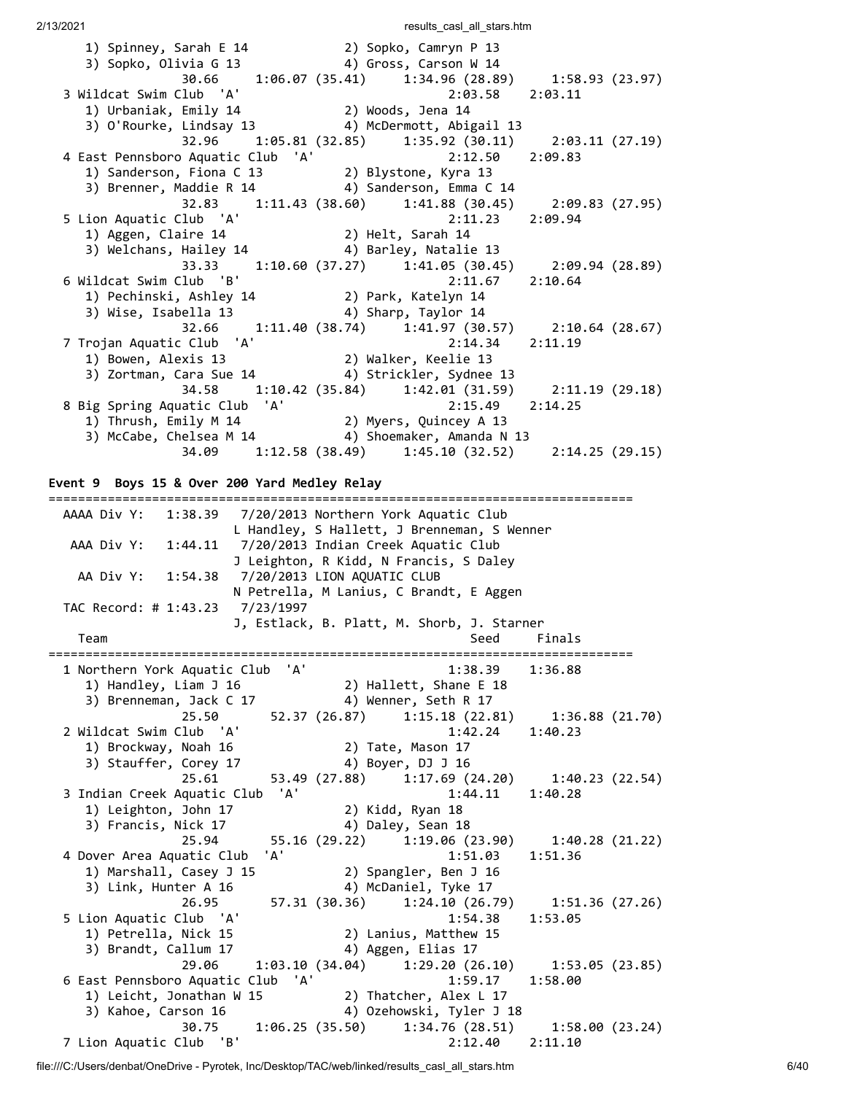1) Spinney, Sarah E 14 2) Sopko, Camryn P 13 3) Sopko, Olivia G 13 4) Gross, Carson W 14 30.66 1:06.07 (35.41) 1:34.96 (28.89) 1:58.93 (23.97) 3 Wildcat Swim Club 'A' 2:03.58 2:03.11 1) Urbaniak, Emily 14 2) Woods, Jena 14 3) O'Rourke, Lindsay 13 4) McDermott, Abigail 13 32.96 1:05.81 (32.85) 1:35.92 (30.11) 2:03.11 (27.19) 4 East Pennsboro Aquatic Club 'A' 2:12.50 2:09.83 1) Sanderson, Fiona C 13 2) Blystone, Kyra 13 3) Brenner, Maddie R 14 4) Sanderson, Emma C 14 32.83 1:11.43 (38.60) 1:41.88 (30.45) 2:09.83 (27.95) 5 Lion Aquatic Club 'A' 2:11.23 2:09.94 1) Aggen, Claire 14 2) Helt, Sarah 14 3) Welchans, Hailey 14 4) Barley, Natalie 13 33.33 1:10.60 (37.27) 1:41.05 (30.45) 2:09.94 (28.89)<br>6 Wildcat Swim Club 'B' 2:11.67 2:10.64 6 Wildcat Swim Club 'B' 2:11.67 2:10.64 1) Pechinski, Ashley 14 2) Park, Katelyn 14 3) Wise, Isabella 13 4) Sharp, Taylor 14 32.66 1:11.40 (38.74) 1:41.97 (30.57) 2:10.64 (28.67) 7 Trojan Aquatic Club 'A' 2:14.34 2:11.19 1) Bowen, Alexis 13 2) Walker, Keelie 13 3) Zortman, Cara Sue 14 4) Strickler, Sydnee 13 34.58 1:10.42 (35.84) 1:42.01 (31.59) 2:11.19 (29.18) 8 Big Spring Aquatic Club 'A' 2:15.49 2:14.25 1) Thrush, Emily M 14 2) Myers, Quincey A 13 3) McCabe, Chelsea M 14 4) Shoemaker, Amanda N 13 34.09 1:12.58 (38.49) 1:45.10 (32.52) 2:14.25 (29.15) **Event 9 Boys 15 & Over 200 Yard Medley Relay** =============================================================================== AAAA Div Y: 1:38.39 7/20/2013 Northern York Aquatic Club L Handley, S Hallett, J Brenneman, S Wenner AAA Div Y: 1:44.11 7/20/2013 Indian Creek Aquatic Club J Leighton, R Kidd, N Francis, S Daley AA Div Y: 1:54.38 7/20/2013 LION AQUATIC CLUB N Petrella, M Lanius, C Brandt, E Aggen TAC Record: # 1:43.23 7/23/1997 J, Estlack, B. Platt, M. Shorb, J. Starner Team Seed Finals =============================================================================== 1 Northern York Aquatic Club 'A' 1:38.39 1:36.88 1) Handley, Liam J 16 2) Hallett, Shane E 18 3) Brenneman, Jack C 17 4) Wenner, Seth R 17 25.50 52.37 (26.87) 1:15.18 (22.81) 1:36.88 (21.70) 2 Wildcat Swim Club 'A' 1:42.24 1:40.23 1) Brockway, Noah 16 2) Tate, Mason 17 3) Stauffer, Corey 17 4) Boyer, DJ J 16 25.61 53.49 (27.88) 1:17.69 (24.20) 1:40.23 (22.54) 3 Indian Creek Aquatic Club 'A' 1:44.11 1:40.28 1) Leighton, John 17 2) Kidd, Ryan 18 3) Francis, Nick 17 4) Daley, Sean 18 3) Francis, Nick 17 (29.22) 1:19.06 (23.90) 1:40.28 (21.22) 4 Dover Area Aquatic Club 'A' 1:51.03 1:51.36 1) Marshall, Casey J 15 2) Spangler, Ben J 16 3) Link, Hunter A 16 4) McDaniel, Tyke 17 26.95 57.31 (30.36) 1:24.10 (26.79) 1:51.36 (27.26) 5 Lion Aquatic Club 'A' 1:54.38 1:53.05 1) Petrella, Nick 15 2) Lanius, Matthew 15 3) Brandt, Callum 17 4) Aggen, Elias 17 29.06 1:03.10 (34.04) 1:29.20 (26.10) 1:53.05 (23.85) 29.06 1:03.10 (34.04) 1:29.20 (26.10) 1:53.05 (23.85)<br>6 East Pennsboro Aquatic Club 'A' 1:59.17 1:58.00 1) Leicht, Jonathan W 15 2) Thatcher, Alex L 17 3) Kahoe, Carson 16 4) Ozehowski, Tyler J 18 30.75 1:06.25 (35.50) 1:34.76 (28.51) 1:58.00 (23.24) 7 Lion Aquatic Club 'B' 2:12.40 2:11.10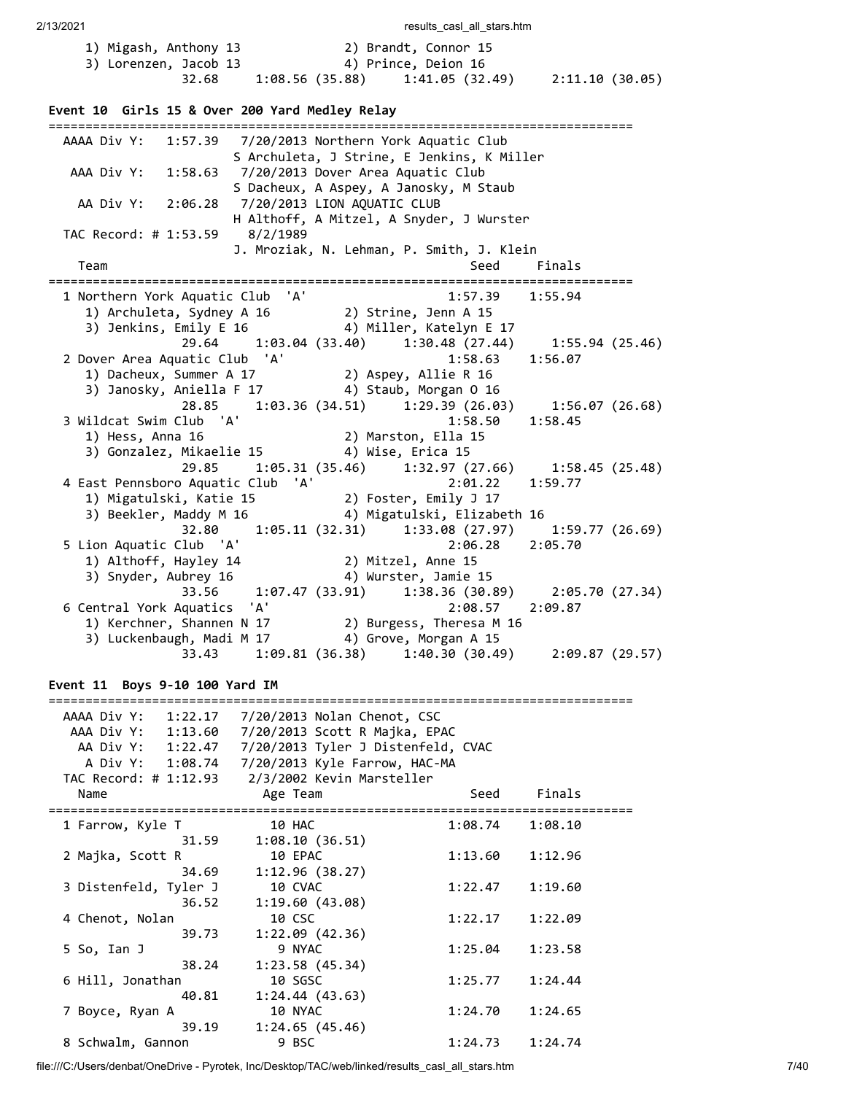| 1) Migash, Anthony 13                                                                                           |                                                       | 2) Brandt, Connor 15 |                     |                 |  |
|-----------------------------------------------------------------------------------------------------------------|-------------------------------------------------------|----------------------|---------------------|-----------------|--|
| 3) Lorenzen, Jacob 13                                                                                           | 32.68 1:08.56 (35.88) 1:41.05 (32.49) 2:11.10 (30.05) | 4) Prince, Deion 16  |                     |                 |  |
|                                                                                                                 |                                                       |                      |                     |                 |  |
| Event 10 Girls 15 & Over 200 Yard Medley Relay                                                                  |                                                       |                      |                     |                 |  |
| AAAA Div Y: 1:57.39 7/20/2013 Northern York Aquatic Club                                                        |                                                       |                      |                     |                 |  |
| AAA Div Y: 1:58.63 7/20/2013 Dover Area Aquatic Club                                                            | S Archuleta, J Strine, E Jenkins, K Miller            |                      |                     |                 |  |
|                                                                                                                 | S Dacheux, A Aspey, A Janosky, M Staub                |                      |                     |                 |  |
| AA Div Y: 2:06.28 7/20/2013 LION AQUATIC CLUB                                                                   |                                                       |                      |                     |                 |  |
| TAC Record: # 1:53.59 8/2/1989                                                                                  | H Althoff, A Mitzel, A Snyder, J Wurster              |                      |                     |                 |  |
|                                                                                                                 | J. Mroziak, N. Lehman, P. Smith, J. Klein             |                      |                     |                 |  |
| Team                                                                                                            |                                                       |                      | Seed                | Finals          |  |
| 1 Northern York Aquatic Club 'A'                                                                                |                                                       |                      | $1:57.39$ $1:55.94$ |                 |  |
| 1) Archuleta, Sydney A 16 (2) Strine, Jenn A 15<br>3) Jenkins, Emily E 16 (4) Miller, Katelyn E 17              |                                                       |                      |                     |                 |  |
|                                                                                                                 | 29.64 1:03.04 (33.40) 1:30.48 (27.44)                 |                      |                     | 1:55.94 (25.46) |  |
| 2 Dover Area Aquatic Club 'A'                                                                                   |                                                       |                      | 1:58.63             | 1:56.07         |  |
| 1) Dacheux, Summer A 17 (2) Aspey, Allie R 16                                                                   |                                                       |                      |                     |                 |  |
| 3) Janosky, Aniella F 17 4) Staub, Morgan 0 16                                                                  | 28.85 1:03.36 (34.51) 1:29.39 (26.03) 1:56.07 (26.68) |                      |                     |                 |  |
| 3 Wildcat Swim Club 'A'                                                                                         |                                                       |                      | 1:58.50             | 1:58.45         |  |
|                                                                                                                 |                                                       |                      |                     |                 |  |
|                                                                                                                 | 29.85 1:05.31 (35.46) 1:32.97 (27.66) 1:58.45 (25.48) |                      |                     |                 |  |
| 4 East Pennsboro Aquatic Club 'A'                                                                               |                                                       |                      | $2:01.22$ 1:59.77   |                 |  |
| 1) Migatulski, Katie 15 (2) Foster, Emily J 17                                                                  |                                                       |                      |                     |                 |  |
| 3) Beekler, Maddy M 16 (4) Migatulski, Elizabeth 16                                                             |                                                       |                      |                     |                 |  |
| 5 Lion Aquatic Club 'A'                                                                                         | 32.80   1:05.11 (32.31)   1:33.08 (27.97)             |                      | 2:06.28 2:05.70     | 1:59.77(26.69)  |  |
|                                                                                                                 |                                                       |                      |                     |                 |  |
| 3) Snyder, Aubrey 16 (33.91) Wurster, Jamie 15<br>33.56 (39.89) 33.56 (39.89) 33.56 (39.89) 33.56 (39.91) 33.36 |                                                       |                      |                     |                 |  |
| 6 Central York Aquatics 'A'                                                                                     |                                                       |                      | 2:08.57             | 2:09.87         |  |
| 1) Kerchner, Shannen N 17 2) Burgess, Theresa M 16                                                              |                                                       |                      |                     |                 |  |
| 3) Luckenbaugh, Madi M 17 4) Grove, Morgan A 15                                                                 |                                                       |                      |                     |                 |  |
| 33.43    4:09.81    (36.38)    4:40.30    (30.49)                                                               |                                                       |                      |                     | 2:09.87(29.57)  |  |
| Event 11 Boys 9-10 100 Yard IM                                                                                  |                                                       |                      |                     |                 |  |
| AAAA Div Y: 1:22.17 7/20/2013 Nolan Chenot, CSC                                                                 |                                                       |                      |                     |                 |  |
| AAA Div Y: 1:13.60 7/20/2013 Scott R Majka, EPAC                                                                |                                                       |                      |                     |                 |  |
| AA Div Y: 1:22.47 7/20/2013 Tyler J Distenfeld, CVAC                                                            |                                                       |                      |                     |                 |  |
| A Div Y: 1:08.74 7/20/2013 Kyle Farrow, HAC-MA<br>TAC Record: # 1:12.93 2/3/2002 Kevin Marsteller               |                                                       |                      |                     |                 |  |
| Name                                                                                                            | Age Team                                              |                      | Seed                | Finals          |  |
| 1 Farrow, Kyle T                                                                                                | 10 HAC                                                |                      | 1:08.74             | 1:08.10         |  |
| 31.59<br>2 Majka, Scott R                                                                                       | 1:08.10(36.51)<br>10 EPAC                             |                      | 1:13.60             | 1:12.96         |  |
| 34.69<br>3 Distenfeld, Tyler J                                                                                  | 1:12.96(38.27)<br>10 CVAC                             |                      | 1:22.47             | 1:19.60         |  |
| 36.52                                                                                                           | 1:19.60 (43.08)                                       |                      |                     |                 |  |
| 4 Chenot, Nolan<br>39.73                                                                                        | 10 CSC<br>1:22.09(42.36)                              |                      | 1:22.17             | 1:22.09         |  |
| 5 So, Ian J                                                                                                     | 9 NYAC                                                |                      | 1:25.04             | 1:23.58         |  |
| 38.24                                                                                                           | 1:23.58(45.34)                                        |                      |                     |                 |  |
| 6 Hill, Jonathan<br>40.81                                                                                       | 10 SGSC<br>1:24.44(43.63)                             |                      | 1:25.77             | 1:24.44         |  |
| 7 Boyce, Ryan A                                                                                                 | 10 NYAC                                               |                      | 1:24.70             | 1:24.65         |  |
| 39.19                                                                                                           | 1:24.65(45.46)                                        |                      |                     |                 |  |
| 8 Schwalm, Gannon                                                                                               | 9 BSC                                                 |                      | 1:24.73             | 1:24.74         |  |

file:///C:/Users/denbat/OneDrive - Pyrotek, Inc/Desktop/TAC/web/linked/results\_casl\_all\_stars.htm 7/40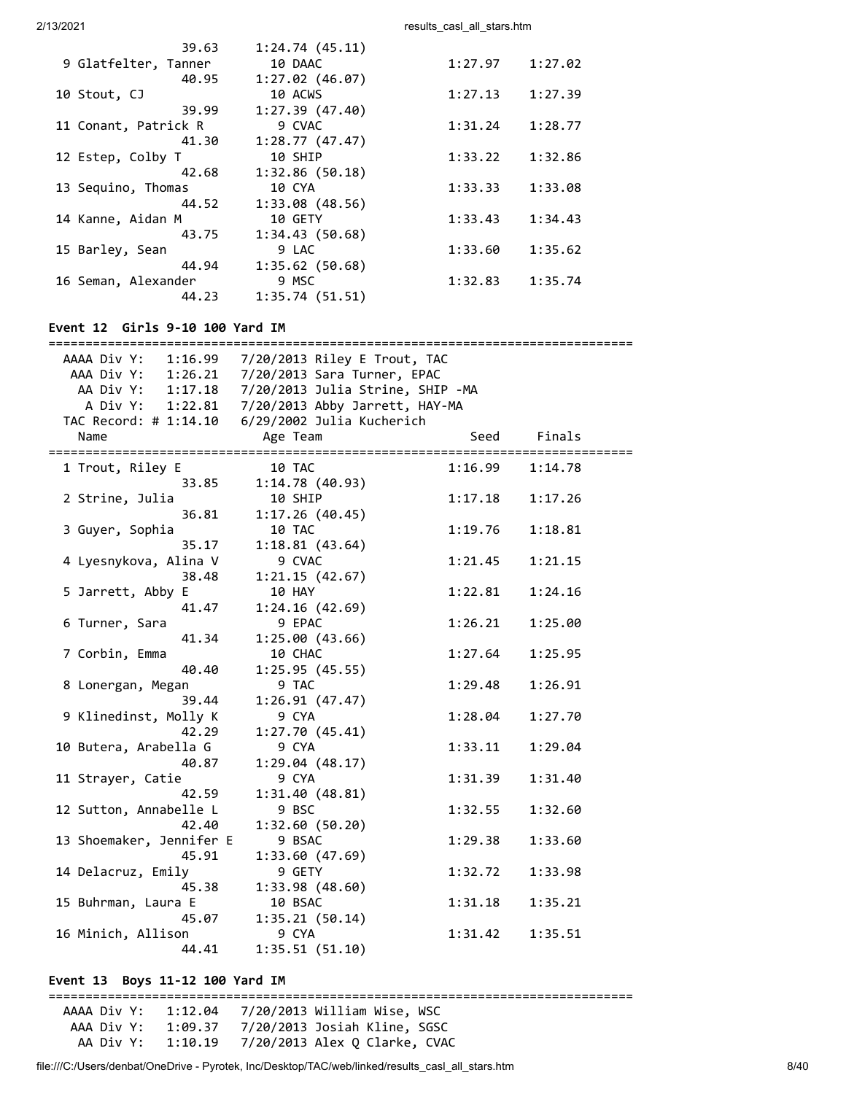| 39.63                | 1:24.74(45.11) |         |         |
|----------------------|----------------|---------|---------|
| 9 Glatfelter, Tanner | 10 DAAC        | 1:27.97 | 1:27.02 |
| 40.95                | 1:27.02(46.07) |         |         |
| 10 Stout, CJ         | 10 ACWS        | 1:27.13 | 1:27.39 |
| 39.99                | 1:27.39(47.40) |         |         |
| 11 Conant, Patrick R | 9 CVAC         | 1:31.24 | 1:28.77 |
| 41.30                | 1:28.77(47.47) |         |         |
| 12 Estep, Colby T    | 10 SHIP        | 1:33.22 | 1:32.86 |
| 42.68                | 1:32.86(50.18) |         |         |
| 13 Sequino, Thomas   | 10 CYA         | 1:33.33 | 1:33.08 |
| 44.52                | 1:33.08(48.56) |         |         |
| 14 Kanne, Aidan M    | 10 GETY        | 1:33.43 | 1:34.43 |
| 43.75                | 1:34.43(50.68) |         |         |
| 15 Barley, Sean      | 9 LAC          | 1:33.60 | 1:35.62 |
| 44.94                | 1:35.62(50.68) |         |         |
| 16 Seman, Alexander  | 9 MSC          | 1:32.83 | 1:35.74 |
| 44.23                | 1:35.74(51.51) |         |         |
|                      |                |         |         |

# **Event 12 Girls 9-10 100 Yard IM**

| AAAA Div Y: 1:16.99 7/20/2013 Riley E Trout, TAC |                                                |                                                     |         |  |  |  |
|--------------------------------------------------|------------------------------------------------|-----------------------------------------------------|---------|--|--|--|
|                                                  | AAA Div Y: 1:26.21 7/20/2013 Sara Turner, EPAC |                                                     |         |  |  |  |
|                                                  |                                                | AA Div Y: 1:17.18 7/20/2013 Julia Strine, SHIP - MA |         |  |  |  |
|                                                  |                                                | A Div Y: 1:22.81  7/20/2013 Abby Jarrett, HAY-MA    |         |  |  |  |
|                                                  |                                                |                                                     |         |  |  |  |
| Name                                             | Age Team                                       | Seed                                                | Finals  |  |  |  |
|                                                  |                                                |                                                     |         |  |  |  |
| 1 Trout, Riley E                                 | 10 TAC                                         | 1:16.99                                             | 1:14.78 |  |  |  |
| 33.85                                            | 1:14.78(40.93)                                 |                                                     |         |  |  |  |
| 2 Strine, Julia                                  | 10 SHIP                                        | 1:17.18                                             | 1:17.26 |  |  |  |
| 36.81                                            | 1:17.26(40.45)                                 |                                                     |         |  |  |  |
| 3 Guyer, Sophia                                  | 10 TAC                                         | 1:19.76                                             | 1:18.81 |  |  |  |
| 35.17                                            | 1:18.81(43.64)                                 |                                                     |         |  |  |  |
| 4 Lyesnykova, Alina V                            | 9 CVAC                                         | 1:21.45                                             | 1:21.15 |  |  |  |
| 38.48                                            | 1:21.15(42.67)                                 |                                                     |         |  |  |  |
| 5 Jarrett, Abby E                                | 10 HAY                                         | 1:22.81                                             | 1:24.16 |  |  |  |
| 41.47                                            | 1:24.16(42.69)                                 |                                                     |         |  |  |  |
| 6 Turner, Sara                                   | 9 EPAC                                         | 1:26.21                                             | 1:25.00 |  |  |  |
| 41.34                                            | 1:25.00(43.66)                                 |                                                     |         |  |  |  |
| 7 Corbin, Emma                                   | 10 CHAC                                        | 1:27.64                                             | 1:25.95 |  |  |  |
| 40.40                                            | 1:25.95(45.55)                                 |                                                     |         |  |  |  |
| 8 Lonergan, Megan                                | 9 TAC                                          | 1:29.48                                             | 1:26.91 |  |  |  |
| 39.44                                            | 1:26.91(47.47)                                 |                                                     |         |  |  |  |
| 9 Klinedinst, Molly K                            | 9 CYA                                          | 1:28.04                                             | 1:27.70 |  |  |  |
| 42.29                                            | 1:27.70(45.41)                                 |                                                     |         |  |  |  |
| 10 Butera, Arabella G                            | 9 CYA                                          | 1:33.11                                             | 1:29.04 |  |  |  |
| 40.87                                            | 1:29.04(48.17)                                 |                                                     |         |  |  |  |
| 11 Strayer, Catie                                | 9 CYA                                          | 1:31.39                                             | 1:31.40 |  |  |  |
| 42.59                                            | 1:31.40(48.81)                                 |                                                     |         |  |  |  |
| 12 Sutton, Annabelle L                           | 9 BSC                                          | 1:32.55                                             | 1:32.60 |  |  |  |
| 42.40                                            | 1:32.60(50.20)                                 |                                                     |         |  |  |  |
| 13 Shoemaker, Jennifer E                         | 9 BSAC                                         | 1:29.38                                             | 1:33.60 |  |  |  |
| 45.91                                            | 1:33.60(47.69)                                 |                                                     |         |  |  |  |
| 14 Delacruz, Emily                               | 9 GETY                                         | 1:32.72                                             | 1:33.98 |  |  |  |
| 45.38                                            | 1:33.98(48.60)                                 |                                                     |         |  |  |  |
| 15 Buhrman, Laura E                              | 10 BSAC                                        | 1:31.18                                             | 1:35.21 |  |  |  |
| 45.07                                            | 1:35.21(50.14)                                 |                                                     |         |  |  |  |
| 16 Minich, Allison                               | 9 CYA                                          | 1:31.42                                             | 1:35.51 |  |  |  |
| 44.41                                            | 1:35.51(51.10)                                 |                                                     |         |  |  |  |

# **Event 13 Boys 11-12 100 Yard IM**

=============================================================================== AAAA Div Y: 1:12.04 7/20/2013 William Wise, WSC AAA Div Y: 1:09.37 7/20/2013 Josiah Kline, SGSC AA Div Y: 1:10.19 7/20/2013 Alex Q Clarke, CVAC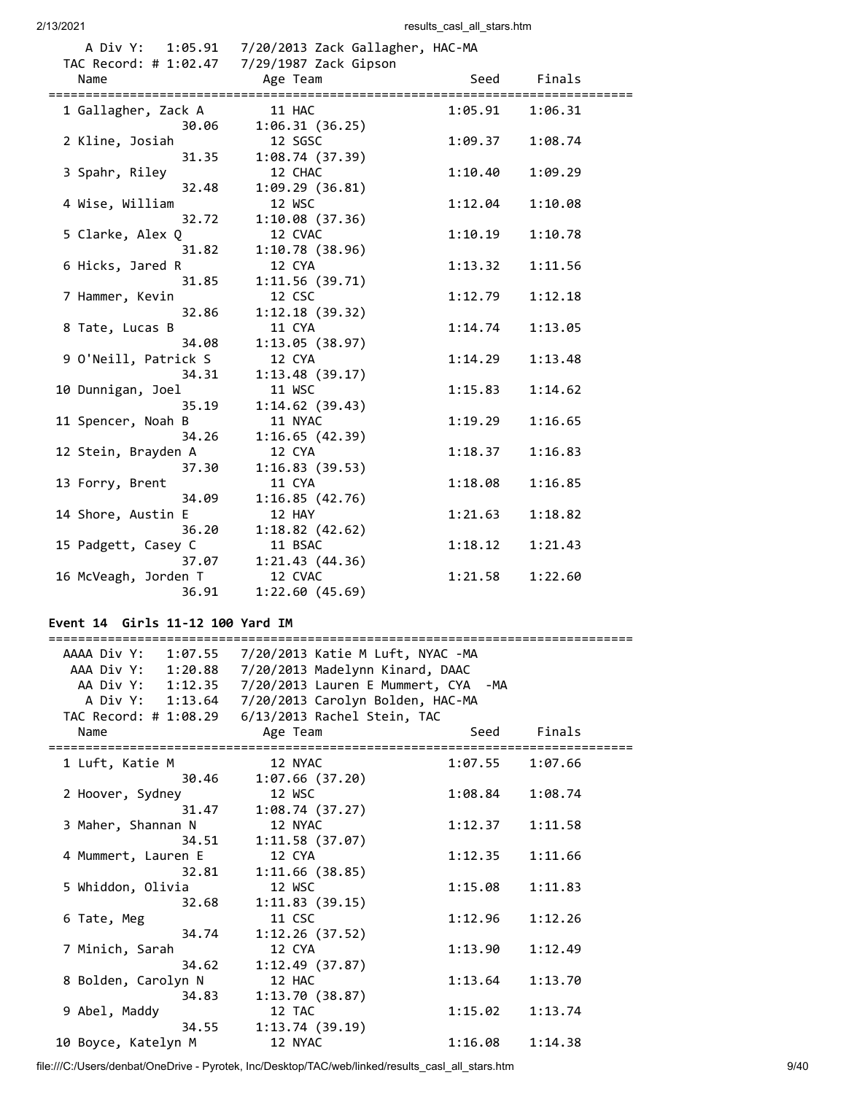|                      | A Div Y: 1:05.91 7/20/2013 Zack Gallagher, HAC-MA |         |         |
|----------------------|---------------------------------------------------|---------|---------|
| Name                 | Age Team                                          | Seed    | Finals  |
| 1 Gallagher, Zack A  | 11 HAC                                            | 1:05.91 | 1:06.31 |
| 30.06                | 1:06.31(36.25)                                    |         |         |
| 2 Kline, Josiah      | 12 SGSC                                           | 1:09.37 | 1:08.74 |
| 31.35                | 1:08.74(37.39)                                    |         |         |
| 3 Spahr, Riley       | 12 CHAC                                           | 1:10.40 | 1:09.29 |
| 32.48                | 1:09.29 (36.81)                                   |         |         |
| 4 Wise, William      | 12 WSC                                            | 1:12.04 | 1:10.08 |
| 32.72                | 1:10.08(37.36)                                    |         |         |
| 5 Clarke, Alex Q     | 12 CVAC                                           | 1:10.19 | 1:10.78 |
| 31.82                | 1:10.78(38.96)                                    |         |         |
| 6 Hicks, Jared R     | 12 CYA                                            | 1:13.32 | 1:11.56 |
| 31.85                | 1:11.56(39.71)                                    |         |         |
| 7 Hammer, Kevin      | 12 CSC                                            | 1:12.79 | 1:12.18 |
| 32.86                | 1:12.18(39.32)                                    |         |         |
| 8 Tate, Lucas B      | 11 CYA                                            | 1:14.74 | 1:13.05 |
| 34.08                | 1:13.05(38.97)                                    |         |         |
| 9 O'Neill, Patrick S | 12 CYA                                            | 1:14.29 | 1:13.48 |
| 34.31                | 1:13.48(39.17)                                    |         |         |
| 10 Dunnigan, Joel    | 11 WSC                                            | 1:15.83 | 1:14.62 |
| 35.19                | 1:14.62(39.43)                                    |         |         |
| 11 Spencer, Noah B   | 11 NYAC                                           | 1:19.29 | 1:16.65 |
| 34.26                | 1:16.65(42.39)                                    |         |         |
| 12 Stein, Brayden A  | 12 CYA                                            | 1:18.37 | 1:16.83 |
| 37.30                | 1:16.83(39.53)                                    |         |         |
| 13 Forry, Brent      | 11 CYA                                            | 1:18.08 | 1:16.85 |
| 34.09                | 1:16.85(42.76)                                    |         |         |
| 14 Shore, Austin E   | 12 HAY                                            | 1:21.63 | 1:18.82 |
| 36.20                | 1:18.82(42.62)                                    |         |         |
| 15 Padgett, Casey C  | 11 BSAC                                           | 1:18.12 | 1:21.43 |
| 37.07                | 1:21.43(44.36)                                    |         |         |
| 16 McVeagh, Jorden T | 12 CVAC                                           | 1:21.58 | 1:22.60 |
| 36.91                | 1:22.60(45.69)                                    |         |         |

# **Event 14 Girls 11-12 100 Yard IM**

===============================================================================

| AAAA Div Y: 1:07.55 | 7/20/2013 Katie M Luft, NYAC -MA                      |         |         |
|---------------------|-------------------------------------------------------|---------|---------|
| AAA Div Y: 1:20.88  | 7/20/2013 Madelynn Kinard, DAAC                       |         |         |
|                     | AA Div Y: 1:12.35 7/20/2013 Lauren E Mummert, CYA -MA |         |         |
|                     | A Div Y: 1:13.64 7/20/2013 Carolyn Bolden, HAC-MA     |         |         |
|                     | TAC Record: # 1:08.29    6/13/2013 Rachel Stein, TAC  |         |         |
| Name                | Age Team                                              | Seed    | Finals  |
| 1 Luft, Katie M     | 12 NYAC                                               | 1:07.55 | 1:07.66 |
| 30.46               | 1:07.66(37.20)                                        |         |         |
| 2 Hoover, Sydney    | 12 WSC                                                | 1:08.84 | 1:08.74 |
| 31.47               | 1:08.74(37.27)                                        |         |         |
| 3 Maher, Shannan N  | 12 NYAC                                               | 1:12.37 | 1:11.58 |
| 34.51               | 1:11.58(37.07)                                        |         |         |
| 4 Mummert, Lauren E | 12 CYA                                                | 1:12.35 | 1:11.66 |
| 32.81               | 1:11.66(38.85)                                        |         |         |
| 5 Whiddon, Olivia   | 12 WSC                                                | 1:15.08 | 1:11.83 |
| 32.68               | 1:11.83(39.15)                                        |         |         |
| 6 Tate, Meg         | 11 CSC                                                | 1:12.96 | 1:12.26 |
| 34.74               | 1:12.26(37.52)                                        |         |         |
| 7 Minich, Sarah     | 12 CYA                                                | 1:13.90 | 1:12.49 |
| 34.62               | 1:12.49(37.87)                                        |         |         |
| 8 Bolden, Carolyn N | 12 HAC                                                | 1:13.64 | 1:13.70 |
| 34.83               | 1:13.70(38.87)                                        |         |         |
| 9 Abel, Maddy       | 12 TAC                                                | 1:15.02 | 1:13.74 |
|                     | 34.55 1:13.74 (39.19)                                 |         |         |
| 10 Boyce, Katelyn M | 12 NYAC                                               | 1:16.08 | 1:14.38 |

file:///C:/Users/denbat/OneDrive - Pyrotek, Inc/Desktop/TAC/web/linked/results\_casl\_all\_stars.htm 9/40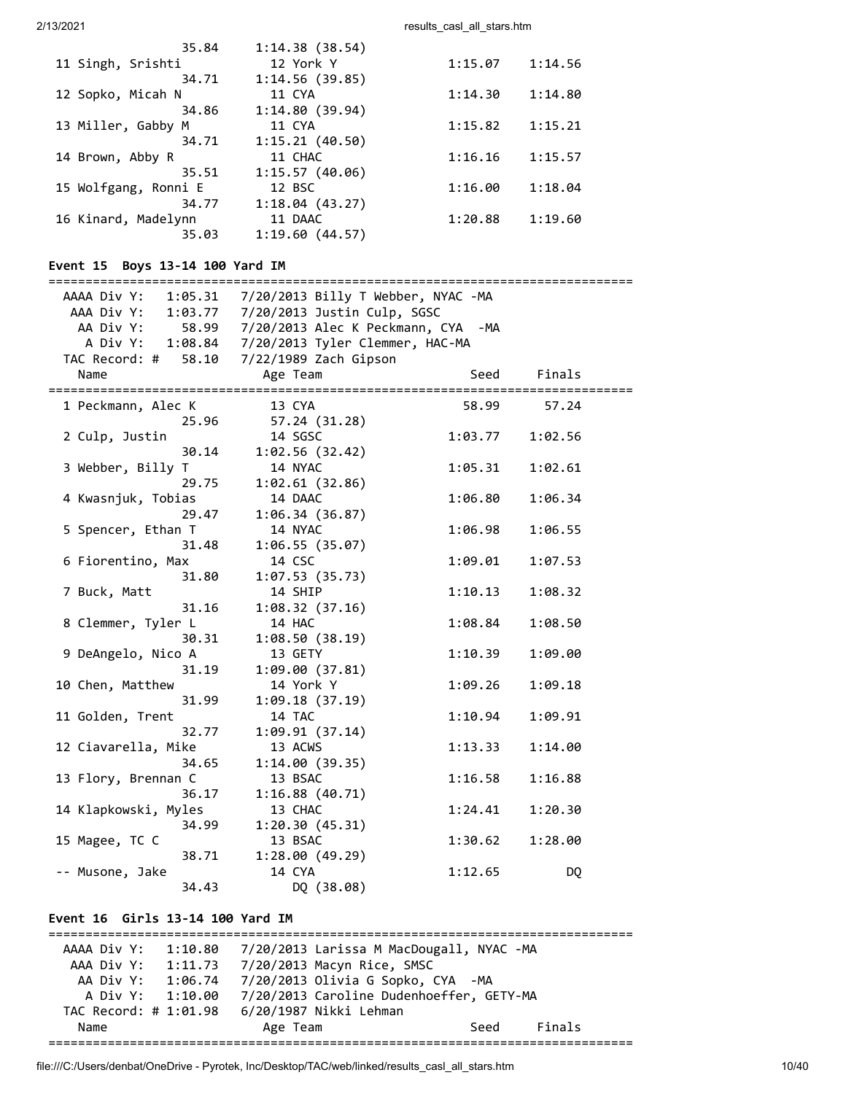| 35.84                | 1:14.38(38.54) |         |         |
|----------------------|----------------|---------|---------|
| 11 Singh, Srishti    | 12 York Y      | 1:15.07 | 1:14.56 |
| 34.71                | 1:14.56(39.85) |         |         |
| 12 Sopko, Micah N    | 11 CYA         | 1:14.30 | 1:14.80 |
| 34.86                | 1:14.80(39.94) |         |         |
| 13 Miller, Gabby M   | 11 CYA         | 1:15.82 | 1:15.21 |
| 34.71                | 1:15.21(40.50) |         |         |
| 14 Brown, Abby R     | 11 CHAC        | 1:16.16 | 1:15.57 |
| 35.51                | 1:15.57(40.06) |         |         |
| 15 Wolfgang, Ronni E | 12 BSC         | 1:16.00 | 1:18.04 |
| 34.77                | 1:18.04(43.27) |         |         |
| 16 Kinard, Madelynn  | 11 DAAC        | 1:20.88 | 1:19.60 |
| 35.03                | 1:19.60(44.57) |         |         |

# **Event 15 Boys 13-14 100 Yard IM**

|                      | AAAA Div Y: 1:05.31  7/20/2013  Billy T Webber, NYAC -MA |         |         |  |
|----------------------|----------------------------------------------------------|---------|---------|--|
|                      | AAA Div Y: 1:03.77 7/20/2013 Justin Culp, SGSC           |         |         |  |
|                      | AA Div Y: 58.99 7/20/2013 Alec K Peckmann, CYA -MA       |         |         |  |
|                      | A Div Y: 1:08.84  7/20/2013 Tyler Clemmer, HAC-MA        |         |         |  |
|                      | TAC Record: # 58.10 7/22/1989 Zach Gipson                |         |         |  |
| Name                 | Age Team                                                 | Seed    | Finals  |  |
| 1 Peckmann, Alec K   | 13 CYA                                                   | 58.99   | 57.24   |  |
| 25.96                | 57.24 (31.28)                                            |         |         |  |
| 2 Culp, Justin       | 14 SGSC                                                  | 1:03.77 | 1:02.56 |  |
| 30.14                | 1:02.56(32.42)                                           |         |         |  |
| 3 Webber, Billy T    | 14 NYAC                                                  | 1:05.31 | 1:02.61 |  |
| 29.75                | 1:02.61(32.86)                                           |         |         |  |
| 4 Kwasnjuk, Tobias   | 14 DAAC                                                  | 1:06.80 | 1:06.34 |  |
| 29.47                | 1:06.34(36.87)                                           |         |         |  |
| 5 Spencer, Ethan T   | 14 NYAC                                                  | 1:06.98 | 1:06.55 |  |
| 31.48                | 1:06.55(35.07)                                           |         |         |  |
| 6 Fiorentino, Max    | 14 CSC                                                   | 1:09.01 | 1:07.53 |  |
| 31.80                | 1:07.53(35.73)                                           |         |         |  |
| 7 Buck, Matt         | 14 SHIP                                                  | 1:10.13 | 1:08.32 |  |
| 31.16                | 1:08.32(37.16)                                           |         |         |  |
| 8 Clemmer, Tyler L   | 14 HAC                                                   | 1:08.84 | 1:08.50 |  |
| 30.31                | 1:08.50(38.19)                                           |         |         |  |
| 9 DeAngelo, Nico A   | 13 GETY                                                  | 1:10.39 | 1:09.00 |  |
| 31.19                | 1:09.00(37.81)                                           |         |         |  |
| 10 Chen, Matthew     | 14 York Y                                                | 1:09.26 | 1:09.18 |  |
| 31.99                | 1:09.18(37.19)                                           |         |         |  |
| 11 Golden, Trent     | 14 TAC                                                   | 1:10.94 | 1:09.91 |  |
| 32.77                | 1:09.91 (37.14)                                          |         |         |  |
| 12 Ciavarella, Mike  | 13 ACWS                                                  | 1:13.33 | 1:14.00 |  |
| 34.65                | 1:14.00(39.35)                                           |         |         |  |
| 13 Flory, Brennan C  | 13 BSAC                                                  | 1:16.58 | 1:16.88 |  |
| 36.17                | 1:16.88(40.71)                                           |         |         |  |
| 14 Klapkowski, Myles | 13 CHAC                                                  | 1:24.41 | 1:20.30 |  |
| 34.99                | 1:20.30(45.31)                                           |         |         |  |
| 15 Magee, TC C       | 13 BSAC                                                  | 1:30.62 | 1:28.00 |  |
| 38.71                | 1:28.00(49.29)                                           |         |         |  |
| -- Musone, Jake      | 14 CYA                                                   | 1:12.65 | DQ      |  |
| 34.43                | DQ (38.08)                                               |         |         |  |

# **Event 16 Girls 13-14 100 Yard IM**

| AAAA Div Y: 1:10.80   |          | 7/20/2013 Larissa M MacDougall, NYAC -MA |      |        |
|-----------------------|----------|------------------------------------------|------|--------|
| AAA Div Y: 1:11.73    |          | 7/20/2013 Macyn Rice, SMSC               |      |        |
| AA Div Y: 1:06.74     |          | 7/20/2013 Olivia G Sopko, CYA -MA        |      |        |
| A Div Y: $1:10.00$    |          | 7/20/2013 Caroline Dudenhoeffer, GETY-MA |      |        |
| TAC Record: # 1:01.98 |          | 6/20/1987 Nikki Lehman                   |      |        |
| Name                  | Age Team |                                          | Seed | Finals |
|                       |          |                                          |      |        |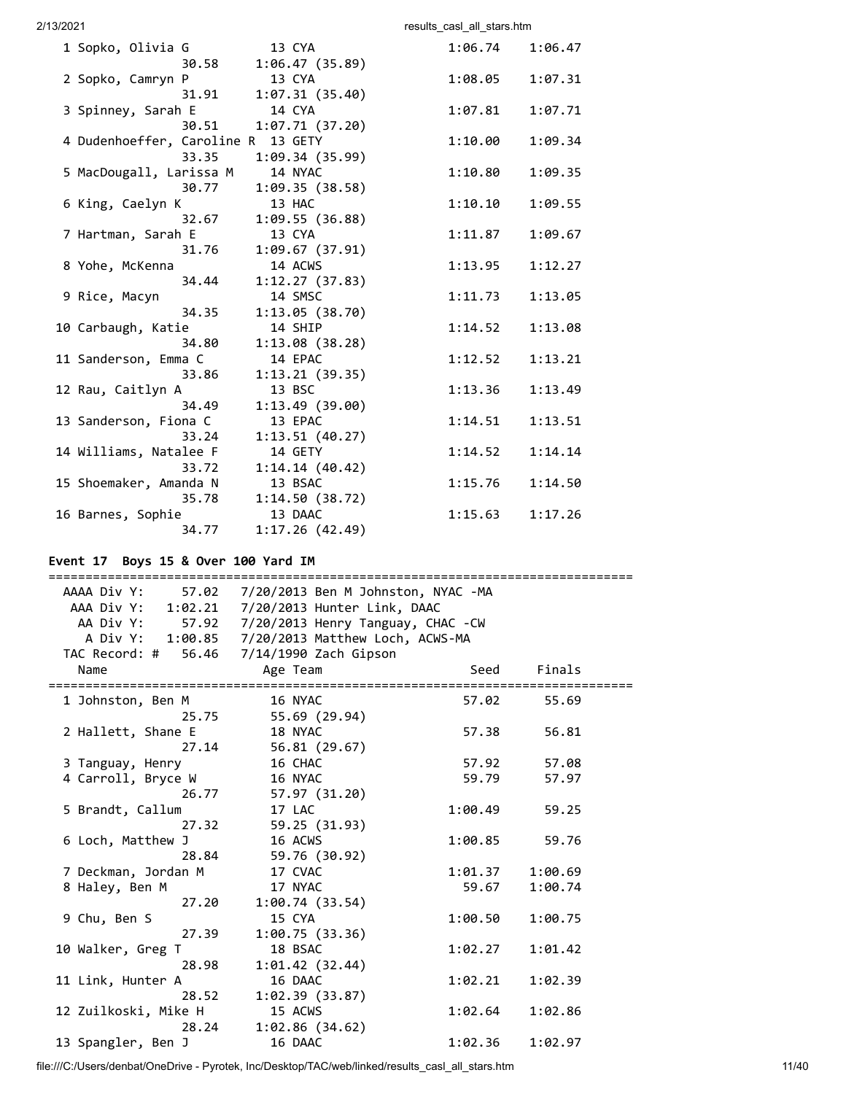2/13/2021 2002 2003 2004 2006 2007 2013 2014 2014 2015 2016 2017 2018 2019 2019 2014 2016 2017 2018 2019 2016 20 1 Sopko, Olivia G 13 CYA 1:06.74 1:06.47 30.58 1:06.47 (35.89) 2 Sopko, Camryn P 13 CYA 1:08.05 1:07.31 31.91 1:07.31 (35.40) 3 Spinney, Sarah E 14 CYA 1:07.81 1:07.71 30.51 1:07.71 (37.20) 4 Dudenhoeffer, Caroline R 13 GETY 1:10.00 1:09.34 33.35 1:09.34 (35.99) 5 MacDougall, Larissa M 14 NYAC 1:10.80 1:09.35 30.77 1:09.35 (38.58) 6 King, Caelyn K 13 HAC 1:10.10 1:09.55 32.67 1:09.55 (36.88) 7 Hartman, Sarah E 13 CYA 1:11.87 1:09.67 31.76 1:09.67 (37.91) 8 Yohe, McKenna 14 ACWS 1:13.95 1:12.27 34.44 1:12.27 (37.83) 9 Rice, Macyn 14 SMSC 1:11.73 1:13.05 34.35 1:13.05 (38.70) 10 Carbaugh, Katie 14 SHIP 1:14.52 1:13.08 34.80 1:13.08 (38.28) 11 Sanderson, Emma C 14 EPAC 1:12.52 1:13.21 33.86 1:13.21 (39.35) 12 Rau, Caitlyn A 13 BSC 1:13.36 1:13.49 34.49 1:13.49 (39.00) 13 Sanderson, Fiona C 13 EPAC 1:14.51 1:13.51 33.24 1:13.51 (40.27) 14 Williams, Natalee F 14 GETY 1:14.52 1:14.14 33.72 1:14.14 (40.42) 15 Shoemaker, Amanda N 13 BSAC 1:15.76 1:14.50 35.78 1:14.50 (38.72) 16 Barnes, Sophie 13 DAAC 1:15.63 1:17.26 34.77 1:17.26 (42.49)

# **Event 17 Boys 15 & Over 100 Yard IM**

| AAAA Div Y:<br>57.02           | 7/20/2013 Ben M Johnston, NYAC -MA               |         |         |  |
|--------------------------------|--------------------------------------------------|---------|---------|--|
|                                | AAA Div Y: 1:02.21 7/20/2013 Hunter Link, DAAC   |         |         |  |
| AA Div Y:                      | 57.92 7/20/2013 Henry Tanguay, CHAC -CW          |         |         |  |
|                                | A Div Y: 1:00.85 7/20/2013 Matthew Loch, ACWS-MA |         |         |  |
|                                | TAC Record: # 56.46 7/14/1990 Zach Gipson        |         |         |  |
| Name<br>====================== | Age Team                                         | Seed    | Finals  |  |
| 1 Johnston, Ben M              | 16 NYAC                                          | 57.02   | 55.69   |  |
| 25.75                          | 55.69 (29.94)                                    |         |         |  |
| 2 Hallett, Shane E             | 18 NYAC                                          | 57.38   | 56.81   |  |
| 27.14                          | 56.81 (29.67)                                    |         |         |  |
| 3 Tanguay, Henry               | 16 CHAC                                          | 57.92   | 57.08   |  |
| 4 Carroll, Bryce W             | 16 NYAC                                          | 59.79   | 57.97   |  |
| 26.77                          | 57.97 (31.20)                                    |         |         |  |
| 5 Brandt, Callum               | 17 LAC                                           | 1:00.49 | 59.25   |  |
| 27.32                          | 59.25 (31.93)                                    |         |         |  |
| 6 Loch, Matthew J              | 16 ACWS                                          | 1:00.85 | 59.76   |  |
| 28.84                          | 59.76 (30.92)                                    |         |         |  |
| 7 Deckman, Jordan M            | 17 CVAC                                          | 1:01.37 | 1:00.69 |  |
| 8 Haley, Ben M                 | 17 NYAC                                          | 59.67   | 1:00.74 |  |
| 27.20                          | 1:00.74(33.54)                                   |         |         |  |
| 9 Chu, Ben S                   | 15 CYA                                           | 1:00.50 | 1:00.75 |  |
| 27.39                          | 1:00.75(33.36)                                   |         |         |  |
| 10 Walker, Greg T              | 18 BSAC                                          | 1:02.27 | 1:01.42 |  |
| 28.98                          | 1:01.42(32.44)                                   |         |         |  |
| 11 Link, Hunter A              | 16 DAAC                                          | 1:02.21 | 1:02.39 |  |
| 28.52                          | 1:02.39(33.87)                                   |         |         |  |
| 12 Zuilkoski, Mike H           | 15 ACWS                                          | 1:02.64 | 1:02.86 |  |
| 28.24                          | 1:02.86(34.62)                                   |         |         |  |
| 13 Spangler, Ben J             | 16 DAAC                                          | 1:02.36 | 1:02.97 |  |

file:///C:/Users/denbat/OneDrive - Pyrotek, Inc/Desktop/TAC/web/linked/results\_casl\_all\_stars.htm 11/40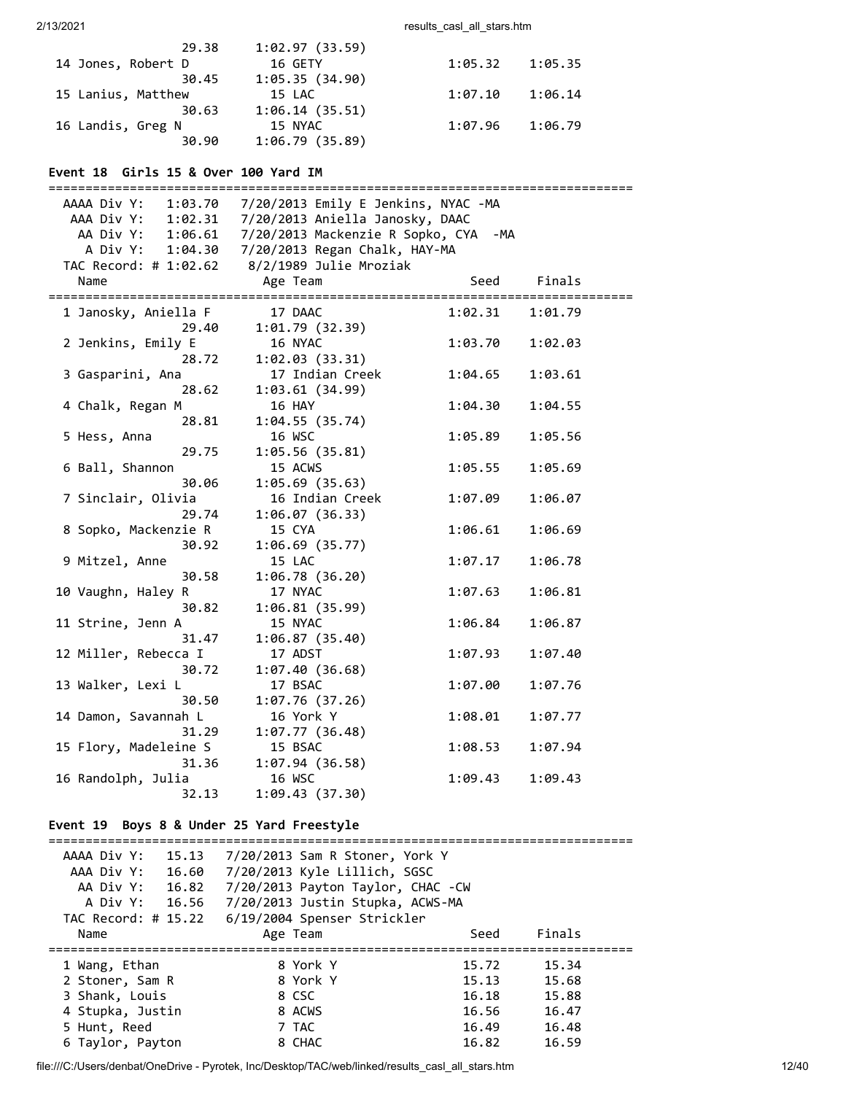| 29.38              | 1:02.97(33.59) |         |         |
|--------------------|----------------|---------|---------|
| 14 Jones, Robert D | 16 GETY        | 1:05.32 | 1:05.35 |
| 30.45              | 1:05.35(34.90) |         |         |
| 15 Lanius, Matthew | 15 LAC         | 1:07.10 | 1:06.14 |
| 30.63              | 1:06.14(35.51) |         |         |
| 16 Landis, Greg N  | 15 NYAC        | 1:07.96 | 1:06.79 |
| 30.90              | 1:06.79(35.89) |         |         |

# **Event 18 Girls 15 & Over 100 Yard IM**

| ======================== |                                                                                |         |         |
|--------------------------|--------------------------------------------------------------------------------|---------|---------|
|                          | AAAA Div Y: 1:03.70                     7/20/2013    Emily E Jenkins, NYAC -MA |         |         |
|                          | AAA Div Y: 1:02.31 7/20/2013 Aniella Janosky, DAAC                             |         |         |
| AA Div Y: 1:06.61        | 7/20/2013 Mackenzie R Sopko, CYA                                               | -MA     |         |
| A Div Y: 1:04.30         | 7/20/2013 Regan Chalk, HAY-MA                                                  |         |         |
| TAC Record: # 1:02.62    | 8/2/1989 Julie Mroziak                                                         |         |         |
| Name                     | Age Team                                                                       | Seed    | Finals  |
| 1 Janosky, Aniella F     | 17 DAAC                                                                        | 1:02.31 | 1:01.79 |
| 29.40                    | 1:01.79(32.39)                                                                 |         |         |
| 2 Jenkins, Emily E       | 16 NYAC                                                                        | 1:03.70 | 1:02.03 |
| 28.72                    | 1:02.03(33.31)                                                                 |         |         |
| 3 Gasparini, Ana         | 17 Indian Creek                                                                | 1:04.65 | 1:03.61 |
| 28.62                    | 1:03.61(34.99)                                                                 |         |         |
| 4 Chalk, Regan M         | <b>16 HAY</b>                                                                  | 1:04.30 | 1:04.55 |
| 28.81                    | 1:04.55(35.74)                                                                 |         |         |
| 5 Hess, Anna             | 16 WSC                                                                         | 1:05.89 | 1:05.56 |
| 29.75                    | 1:05.56(35.81)                                                                 |         |         |
| 6 Ball, Shannon          | 15 ACWS                                                                        | 1:05.55 | 1:05.69 |
| 30.06                    | 1:05.69(35.63)                                                                 |         |         |
| 7 Sinclair, Olivia       | 16 Indian Creek                                                                | 1:07.09 | 1:06.07 |
| 29.74                    | 1:06.07(36.33)                                                                 |         |         |
| 8 Sopko, Mackenzie R     | 15 CYA                                                                         | 1:06.61 | 1:06.69 |
| 30.92                    | 1:06.69(35.77)                                                                 |         |         |
| 9 Mitzel, Anne           | 15 LAC                                                                         | 1:07.17 | 1:06.78 |
| 30.58                    | 1:06.78(36.20)                                                                 |         |         |
| 10 Vaughn, Haley R       | 17 NYAC                                                                        | 1:07.63 | 1:06.81 |
| 30.82                    | 1:06.81(35.99)                                                                 |         |         |
| 11 Strine, Jenn A        | 15 NYAC                                                                        | 1:06.84 | 1:06.87 |
| 31.47                    | 1:06.87(35.40)                                                                 |         |         |
| 12 Miller, Rebecca I     | 17 ADST                                                                        | 1:07.93 | 1:07.40 |
| 30.72                    | 1:07.40(36.68)                                                                 |         |         |
| 13 Walker, Lexi L        | 17 BSAC                                                                        | 1:07.00 | 1:07.76 |
| 30.50                    | 1:07.76(37.26)                                                                 |         |         |
|                          |                                                                                |         |         |
| 14 Damon, Savannah L     | 16 York Y                                                                      | 1:08.01 | 1:07.77 |
| 31.29                    | 1:07.77(36.48)                                                                 |         |         |
| 15 Flory, Madeleine S    | 15 BSAC                                                                        | 1:08.53 | 1:07.94 |
| 31.36                    | 1:07.94(36.58)                                                                 |         |         |
| 16 Randolph, Julia       | 16 WSC                                                                         | 1:09.43 | 1:09.43 |
| 32.13                    | 1:09.43(37.30)                                                                 |         |         |

# **Event 19 Boys 8 & Under 25 Yard Freestyle**

| AAAA Div Y:<br>15.13<br>AAA Div Y:<br>16.60<br>AA Div Y:<br>16.82<br>A Div Y: 16.56<br>TAC Record: # 15.22 | 7/20/2013 Sam R Stoner, York Y<br>7/20/2013 Kyle Lillich, SGSC<br>7/20/2013 Payton Taylor, CHAC -CW<br>7/20/2013 Justin Stupka, ACWS-MA<br>6/19/2004 Spenser Strickler |       |        |
|------------------------------------------------------------------------------------------------------------|------------------------------------------------------------------------------------------------------------------------------------------------------------------------|-------|--------|
| Name                                                                                                       | Age Team                                                                                                                                                               | Seed  | Finals |
|                                                                                                            |                                                                                                                                                                        |       |        |
| 1 Wang, Ethan                                                                                              | 8 York Y                                                                                                                                                               | 15.72 | 15.34  |
| 2 Stoner, Sam R                                                                                            | 8 York Y                                                                                                                                                               | 15.13 | 15.68  |
| 3 Shank, Louis                                                                                             | 8 CSC                                                                                                                                                                  | 16.18 | 15.88  |
| 4 Stupka, Justin                                                                                           | 8 ACWS                                                                                                                                                                 | 16.56 | 16.47  |
| 5 Hunt, Reed                                                                                               | 7 TAC                                                                                                                                                                  | 16.49 | 16.48  |
| 6 Taylor, Payton                                                                                           | 8 CHAC                                                                                                                                                                 | 16.82 | 16.59  |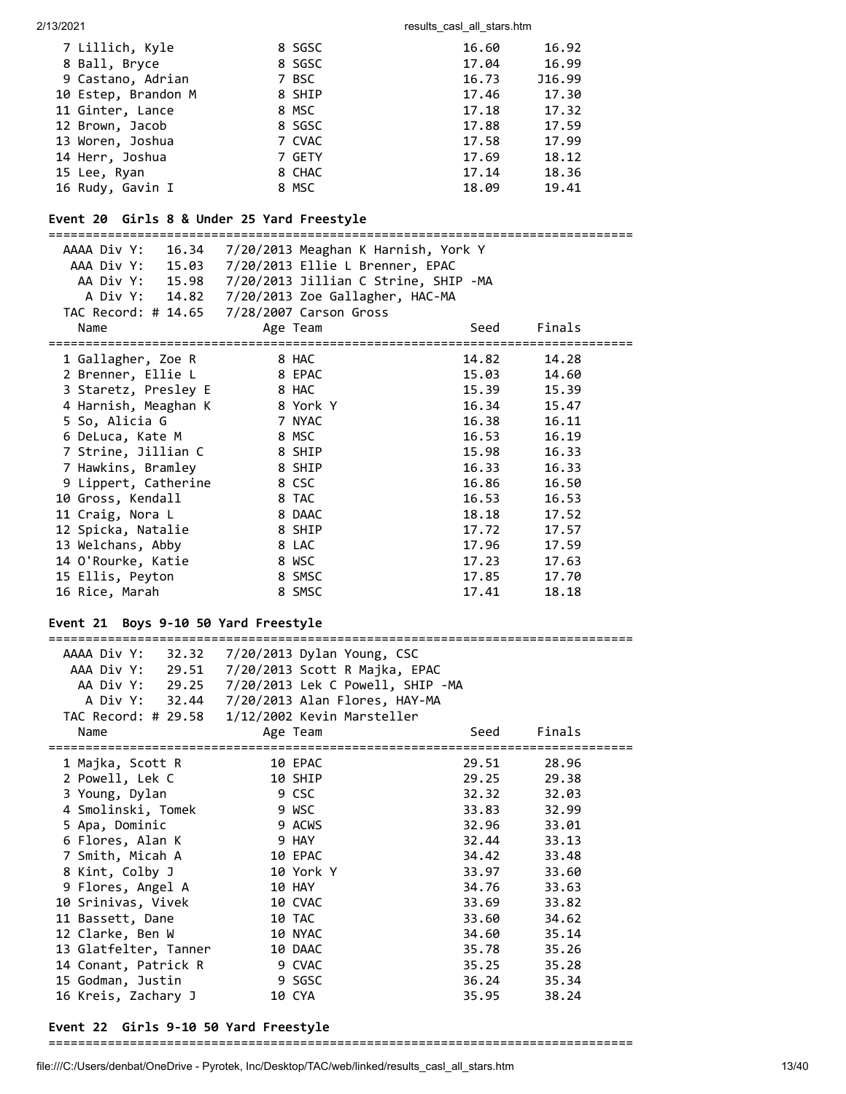| 7 Lillich, Kyle     | 8 SGSC | 16.60 | 16.92  |
|---------------------|--------|-------|--------|
| 8 Ball, Bryce       | 8 SGSC | 17.04 | 16.99  |
| 9 Castano, Adrian   | 7 BSC  | 16.73 | J16.99 |
| 10 Estep, Brandon M | 8 SHIP | 17.46 | 17.30  |
| 11 Ginter, Lance    | 8 MSC  | 17.18 | 17.32  |
| 12 Brown, Jacob     | 8 SGSC | 17.88 | 17.59  |
| 13 Woren, Joshua    | 7 CVAC | 17.58 | 17.99  |
| 14 Herr, Joshua     | 7 GETY | 17.69 | 18.12  |
| 15 Lee, Ryan        | 8 CHAC | 17.14 | 18.36  |
| 16 Rudy, Gavin I    | 8 MSC  | 18.09 | 19.41  |
|                     |        |       |        |

# **Event 20 Girls 8 & Under 25 Yard Freestyle**

=============================================================================== AAAA Div Y: 16.34 7/20/2013 Meaghan K Harnish, York Y AAA Div Y: 15.03 7/20/2013 Ellie L Brenner, EPAC AA Div Y: 15.98 7/20/2013 Jillian C Strine, SHIP -MA A Div Y: 14.82 7/20/2013 Zoe Gallagher, HAC-MA TAC Record: # 14.65 7/28/2007 Carson Gross<br>Name Age Team Name Age Team Seed Finals =============================================================================== 1 Gallagher, Zoe R 8 HAC 14.82 14.28 2 Brenner, Ellie L 8 EPAC 15.03 14.60 3 Staretz, Presley E 8 HAC 15.39 15.39 4 Harnish, Meaghan K 8 York Y 16.34 15.47 5 So, Alicia G 7 NYAC 16.38 16.11 6 DeLuca, Kate M 8 MSC 16.53 16.19 7 Strine, Jillian C 8 SHIP 15.98 16.33 7 Hawkins, Bramley 8 SHIP 16.33 16.33 9 Lippert, Catherine 8 CSC 16.86 16.50 10 Gross, Kendall 8 TAC 16.53 16.53 11 Craig, Nora L 8 DAAC 18.18 17.52 12 Spicka, Natalie 8 SHIP 17.72 17.57 13 Welchans, Abby 8 LAC 17.96 17.59 14 O'Rourke, Katie 8 WSC 17.23 17.63 15 Ellis, Peyton 8 SMSC 17.85 17.70 16 Rice, Marah 8 SMSC 17.41 18.18

#### **Event 21 Boys 9-10 50 Yard Freestyle**

===============================================================================

| AAAA Div Y:<br>32.32  | 7/20/2013 Dylan Young, CSC       |       |        |
|-----------------------|----------------------------------|-------|--------|
| AAA Div Y: 29.51      | 7/20/2013 Scott R Majka, EPAC    |       |        |
| AA Div Y: 29.25       | 7/20/2013 Lek C Powell, SHIP -MA |       |        |
| A Div Y: 32.44        | 7/20/2013 Alan Flores, HAY-MA    |       |        |
| TAC Record: # 29.58   | 1/12/2002 Kevin Marsteller       |       |        |
| Name                  | Age Team                         | Seed  | Finals |
| 1 Majka, Scott R      | 10 EPAC                          | 29.51 | 28.96  |
| 2 Powell, Lek C       | 10 SHIP                          | 29.25 | 29.38  |
| 3 Young, Dylan        | 9 CSC                            | 32.32 | 32.03  |
| 4 Smolinski, Tomek    | 9 WSC                            | 33.83 | 32.99  |
| 5 Apa, Dominic        | 9 ACWS                           | 32.96 | 33.01  |
| 6 Flores, Alan K      | 9 HAY                            | 32.44 | 33.13  |
| 7 Smith, Micah A      | 10 EPAC                          | 34.42 | 33.48  |
| 8 Kint, Colby J       | 10 York Y                        | 33.97 | 33.60  |
| 9 Flores, Angel A     | 10 HAY                           | 34.76 | 33.63  |
| 10 Srinivas, Vivek    | 10 CVAC                          | 33.69 | 33.82  |
| 11 Bassett, Dane      | 10 TAC                           | 33.60 | 34.62  |
| 12 Clarke, Ben W      | 10 NYAC                          | 34.60 | 35.14  |
| 13 Glatfelter, Tanner | 10 DAAC                          | 35.78 | 35.26  |
| 14 Conant, Patrick R  | 9 CVAC                           | 35.25 | 35.28  |
| 15 Godman, Justin     | 9 SGSC                           | 36.24 | 35.34  |
| 16 Kreis, Zachary J   | 10 CYA                           | 35.95 | 38.24  |
|                       |                                  |       |        |

#### **Event 22 Girls 9-10 50 Yard Freestyle**

===============================================================================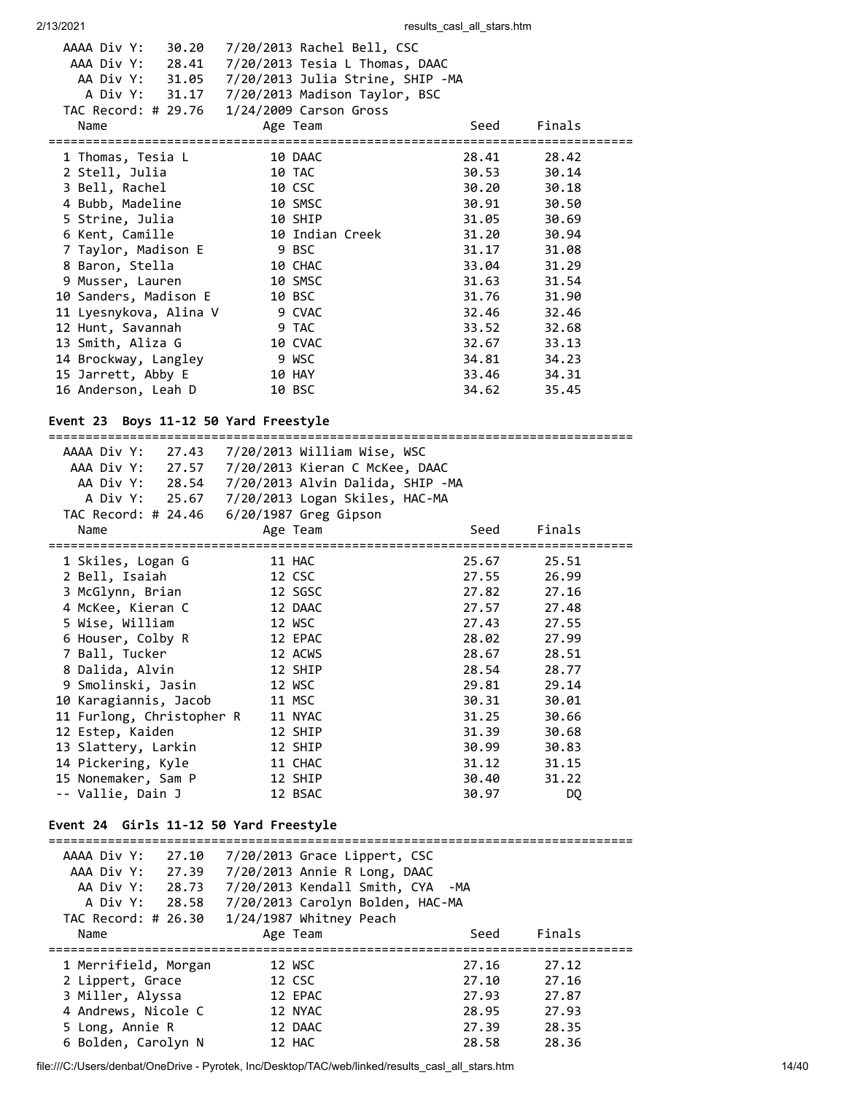| AAAA Div Y:<br>30.20          | 7/20/2013 Rachel Bell, CSC                       |       |             |  |
|-------------------------------|--------------------------------------------------|-------|-------------|--|
| AAA Div Y: 28.41              | 7/20/2013 Tesia L Thomas, DAAC                   |       |             |  |
|                               | AA Div Y: 31.05 7/20/2013 Julia Strine, SHIP -MA |       |             |  |
|                               |                                                  |       |             |  |
|                               | TAC Record: # 29.76 1/24/2009 Carson Gross       |       |             |  |
| Name                          | Age Team                                         | Seed  | Finals      |  |
|                               |                                                  |       |             |  |
| 1 Thomas, Tesia L             | 10 DAAC                                          |       | 28.41 28.42 |  |
| 2 Stell, Julia                | 10 TAC                                           |       | 30.53 30.14 |  |
| 3 Bell, Rachel                | 10 CSC                                           |       | 30.20 30.18 |  |
| 4 Bubb, Madeline              | 10 SMSC                                          | 30.91 | 30.50       |  |
| 5 Strine, Julia               | 10 SHIP                                          | 31.05 | 30.69       |  |
| 6 Kent, Camille               | 10 Indian Creek                                  | 31.20 | 30.94       |  |
| 7 Taylor, Madison E 9 BSC     |                                                  |       | 31.17 31.08 |  |
| 8 Baron, Stella               | 10 CHAC                                          | 33.04 | 31.29       |  |
| 9 Musser, Lauren              | 10 SMSC                                          |       | 31.63 31.54 |  |
| 10 Sanders, Madison E         | 10 BSC                                           |       | 31.76 31.90 |  |
| 11 Lyesnykova, Alina V 9 CVAC |                                                  | 32.46 | 32.46       |  |
| 12 Hunt, Savannah             | 9 TAC                                            | 33.52 | 32.68       |  |
| 13 Smith, Aliza G             | 10 CVAC                                          |       | 32.67 33.13 |  |
| 14 Brockway, Langley          | 9 WSC                                            |       | 34.81 34.23 |  |
| 15 Jarrett, Abby E            | 10 HAY                                           |       | 33.46 34.31 |  |
| 16 Anderson, Leah D           | 10 BSC                                           | 34.62 | 35.45       |  |
|                               |                                                  |       |             |  |

# **Event 23 Boys 11-12 50 Yard Freestyle**

===============================================================================

| AAAA Div Y:<br>27.43                                                  | 7/20/2013 William Wise, WSC                                                                       |             |           |  |
|-----------------------------------------------------------------------|---------------------------------------------------------------------------------------------------|-------------|-----------|--|
| AAA Div Y:<br>27.57                                                   | 7/20/2013 Kieran C McKee, DAAC                                                                    |             |           |  |
| AA Div Y: 28.54                                                       | 7/20/2013 Alvin Dalida, SHIP -MA                                                                  |             |           |  |
| A Div Y:<br>25.67                                                     | 7/20/2013 Logan Skiles, HAC-MA                                                                    |             |           |  |
| TAC Record: # 24.46                                                   | $6/20/1987$ Greg Gipson                                                                           |             |           |  |
| Name                                                                  | Age Team                                                                                          | Seed        | Finals    |  |
| =====================                                                 |                                                                                                   |             |           |  |
| 1 Skiles, Logan G                                                     | 11 HAC                                                                                            | 25.67       | 25.51     |  |
| 2 Bell, Isaiah                                                        | 12 CSC                                                                                            | 27.55       | 26.99     |  |
| 3 McGlynn, Brian                                                      | 12 SGSC                                                                                           | 27.82       | 27.16     |  |
| 4 McKee, Kieran C                                                     | 12 DAAC                                                                                           | 27.57       | 27.48     |  |
| 5 Wise, William                                                       | 12 WSC                                                                                            | 27.43       | 27.55     |  |
| 6 Houser, Colby R                                                     | 12 EPAC                                                                                           | 28.02       | 27.99     |  |
| 7 Ball, Tucker                                                        | 12 ACWS                                                                                           | 28.67       | 28.51     |  |
| 8 Dalida, Alvin                                                       | 12 SHIP                                                                                           | 28.54       | 28.77     |  |
| 9 Smolinski, Jasin                                                    | 12 WSC                                                                                            | 29.81       | 29.14     |  |
| 10 Karagiannis, Jacob                                                 | 11 MSC                                                                                            | 30.31       | 30.01     |  |
| 11 Furlong, Christopher R                                             | 11 NYAC                                                                                           | 31.25       | 30.66     |  |
| 12 Estep, Kaiden                                                      | 12 SHIP                                                                                           | 31.39       | 30.68     |  |
| 13 Slattery, Larkin                                                   | 12 SHIP                                                                                           | 30.99       | 30.83     |  |
| 14 Pickering, Kyle                                                    | 11 CHAC                                                                                           | 31.12       | 31.15     |  |
| 15 Nonemaker, Sam P                                                   | 12 SHIP                                                                                           | 30.40       | 31.22     |  |
| -- Vallie, Dain J                                                     | 12 BSAC                                                                                           | 30.97       | DQ        |  |
|                                                                       |                                                                                                   |             |           |  |
| Event 24 Girls 11-12 50 Yard Freestyle<br>=========================== | =================                                                                                 |             |           |  |
| AAAA Div Y:<br>27.10                                                  | 7/20/2013 Grace Lippert, CSC                                                                      |             |           |  |
|                                                                       |                                                                                                   |             |           |  |
|                                                                       | AAA Div Y: 27.39 7/20/2013 Annie R Long, DAAC<br>AA Div Y: 28.73 7/20/2013 Kendall Smith, CYA -MA |             |           |  |
| A Div Y:                                                              | 28.58 7/20/2013 Carolyn Bolden, HAC-MA                                                            |             |           |  |
| TAC Record: # 26.30                                                   | 1/24/1987 Whitney Peach                                                                           |             |           |  |
| Name                                                                  | Age Team                                                                                          | Seed        | Finals    |  |
|                                                                       |                                                                                                   | =========== | ========= |  |
| 1 Merrifield, Morgan                                                  | 12 WSC                                                                                            | 27.16       | 27.12     |  |
| 2 Lippert, Grace                                                      | 12 CSC                                                                                            | 27.10       | 27.16     |  |
| 3 Miller, Alyssa                                                      | 12 EPAC                                                                                           | 27.93       | 27.87     |  |
| 4 Andrews, Nicole C                                                   | 12 NYAC                                                                                           | 28.95       | 27.93     |  |
| 5 Long, Annie R                                                       | 12 DAAC                                                                                           | 27.39       | 28.35     |  |
| 6 Bolden, Carolyn N                                                   | 12 HAC                                                                                            | 28.58       | 28.36     |  |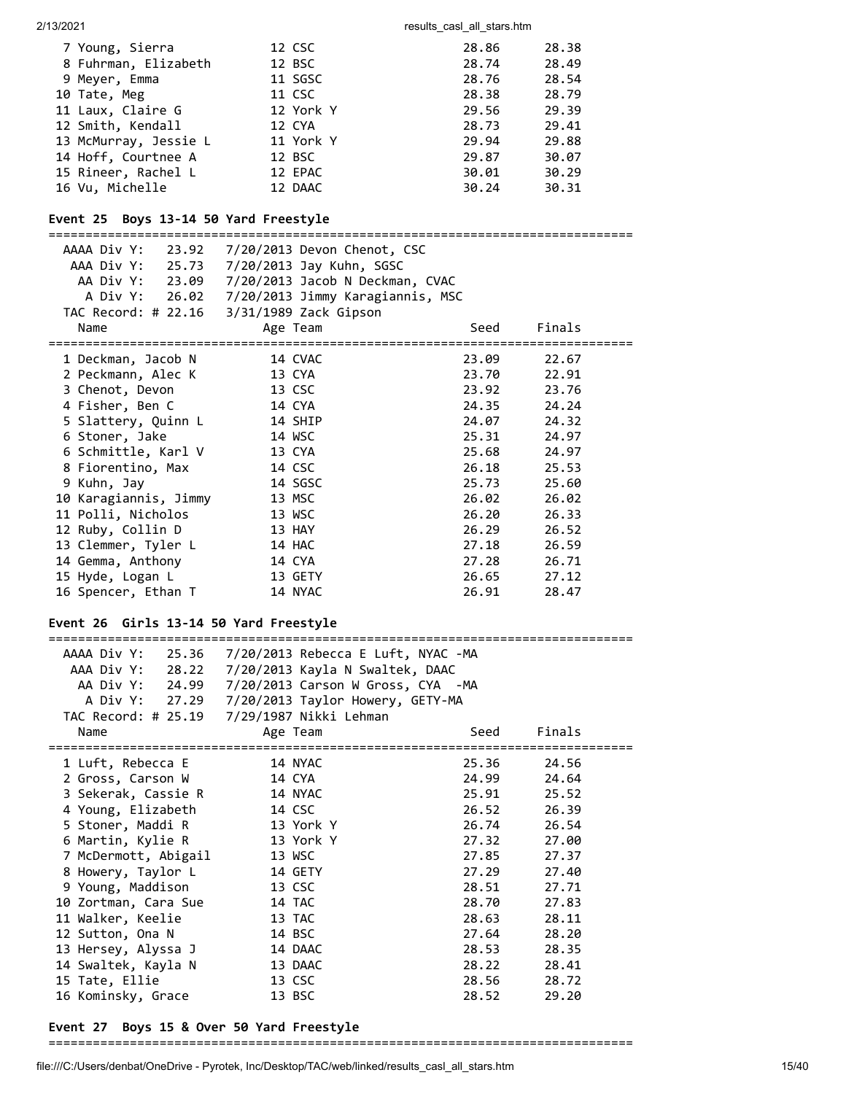#### 2/13/2021 2002 2003 2004 2006 2007 2013 2021 2013 2021 2014 2015 2016 2017 2018 2019 2019 2014 2016 2017 2018

| 7 Young, Sierra       | 12 CSC    | 28.86 | 28.38 |
|-----------------------|-----------|-------|-------|
| 8 Fuhrman, Elizabeth  | 12 BSC    | 28.74 | 28.49 |
| 9 Meyer, Emma         | 11 SGSC   | 28.76 | 28.54 |
| 10 Tate, Meg          | 11 CSC    | 28.38 | 28.79 |
| 11 Laux, Claire G     | 12 York Y | 29.56 | 29.39 |
| 12 Smith, Kendall     | 12 CYA    | 28.73 | 29.41 |
| 13 McMurray, Jessie L | 11 York Y | 29.94 | 29.88 |
| 14 Hoff, Courtnee A   | 12 BSC    | 29.87 | 30.07 |
| 15 Rineer, Rachel L   | 12 EPAC   | 30.01 | 30.29 |
| 16 Vu, Michelle       | 12 DAAC   | 30.24 | 30.31 |

# **Event 25 Boys 13-14 50 Yard Freestyle**

===============================================================================

| AAAA Div Y:<br>23.92  | 7/20/2013 Devon Chenot, CSC                     |                        |        |  |
|-----------------------|-------------------------------------------------|------------------------|--------|--|
| AAA Div Y: 25.73      | 7/20/2013 Jay Kuhn, SGSC                        |                        |        |  |
|                       | AA Div Y: 23.09 7/20/2013 Jacob N Deckman, CVAC |                        |        |  |
|                       | A Div Y: 26.02 7/20/2013 Jimmy Karagiannis, MSC |                        |        |  |
|                       | TAC Record: # 22.16 3/31/1989 Zack Gipson       |                        |        |  |
| Name                  | Age Team                                        | Seed                   | Finals |  |
|                       |                                                 | ====================== |        |  |
| 1 Deckman, Jacob N    | 14 CVAC                                         | 23.09                  | 22.67  |  |
| 2 Peckmann, Alec K    | 13 CYA                                          | 23.70                  | 22.91  |  |
| 3 Chenot, Devon       | 13 CSC                                          | 23.92                  | 23.76  |  |
| 4 Fisher, Ben C       | 14 CYA                                          | 24.35                  | 24.24  |  |
| 5 Slattery, Quinn L   | 14 SHIP                                         | 24.07                  | 24.32  |  |
| 6 Stoner, Jake        | 14 WSC                                          | 25.31                  | 24.97  |  |
| 6 Schmittle, Karl V   | 13 CYA                                          | 25.68                  | 24.97  |  |
| 8 Fiorentino, Max     | 14 CSC                                          | 26.18                  | 25.53  |  |
| 9 Kuhn, Jay           | 14 SGSC                                         | 25.73                  | 25.60  |  |
| 10 Karagiannis, Jimmy | 13 MSC                                          | 26.02                  | 26.02  |  |
| 11 Polli, Nicholos    | 13 WSC                                          | 26.20                  | 26.33  |  |
| 12 Ruby, Collin D     | 13 HAY                                          | 26.29                  | 26.52  |  |
| 13 Clemmer, Tyler L   | 14 HAC                                          | 27.18                  | 26.59  |  |
| 14 Gemma, Anthony     | 14 CYA                                          | 27.28                  | 26.71  |  |
| 15 Hyde, Logan L      | 13 GETY                                         | 26.65                  | 27.12  |  |
| 16 Spencer, Ethan T   | 14 NYAC                                         | 26.91                  | 28.47  |  |
|                       |                                                 |                        |        |  |

# **Event 26 Girls 13-14 50 Yard Freestyle**

===============================================================================

| AAAA Div Y:<br>25.36 | 7/20/2013 Rebecca E Luft, NYAC -MA              |       |        |  |  |
|----------------------|-------------------------------------------------|-------|--------|--|--|
| AAA Div Y: 28.22     | 7/20/2013 Kayla N Swaltek, DAAC                 |       |        |  |  |
| AA Div Y: 24.99      | 7/20/2013 Carson W Gross, CYA -MA               |       |        |  |  |
|                      | A Div Y: 27.29 7/20/2013 Taylor Howery, GETY-MA |       |        |  |  |
|                      |                                                 |       |        |  |  |
| Name                 | Age Team                                        | Seed  | Finals |  |  |
| 1 Luft, Rebecca E    | 14 NYAC                                         | 25.36 | 24.56  |  |  |
| 2 Gross, Carson W    | 14 CYA                                          | 24.99 | 24.64  |  |  |
| 3 Sekerak, Cassie R  | 14 NYAC                                         | 25.91 | 25.52  |  |  |
| 4 Young, Elizabeth   | 14 CSC                                          | 26.52 | 26.39  |  |  |
| 5 Stoner, Maddi R    | 13 York Y                                       | 26.74 | 26.54  |  |  |
| 6 Martin, Kylie R    | 13 York Y                                       | 27.32 | 27.00  |  |  |
| 7 McDermott, Abigail | 13 WSC                                          | 27.85 | 27.37  |  |  |
| 8 Howery, Taylor L   | 14 GETY                                         | 27.29 | 27.40  |  |  |
| 9 Young, Maddison    | 13 CSC                                          | 28.51 | 27.71  |  |  |
| 10 Zortman, Cara Sue | 14 TAC                                          | 28.70 | 27.83  |  |  |
| 11 Walker, Keelie    | 13 TAC                                          | 28.63 | 28.11  |  |  |
| 12 Sutton, Ona N     | 14 BSC                                          | 27.64 | 28.20  |  |  |
| 13 Hersey, Alyssa J  | 14 DAAC                                         | 28.53 | 28.35  |  |  |
| 14 Swaltek, Kayla N  | 13 DAAC                                         | 28.22 | 28.41  |  |  |
| 15 Tate, Ellie       | 13 CSC                                          | 28.56 | 28.72  |  |  |
| 16 Kominsky, Grace   | 13 BSC                                          | 28.52 | 29.20  |  |  |
|                      |                                                 |       |        |  |  |

#### **Event 27 Boys 15 & Over 50 Yard Freestyle**

===============================================================================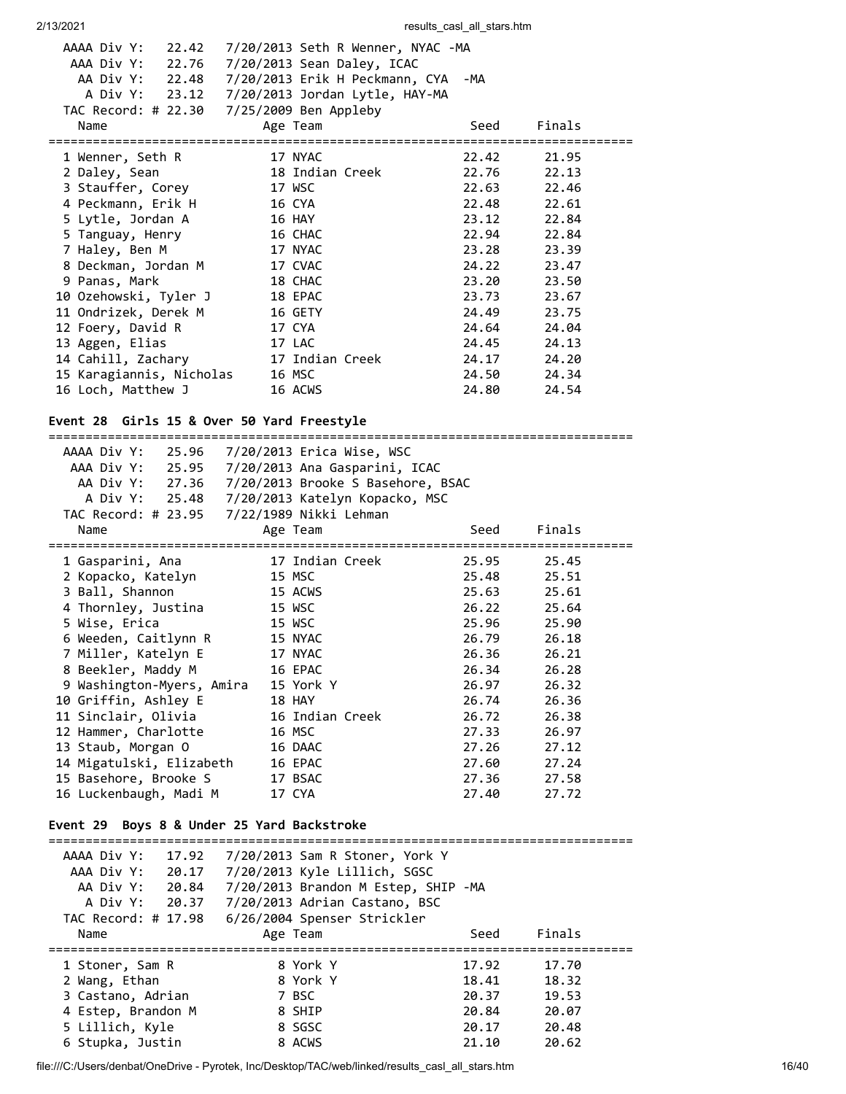| AAAA Div Y:<br>22.42     | 7/20/2013 Seth R Wenner, NYAC -MA             |       |             |  |
|--------------------------|-----------------------------------------------|-------|-------------|--|
| AAA Div Y: 22.76         | 7/20/2013 Sean Daley, ICAC                    |       |             |  |
| AA Div Y: 22.48          | 7/20/2013 Erik H Peckmann, CYA -MA            |       |             |  |
|                          | A Div Y: 23.12 7/20/2013 Jordan Lytle, HAY-MA |       |             |  |
|                          | TAC Record: # 22.30 7/25/2009 Ben Appleby     |       |             |  |
| Name                     | Age Team                                      | Seed  | Finals      |  |
|                          |                                               |       |             |  |
| 1 Wenner, Seth R         | 17 NYAC                                       | 22.42 | 21.95       |  |
| 2 Daley, Sean            | 18 Indian Creek                               |       | 22.76 22.13 |  |
| 3 Stauffer, Corey        | 17 WSC                                        | 22.63 | 22.46       |  |
| 4 Peckmann, Erik H       | 16 CYA                                        | 22.48 | 22.61       |  |
| 5 Lytle, Jordan A        | 16 HAY                                        | 23.12 | 22.84       |  |
| 5 Tanguay, Henry         | 16 CHAC                                       | 22.94 | 22.84       |  |
| 7 Haley, Ben M           | 17 NYAC                                       | 23.28 | 23.39       |  |
| 8 Deckman, Jordan M      | 17 CVAC                                       | 24.22 | 23.47       |  |
| 9 Panas, Mark            | 18 CHAC                                       | 23.20 | 23.50       |  |
| 10 Ozehowski, Tyler J    | 18 EPAC                                       | 23.73 | 23.67       |  |
| 11 Ondrizek, Derek M     | 16 GETY                                       | 24.49 | 23.75       |  |
| 12 Foery, David R        | 17 CYA                                        | 24.64 | 24.04       |  |
| 13 Aggen, Elias          | 17 LAC                                        | 24.45 | 24.13       |  |
| 14 Cahill, Zachary       | 17 Indian Creek                               | 24.17 | 24.20       |  |
| 15 Karagiannis, Nicholas | 16 MSC                                        | 24.50 | 24.34       |  |
| 16 Loch, Matthew J       | 16 ACWS                                       | 24.80 | 24.54       |  |
|                          |                                               |       |             |  |

# **Event 28 Girls 15 & Over 50 Yard Freestyle**

|                                                                        | AAAA Div Y: 25.96 7/20/2013 Erica Wise, WSC       |       |        |
|------------------------------------------------------------------------|---------------------------------------------------|-------|--------|
|                                                                        | AAA Div Y: 25.95 7/20/2013 Ana Gasparini, ICAC    |       |        |
|                                                                        | AA Div Y: 27.36 7/20/2013 Brooke S Basehore, BSAC |       |        |
|                                                                        | A Div Y: 25.48 7/20/2013 Katelyn Kopacko, MSC     |       |        |
|                                                                        | TAC Record: # 23.95 7/22/1989 Nikki Lehman        |       |        |
| Name                                                                   | Age Team                                          | Seed  | Finals |
| 1 Gasparini, Ana                                                       | 17 Indian Creek                                   | 25.95 | 25.45  |
| 2 Kopacko, Katelyn                                                     | 15 MSC                                            | 25.48 | 25.51  |
| 3 Ball, Shannon                                                        | 15 ACWS                                           | 25.63 | 25.61  |
| 4 Thornley, Justina                                                    | 15 WSC                                            | 26.22 | 25.64  |
| 5 Wise, Erica                                                          | 15 WSC                                            | 25.96 | 25.90  |
| 6 Weeden, Caitlynn R                                                   | 15 NYAC                                           | 26.79 | 26.18  |
| 7 Miller, Katelyn E                                                    | 17 NYAC                                           | 26.36 | 26.21  |
| 8 Beekler, Maddy M                                                     | 16 EPAC                                           | 26.34 | 26.28  |
| 9 Washington-Myers, Amira                                              | 15 York Y                                         | 26.97 | 26.32  |
| 10 Griffin, Ashley E                                                   | <b>18 HAY</b>                                     | 26.74 | 26.36  |
| 11 Sinclair, Olivia                                                    | 16 Indian Creek                                   | 26.72 | 26.38  |
| 12 Hammer, Charlotte                                                   | 16 MSC                                            | 27.33 | 26.97  |
| 13 Staub, Morgan O                                                     | 16 DAAC                                           | 27.26 | 27.12  |
| 14 Migatulski, Elizabeth                                               | 16 EPAC                                           | 27.60 | 27.24  |
| 15 Basehore, Brooke S                                                  | 17 BSAC                                           | 27.36 | 27.58  |
| 16 Luckenbaugh, Madi M                                                 | 17 CYA                                            | 27.40 | 27.72  |
| Event 29 Boys 8 & Under 25 Yard Backstroke<br>:======================= |                                                   |       |        |
|                                                                        | AAAA Div Y: 17.92 7/20/2013 Sam R Stoner, York Y  |       |        |
|                                                                        | AAA Div Y: 20.17 7/20/2013 Kyle Lillich, SGSC     |       |        |
| AA Div Y:<br>20.84                                                     | 7/20/2013 Brandon M Estep, SHIP -MA               |       |        |

| 55 PLV 1.<br>A Div Y: 20.37<br>TAC Record: # 17.98 | $1/20/2010$ beam on the except shift for<br>7/20/2013 Adrian Castano, BSC<br>6/26/2004 Spenser Strickler |       |        |  |
|----------------------------------------------------|----------------------------------------------------------------------------------------------------------|-------|--------|--|
| Name                                               | Age Team                                                                                                 | Seed  | Finals |  |
| 1 Stoner, Sam R                                    | 8 York Y                                                                                                 | 17.92 | 17.70  |  |
| 2 Wang, Ethan                                      | 8 York Y                                                                                                 | 18.41 | 18.32  |  |
| 3 Castano, Adrian                                  | 7 BSC                                                                                                    | 20.37 | 19.53  |  |
| 4 Estep, Brandon M                                 | 8 SHIP                                                                                                   | 20.84 | 20.07  |  |
| 5 Lillich, Kyle                                    | 8 SGSC                                                                                                   | 20.17 | 20.48  |  |
| 6 Stupka, Justin                                   | 8 ACWS                                                                                                   | 21.10 | 20.62  |  |
|                                                    |                                                                                                          |       |        |  |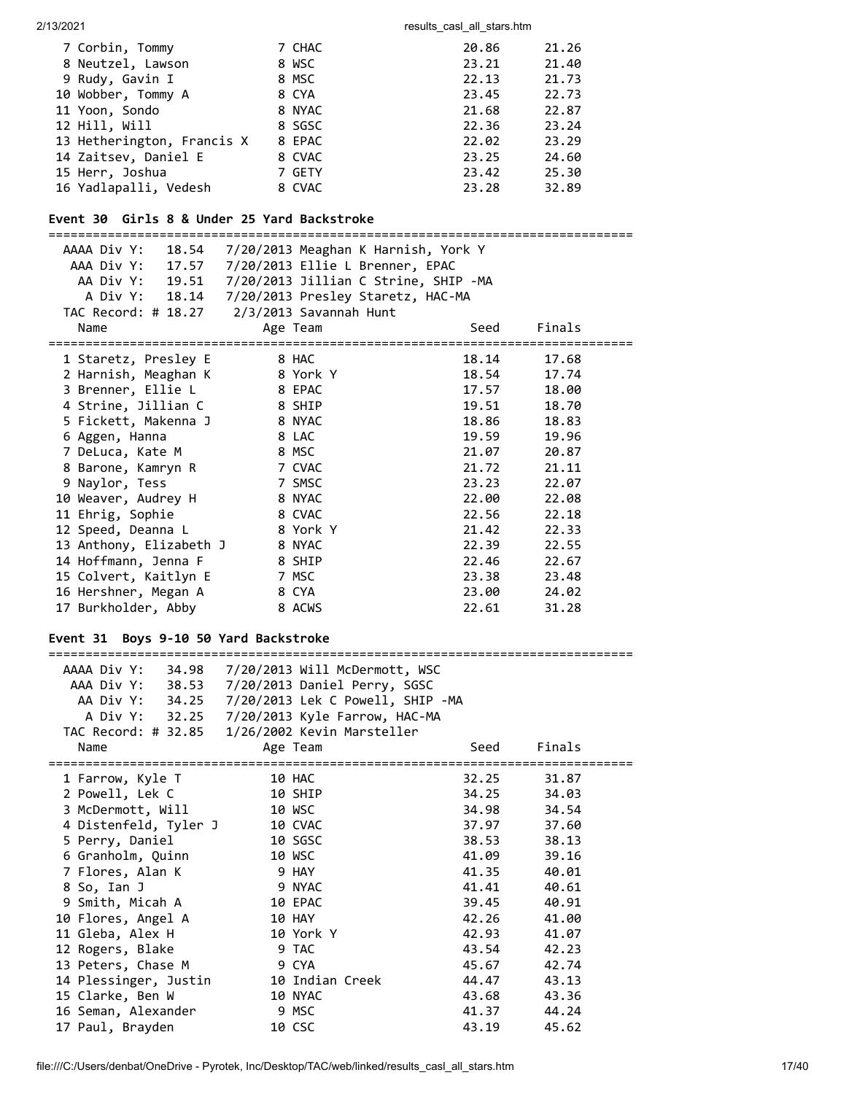| 7 Corbin, Tommy            | 7 CHAC | 20.86 | 21.26 |
|----------------------------|--------|-------|-------|
| 8 Neutzel, Lawson          | 8 WSC  | 23.21 | 21.40 |
| 9 Rudy, Gavin I            | 8 MSC  | 22.13 | 21.73 |
| 10 Wobber, Tommy A         | 8 CYA  | 23.45 | 22.73 |
| 11 Yoon, Sondo             | 8 NYAC | 21.68 | 22.87 |
| 12 Hill, Will              | 8 SGSC | 22.36 | 23.24 |
| 13 Hetherington, Francis X | 8 EPAC | 22.02 | 23.29 |
| 14 Zaitsev, Daniel E       | 8 CVAC | 23.25 | 24.60 |
| 15 Herr, Joshua            | 7 GETY | 23.42 | 25.30 |
| 16 Yadlapalli, Vedesh      | 8 CVAC | 23.28 | 32.89 |
|                            |        |       |       |

#### **Event 30 Girls 8 & Under 25 Yard Backstroke**

=============================================================================== AAAA Div Y: 18.54 7/20/2013 Meaghan K Harnish, York Y AAA Div Y: 17.57 7/20/2013 Ellie L Brenner, EPAC AA Div Y: 19.51 7/20/2013 Jillian C Strine, SHIP -MA A Div Y: 18.14 7/20/2013 Presley Staretz, HAC-MA TAC Record: # 18.27 2/3/2013 Savannah Hunt Name Age Team Seed Finals =============================================================================== 1 Staretz, Presley E 8 HAC 18.14 17.68 2 Harnish, Meaghan K 8 York Y 18.54 17.74 3 Brenner, Ellie L 8 EPAC 17.57 18.00 4 Strine, Jillian C 8 SHIP 19.51 18.70 5 Fickett, Makenna J 8 NYAC 18.86 18.83 6 Aggen, Hanna 8 LAC 19.59 19.96 7 DeLuca, Kate M 8 MSC 21.07 20.87 8 Barone, Kamryn R 7 CVAC 21.72 21.11 9 Naylor, Tess 7 SMSC 23.23 22.07 10 Weaver, Audrey H 8 NYAC 22.00 22.08 11 Ehrig, Sophie 8 CVAC 22.56 22.18 12 Speed, Deanna L 8 York Y 21.42 22.33 13 Anthony, Elizabeth J 8 NYAC 22.39 22.55 14 Hoffmann, Jenna F 8 SHIP 22.46 22.67 15 Colvert, Kaitlyn E 7 MSC 23.38 23.48 16 Hershner, Megan A 8 CYA 23.00 24.02 17 Burkholder, Abby 8 ACWS 22.61 31.28 **Event 31 Boys 9-10 50 Yard Backstroke** =============================================================================== AAAA Div Y: 34.98 7/20/2013 Will McDermott, WSC AAA Div Y: 38.53 7/20/2013 Daniel Perry, SGSC AA Div Y: 34.25 7/20/2013 Lek C Powell, SHIP -MA A Div Y: 32.25 7/20/2013 Kyle Farrow, HAC-MA TAC Record: # 32.85 1/26/2002 Kevin Marsteller Name Age Team Seed Finals =============================================================================== 1 Farrow, Kyle T 10 HAC 32.25 31.87 2 Powell, Lek C 10 SHIP 34.25 34.03 3 McDermott, Will 10 WSC 34.98 34.54 4 Distenfeld, Tyler J 10 CVAC 37.97 37.60 5 Perry, Daniel 10 SGSC 38.53 38.13 6 Granholm, Quinn 10 WSC 41.09 39.16 7 Flores, Alan K 9 HAY 41.35 40.01 8 So, Ian J 9 NYAC 41.41 40.61 9 Smith, Micah A 10 EPAC 39.45 40.91 10 Flores, Angel A 10 HAY 42.26 41.00 11 Gleba, Alex H 10 York Y 42.93 41.07 12 Rogers, Blake 9 TAC 43.54 42.23 13 Peters, Chase M 9 CYA 45.67 42.74 14 Plessinger, Justin 10 Indian Creek 44.47 43.13 15 Clarke, Ben W 10 NYAC 43.68 43.36 16 Seman, Alexander 9 MSC 41.37 44.24 17 Paul, Brayden 10 CSC 43.19 45.62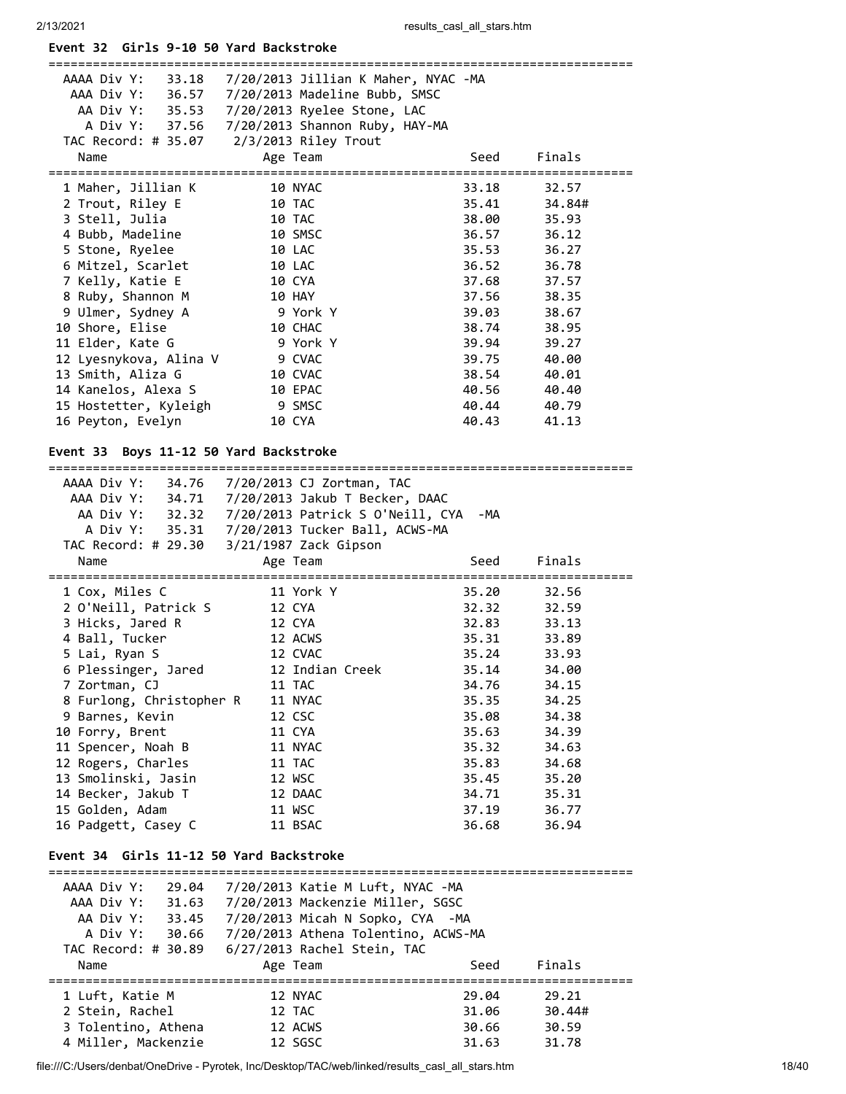# **Event 32 Girls 9-10 50 Yard Backstroke**

| AAAA Div Y:                               | AAA Div Y: 36.57 7/20/2013 Madeline Bubb, SMSC<br>AA Div Y: 35.53 7/20/2013 Ryelee Stone, LAC<br>A Div Y: 37.56 7/20/2013 Shannon Ruby, HAY-MA           |       |        |
|-------------------------------------------|----------------------------------------------------------------------------------------------------------------------------------------------------------|-------|--------|
| Name                                      | Age Team                                                                                                                                                 | Seed  | Finals |
| 1 Maher, Jillian K                        | 10 NYAC                                                                                                                                                  | 33.18 | 32.57  |
| 2 Trout, Riley E                          | 10 TAC                                                                                                                                                   | 35.41 | 34.84# |
| 3 Stell, Julia                            | 10 TAC                                                                                                                                                   | 38.00 | 35.93  |
| 4 Bubb, Madeline                          | 10 SMSC                                                                                                                                                  | 36.57 | 36.12  |
| 5 Stone, Ryelee                           | 10 LAC                                                                                                                                                   | 35.53 | 36.27  |
| 6 Mitzel, Scarlet                         | 10 LAC                                                                                                                                                   | 36.52 | 36.78  |
| 7 Kelly, Katie E                          | 10 CYA                                                                                                                                                   | 37.68 | 37.57  |
| 8 Ruby, Shannon M                         | <b>10 HAY</b>                                                                                                                                            | 37.56 | 38.35  |
| 9 Ulmer, Sydney A                         | 9 York Y                                                                                                                                                 | 39.03 | 38.67  |
| 10 Shore, Elise                           | 10 CHAC                                                                                                                                                  | 38.74 | 38.95  |
| 11 Elder, Kate G                          | 9 York Y                                                                                                                                                 | 39.94 | 39.27  |
| 12 Lyesnykova, Alina V                    | 9 CVAC                                                                                                                                                   | 39.75 | 40.00  |
| 13 Smith, Aliza G                         | 10 CVAC                                                                                                                                                  | 38.54 | 40.01  |
| 14 Kanelos, Alexa S                       | 10 EPAC                                                                                                                                                  | 40.56 | 40.40  |
| 15 Hostetter, Kyleigh                     | 9 SMSC                                                                                                                                                   | 40.44 | 40.79  |
| 16 Peyton, Evelyn                         | 10 CYA                                                                                                                                                   | 40.43 | 41.13  |
| Event 33 Boys 11-12 50 Yard Backstroke    | AAAA Div Y: 34.76 7/20/2013 CJ Zortman, TAC<br>AAA Div Y: 34.71 7/20/2013 Jakub T Becker, DAAC<br>AA Div Y: 32.32  7/20/2013  Patrick S 0'Neill, CYA -MA |       |        |
|                                           | A Div Y: 35.31  7/20/2013 Tucker Ball, ACWS-MA                                                                                                           |       |        |
|                                           | TAC Record: # 29.30 3/21/1987 Zack Gipson                                                                                                                |       |        |
| Name                                      | Age Team                                                                                                                                                 | Seed  | Finals |
| 1 Cox, Miles C                            | 11 York Y                                                                                                                                                | 35.20 | 32.56  |
| 2 O'Neill, Patrick S                      | 12 CYA                                                                                                                                                   | 32.32 | 32.59  |
| 3 Hicks, Jared R                          | 12 CYA                                                                                                                                                   | 32.83 | 33.13  |
| 4 Ball, Tucker                            | 12 ACWS                                                                                                                                                  | 35.31 | 33.89  |
| 5 Lai, Ryan S                             |                                                                                                                                                          |       |        |
|                                           | 12 CVAC                                                                                                                                                  | 35.24 | 33.93  |
| 6 Plessinger, Jared                       | 12 Indian Creek                                                                                                                                          | 35.14 | 34.00  |
| 7 Zortman, CJ                             | 11 TAC                                                                                                                                                   | 34.76 | 34.15  |
| 8 Furlong, Christopher R                  | 11 NYAC                                                                                                                                                  | 35.35 | 34.25  |
| 9 Barnes, Kevin                           | 12 CSC                                                                                                                                                   | 35.08 | 34.38  |
| 10 Forry, Brent                           | 11 CYA                                                                                                                                                   | 35.63 | 34.39  |
| 11 Spencer, Noah B                        | 11 NYAC                                                                                                                                                  | 35.32 | 34.63  |
| 12 Rogers, Charles                        | 11 TAC                                                                                                                                                   | 35.83 | 34.68  |
| 13 Smolinski, Jasin                       | 12 WSC                                                                                                                                                   | 35.45 | 35.20  |
| 14 Becker, Jakub T                        | 12 DAAC                                                                                                                                                  | 34.71 | 35.31  |
| 15 Golden, Adam                           | 11 WSC                                                                                                                                                   | 37.19 | 36.77  |
| 16 Padgett, Casey C                       | 11 BSAC                                                                                                                                                  | 36.68 | 36.94  |
| Event 34 Girls 11-12 50 Yard Backstroke   |                                                                                                                                                          |       |        |
|                                           |                                                                                                                                                          |       |        |
| AAAA Div Y:<br>29.04                      | 7/20/2013 Katie M Luft, NYAC -MA                                                                                                                         |       |        |
| AAA Div Y:<br>31.63<br>AA Div Y:<br>33.45 | 7/20/2013 Mackenzie Miller, SGSC<br>7/20/2013 Micah N Sopko, CYA -MA                                                                                     |       |        |

| A DIVI. DU.OU       | 772072019 Athena TOIENtING, ACWS-FIA |       |        |  |
|---------------------|--------------------------------------|-------|--------|--|
| Name                | Age Team                             | Seed  | Finals |  |
| 1 Luft, Katie M     | 12 NYAC                              | 29.04 | 29.21  |  |
| 2 Stein, Rachel     | 12 TAC                               | 31.06 | 30.44# |  |
| 3 Tolentino, Athena | 12 ACWS                              | 30.66 | 30.59  |  |
| 4 Miller, Mackenzie | 12 SGSC                              | 31.63 | 31.78  |  |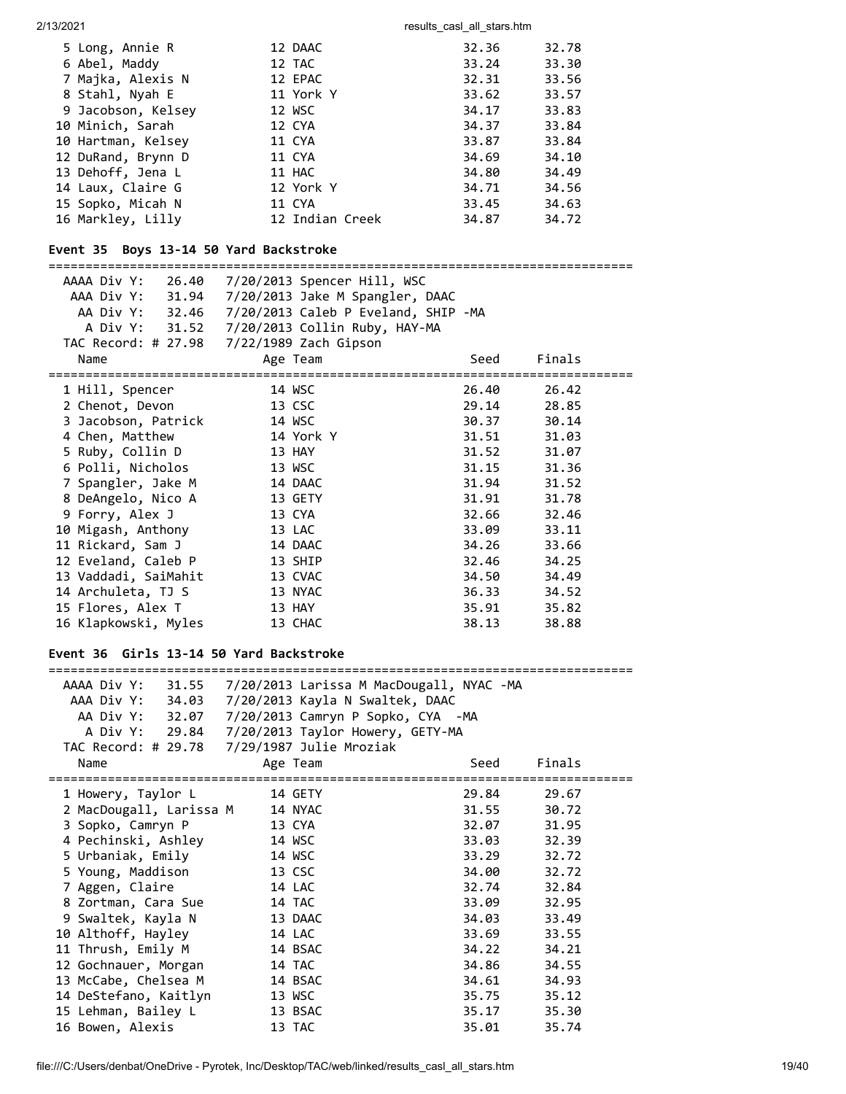2/13/2021 2002 2003 2004 2006 2007 2013 2014 2014 2015 2016 2017 2018 2019 2019 2014 2016 2017 2018 2019 2016 20

| 5 Long, Annie R    | 12 DAAC         | 32.36 | 32.78 |
|--------------------|-----------------|-------|-------|
| 6 Abel, Maddy      | 12 TAC          | 33.24 | 33.30 |
| 7 Majka, Alexis N  | 12 EPAC         | 32.31 | 33.56 |
| 8 Stahl, Nyah E    | 11 York Y       | 33.62 | 33.57 |
| 9 Jacobson, Kelsey | 12 WSC          | 34.17 | 33.83 |
| 10 Minich, Sarah   | 12 CYA          | 34.37 | 33.84 |
| 10 Hartman, Kelsey | 11 CYA          | 33.87 | 33.84 |
| 12 DuRand, Brynn D | 11 CYA          | 34.69 | 34.10 |
| 13 Dehoff, Jena L  | 11 HAC          | 34.80 | 34.49 |
| 14 Laux, Claire G  | 12 York Y       | 34.71 | 34.56 |
| 15 Sopko, Micah N  | 11 CYA          | 33.45 | 34.63 |
| 16 Markley, Lilly  | 12 Indian Creek | 34.87 | 34.72 |
|                    |                 |       |       |

# **Event 35 Boys 13-14 50 Yard Backstroke**

=============================================================================== AAAA Div Y: 26.40 7/20/2013 Spencer Hill, WSC AAA Div Y: 31.94 7/20/2013 Jake M Spangler, DAAC AA Div Y: 32.46 7/20/2013 Caleb P Eveland, SHIP -MA A Div Y: 31.52 7/20/2013 Collin Ruby, HAY-MA

| Name                     | Age Team  | Seed  | Finals |  |
|--------------------------|-----------|-------|--------|--|
| ======================== |           |       |        |  |
| 1 Hill, Spencer          | 14 WSC    | 26.40 | 26.42  |  |
| 2 Chenot, Devon          | 13 CSC    | 29.14 | 28.85  |  |
| 3 Jacobson, Patrick      | 14 WSC    | 30.37 | 30.14  |  |
| 4 Chen, Matthew          | 14 York Y | 31.51 | 31.03  |  |
| 5 Ruby, Collin D         | 13 HAY    | 31.52 | 31.07  |  |
| 6 Polli, Nicholos        | 13 WSC    | 31.15 | 31.36  |  |
| 7 Spangler, Jake M       | 14 DAAC   | 31.94 | 31.52  |  |
| 8 DeAngelo, Nico A       | 13 GETY   | 31.91 | 31.78  |  |
| 9 Forry, Alex J          | 13 CYA    | 32.66 | 32.46  |  |
| 10 Migash, Anthony       | 13 LAC    | 33.09 | 33.11  |  |
| 11 Rickard, Sam J        | 14 DAAC   | 34.26 | 33.66  |  |
| 12 Eveland, Caleb P      | 13 SHIP   | 32.46 | 34.25  |  |
| 13 Vaddadi, SaiMahit     | 13 CVAC   | 34.50 | 34.49  |  |
| 14 Archuleta, TJ S       | 13 NYAC   | 36.33 | 34.52  |  |
| 15 Flores, Alex T        | 13 HAY    | 35.91 | 35.82  |  |
| 16 Klapkowski, Myles     | 13 CHAC   | 38.13 | 38.88  |  |

# **Event 36 Girls 13-14 50 Yard Backstroke**

| AAAA Div Y: 31.55                              | 7/20/2013 Larissa M MacDougall, NYAC -MA          |       |        |
|------------------------------------------------|---------------------------------------------------|-------|--------|
| AAA Div Y: 34.03                               | 7/20/2013 Kayla N Swaltek, DAAC                   |       |        |
|                                                | AA Div Y: 32.07 7/20/2013 Camryn P Sopko, CYA -MA |       |        |
|                                                | A Div Y: 29.84 7/20/2013 Taylor Howery, GETY-MA   |       |        |
|                                                | TAC Record: # 29.78 7/29/1987 Julie Mroziak       |       |        |
| Name                                           | Age Team                                          | Seed  | Finals |
| ========================<br>1 Howery, Taylor L | 14 GETY                                           | 29.84 | 29.67  |
| 2 MacDougall, Larissa M 14 NYAC                |                                                   | 31.55 | 30.72  |
| 3 Sopko, Camryn P                              | 13 CYA                                            | 32.07 | 31.95  |
| 4 Pechinski, Ashley                            | 14 WSC                                            | 33.03 | 32.39  |
| 5 Urbaniak, Emily                              | 14 WSC                                            | 33.29 | 32.72  |
| 5 Young, Maddison                              | 13 CSC                                            | 34.00 | 32.72  |
| 7 Aggen, Claire                                | 14 LAC                                            | 32.74 | 32.84  |
| 8 Zortman, Cara Sue                            | 14 TAC                                            | 33.09 | 32.95  |
| 9 Swaltek, Kayla N                             | 13 DAAC                                           | 34.03 | 33.49  |
| 10 Althoff, Hayley                             | 14 LAC                                            | 33.69 | 33.55  |
| 11 Thrush, Emily M                             | 14 BSAC                                           | 34.22 | 34.21  |
| 12 Gochnauer, Morgan                           | 14 TAC                                            | 34.86 | 34.55  |
| 13 McCabe, Chelsea M                           | 14 BSAC                                           | 34.61 | 34.93  |
| 14 DeStefano, Kaitlyn                          | 13 WSC                                            | 35.75 | 35.12  |
| 15 Lehman, Bailey L                            | 13 BSAC                                           | 35.17 | 35.30  |
| 16 Bowen, Alexis                               | 13 TAC                                            | 35.01 | 35.74  |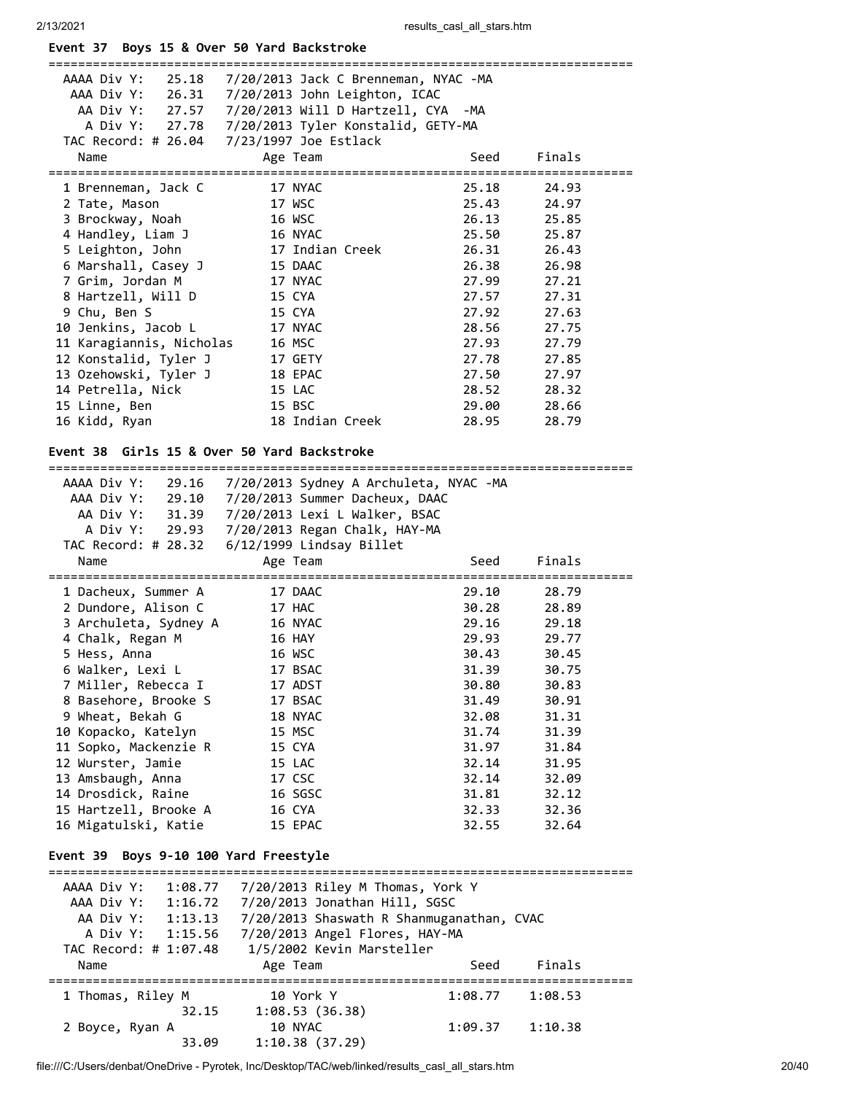|  |  |  |  |  |  |  | Event 37 Boys 15 & Over 50 Yard Backstroke |
|--|--|--|--|--|--|--|--------------------------------------------|
|--|--|--|--|--|--|--|--------------------------------------------|

| AAAA Div Y:<br>25.18                       | 7/20/2013 Jack C Brenneman, NYAC -MA      |                      |                |  |
|--------------------------------------------|-------------------------------------------|----------------------|----------------|--|
| AAA Div Y:                                 | 26.31 7/20/2013 John Leighton, ICAC       |                      |                |  |
| AA Div Y: 27.57                            | 7/20/2013 Will D Hartzell, CYA -MA        |                      |                |  |
| A Div Y:<br>27.78                          | 7/20/2013 Tyler Konstalid, GETY-MA        |                      |                |  |
|                                            | TAC Record: # 26.04 7/23/1997 Joe Estlack |                      |                |  |
| Name                                       | Age Team                                  | Seed                 | Finals         |  |
| 1 Brenneman, Jack C                        | 17 NYAC                                   | 25.18                | 24.93          |  |
| 2 Tate, Mason                              | 17 WSC                                    | 25.43                | 24.97          |  |
| 3 Brockway, Noah                           | 16 WSC                                    | 26.13                | 25.85          |  |
| 4 Handley, Liam J                          | 16 NYAC                                   | 25.50                | 25.87          |  |
| 5 Leighton, John                           | 17 Indian Creek                           | 26.31                | 26.43          |  |
| 6 Marshall, Casey J                        | 15 DAAC                                   | 26.38                | 26.98          |  |
| 7 Grim, Jordan M                           | 17 NYAC                                   | 27.99                | 27.21          |  |
| 8 Hartzell, Will D                         | 15 CYA                                    | 27.57                | 27.31          |  |
| 9 Chu, Ben S                               | 15 CYA                                    | 27.92                | 27.63          |  |
| 10 Jenkins, Jacob L                        | 17 NYAC                                   | 28.56                | 27.75          |  |
| 11 Karagiannis, Nicholas                   | 16 MSC                                    | 27.93                | 27.79          |  |
| 12 Konstalid, Tyler J                      | 17 GETY                                   | 27.78                | 27.85          |  |
| 13 Ozehowski, Tyler J                      | 18 EPAC                                   | 27.50                | 27.97          |  |
| 14 Petrella, Nick                          | 15 LAC                                    | 28.52                | 28.32          |  |
| 15 Linne, Ben                              | 15 BSC                                    | 29.00                | 28.66          |  |
| 16 Kidd, Ryan                              | 18 Indian Creek                           | 28.95                | 28.79          |  |
|                                            | Girls 15 & Over 50 Yard Backstroke        |                      |                |  |
| Event 38                                   |                                           |                      |                |  |
| AAAA Div Y:<br>29.16                       | 7/20/2013 Sydney A Archuleta, NYAC -MA    |                      |                |  |
| AAA Div Y:                                 | 29.10 7/20/2013 Summer Dacheux, DAAC      |                      |                |  |
| AA Div Y:<br>31.39                         | 7/20/2013 Lexi L Walker, BSAC             |                      |                |  |
| A Div Y:<br>29.93                          | 7/20/2013 Regan Chalk, HAY-MA             |                      |                |  |
| TAC Record: # 28.32                        | 6/12/1999 Lindsay Billet                  |                      |                |  |
| Name                                       | Age Team                                  | Seed                 | Finals         |  |
| =======================                    |                                           | :==========<br>29.10 |                |  |
| 1 Dacheux, Summer A<br>2 Dundore, Alison C | 17 DAAC<br>17 HAC                         | 30.28                | 28.79<br>28.89 |  |
| 3 Archuleta, Sydney A                      | 16 NYAC                                   | 29.16                | 29.18          |  |
| 4 Chalk, Regan M                           | 16 HAY                                    | 29.93                | 29.77          |  |
| 5 Hess, Anna                               | 16 WSC                                    | 30.43                | 30.45          |  |
| 6 Walker, Lexi L                           | 17 BSAC                                   | 31.39                | 30.75          |  |
| 7 Miller, Rebecca I                        | 17 ADST                                   | 30.80                | 30.83          |  |
| 8 Basehore, Brooke S                       | 17 BSAC                                   | 31.49                | 30.91          |  |
| 9 Wheat, Bekah G                           | 18 NYAC                                   | 32.08                | 31.31          |  |
| 10 Kopacko, Katelyn                        | 15 MSC                                    | 31.74                | 31.39          |  |
| 11 Sopko, Mackenzie R                      | 15 CYA                                    | 31.97                | 31.84          |  |
| 12 Wurster, Jamie                          | 15 LAC                                    | 32.14                | 31.95          |  |
| 13 Amsbaugh, Anna                          | 17 CSC                                    | 32.14                | 32.09          |  |
| 14 Drosdick, Raine                         | 16 SGSC                                   | 31.81                | 32.12          |  |
| 15 Hartzell, Brooke A                      | 16 CYA                                    | 32.33                | 32.36          |  |
| 16 Migatulski, Katie                       | 15 EPAC                                   | 32.55                | 32.64          |  |
|                                            |                                           |                      |                |  |
| Event 39 Boys 9-10 100 Yard Freestyle      |                                           |                      |                |  |
| AAAA Div Y:<br>1:08.77                     | 7/20/2013 Riley M Thomas, York Y          |                      |                |  |
| AAA Div Y: 1:16.72                         | 7/20/2013 Jonathan Hill, SGSC             |                      |                |  |
| AA Div Y: 1:13.13                          |                                           |                      |                |  |
|                                            |                                           |                      |                |  |
|                                            | 7/20/2013 Shaswath R Shanmuganathan, CVAC |                      |                |  |
| A Div Y:<br>1:15.56                        | 7/20/2013 Angel Flores, HAY-MA            |                      |                |  |
| TAC Record: # 1:07.48<br>Name              | 1/5/2002 Kevin Marsteller<br>Age Team     | Seed                 | Finals         |  |
|                                            |                                           |                      |                |  |
| 1 Thomas, Riley M                          | 10 York Y                                 | 1:08.77              | 1:08.53        |  |
| 32.15                                      | 1:08.53(36.38)                            |                      |                |  |
| 2 Boyce, Ryan A<br>33.09                   | 10 NYAC<br>1:10.38(37.29)                 | 1:09.37              | 1:10.38        |  |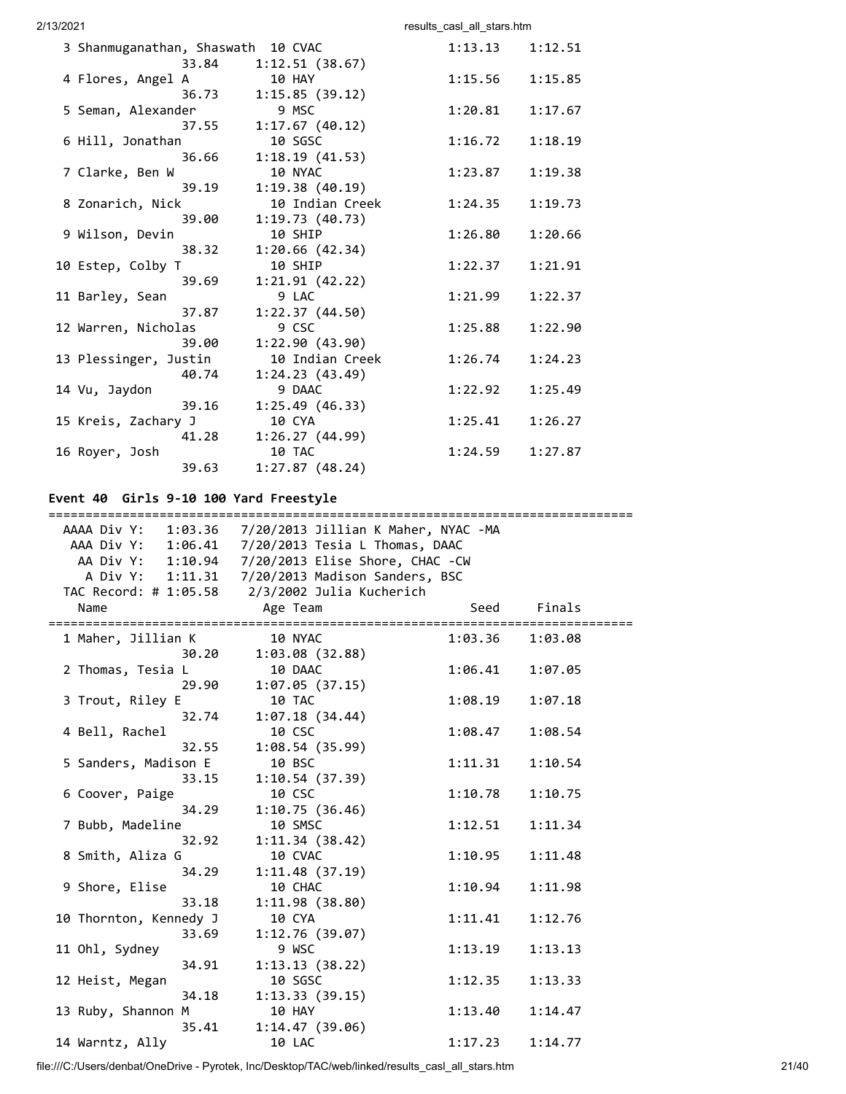2/13/2021 2002 2003 2004 2006 2007 2013 2014 2014 2015 2016 2017 2018 2019 2019 2014 2016 2017 2018 2019 2016 20 3 Shanmuganathan, Shaswath 10 CVAC 1:13.13 1:12.51 33.84 1:12.51 (38.67) 4 Flores, Angel A 10 HAY 1:15.56 1:15.85 36.73 1:15.85 (39.12) 5 Seman, Alexander 9 MSC 1:20.81 1:17.67 37.55 1:17.67 (40.12) 6 Hill, Jonathan 10 SGSC 1:16.72 1:18.19 36.66 1:18.19 (41.53) 7 Clarke, Ben W 10 NYAC 1:23.87 1:19.38 39.19 1:19.38 (40.19) 8 Zonarich, Nick 10 Indian Creek 1:24.35 1:19.73 39.00 1:19.73 (40.73) 9 Wilson, Devin 10 SHIP 1:26.80 1:20.66 38.32 1:20.66 (42.34) 10 Estep, Colby T 10 SHIP 1:22.37 1:21.91 39.69 1:21.91 (42.22) 11 Barley, Sean 9 LAC 1:21.99 1:22.37 37.87 1:22.37 (44.50) 12 Warren, Nicholas 9 CSC 1:25.88 1:22.90 39.00 1:22.90 (43.90) 13 Plessinger, Justin 10 Indian Creek 1:26.74 1:24.23 40.74 1:24.23 (43.49) 14 Vu, Jaydon 9 DAAC 1:22.92 1:25.49 39.16 1:25.49 (46.33) 15 Kreis, Zachary J 10 CYA 1:25.41 1:26.27 41.28 1:26.27 (44.99) 16 Royer, Josh 10 TAC 1:24.59 1:27.87 39.63 1:27.87 (48.24)

#### **Event 40 Girls 9-10 100 Yard Freestyle**

| ======================== |                                                           |         |         |
|--------------------------|-----------------------------------------------------------|---------|---------|
|                          | AAAA Div Y: 1:03.36  7/20/2013  Jillian K Maher, NYAC -MA |         |         |
|                          | AAA Div Y: 1:06.41  7/20/2013 Tesia L Thomas, DAAC        |         |         |
|                          | AA Div Y: 1:10.94  7/20/2013  Elise Shore, CHAC -CW       |         |         |
|                          | A Div Y: 1:11.31  7/20/2013 Madison Sanders, BSC          |         |         |
|                          | TAC Record: # 1:05.58 2/3/2002 Julia Kucherich            |         |         |
| Name                     | Age Team                                                  | Seed    | Finals  |
|                          |                                                           |         |         |
| 1 Maher, Jillian K       | 10 NYAC                                                   | 1:03.36 | 1:03.08 |
| 30.20                    | 1:03.08(32.88)                                            |         |         |
| 2 Thomas, Tesia L        | 10 DAAC                                                   | 1:06.41 | 1:07.05 |
| 29.90                    | 1:07.05(37.15)                                            |         |         |
| 3 Trout, Riley E         | 10 TAC                                                    | 1:08.19 | 1:07.18 |
| 32.74                    | 1:07.18(34.44)                                            |         |         |
| 4 Bell, Rachel           | 10 CSC                                                    | 1:08.47 | 1:08.54 |
| 32.55                    | 1:08.54(35.99)                                            |         |         |
| 5 Sanders, Madison E     | 10 BSC                                                    | 1:11.31 | 1:10.54 |
| 33.15                    | 1:10.54(37.39)                                            |         |         |
| 6 Coover, Paige          | 10 CSC                                                    | 1:10.78 | 1:10.75 |
| 34.29                    | 1:10.75(36.46)                                            |         |         |
| 7 Bubb, Madeline         | 10 SMSC                                                   | 1:12.51 | 1:11.34 |
| 32.92                    | 1:11.34(38.42)                                            |         |         |
| 8 Smith, Aliza G         | 10 CVAC                                                   | 1:10.95 | 1:11.48 |
| 34.29                    | 1:11.48(37.19)                                            |         |         |
| 9 Shore, Elise           | 10 CHAC                                                   | 1:10.94 | 1:11.98 |
| 33.18                    | 1:11.98(38.80)                                            |         |         |
| 10 Thornton, Kennedy J   | 10 CYA                                                    | 1:11.41 | 1:12.76 |
| 33.69                    | 1:12.76(39.07)                                            |         |         |
| 11 Ohl, Sydney           | 9 WSC                                                     | 1:13.19 | 1:13.13 |
| 34.91                    | 1:13.13(38.22)                                            |         |         |
| 12 Heist, Megan          | 10 SGSC                                                   | 1:12.35 | 1:13.33 |
| 34.18                    | 1:13.33(39.15)                                            |         |         |
| 13 Ruby, Shannon M       | 10 HAY                                                    | 1:13.40 | 1:14.47 |
| 35.41                    | 1:14.47(39.06)                                            |         |         |
| 14 Warntz, Ally          | 10 LAC                                                    | 1:17.23 | 1:14.77 |

file:///C:/Users/denbat/OneDrive - Pyrotek, Inc/Desktop/TAC/web/linked/results\_casl\_all\_stars.htm 21/40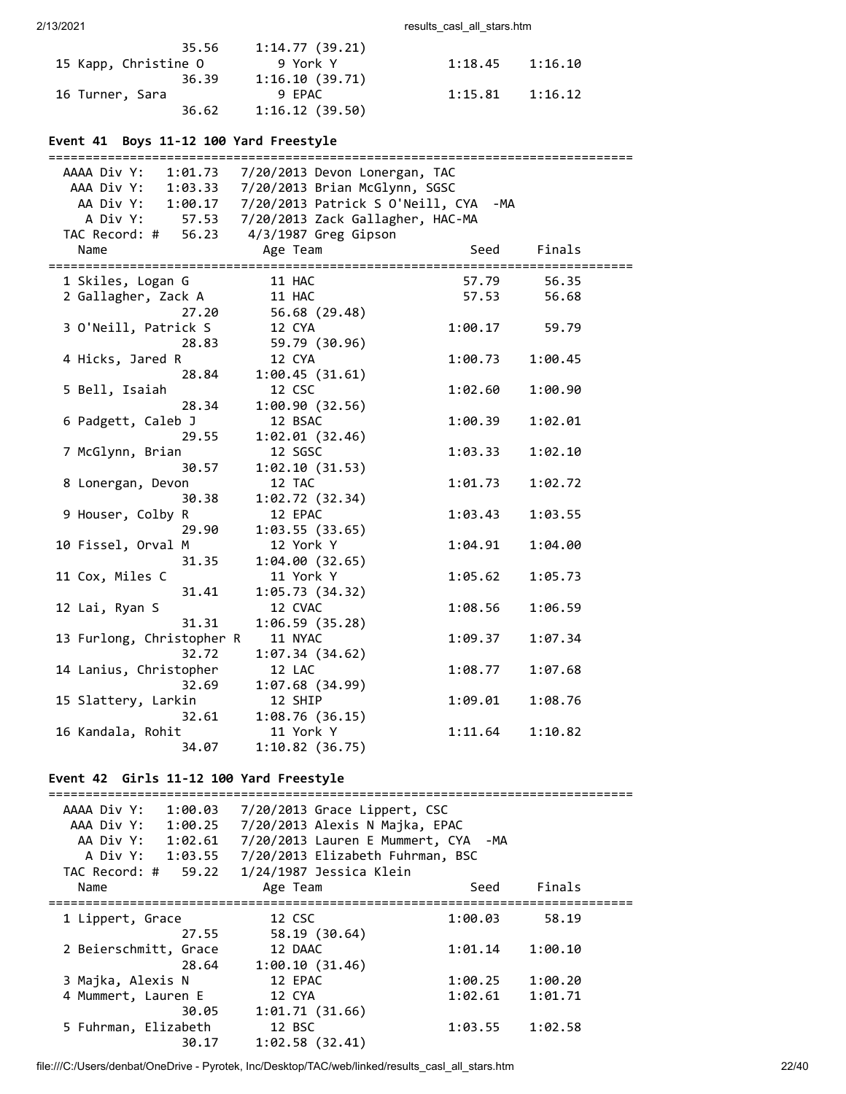| 35.56                | 1:14.77 (39.21) |         |         |
|----------------------|-----------------|---------|---------|
| 15 Kapp, Christine O | 9 York Y        | 1:18.45 | 1:16.10 |
| 36.39                | 1:16.10(39.71)  |         |         |
| 16 Turner, Sara      | 9 FPAC          | 1:15.81 | 1:16.12 |
| 36.62                | 1:16.12(39.50)  |         |         |

# **Event 41 Boys 11-12 100 Yard Freestyle**

| ===========================                       |                                                    |         |         |
|---------------------------------------------------|----------------------------------------------------|---------|---------|
| AAAA Div Y: 1:01.73 7/20/2013 Devon Lonergan, TAC |                                                    |         |         |
|                                                   | AAA Div Y: 1:03.33 7/20/2013 Brian McGlynn, SGSC   |         |         |
|                                                   | AA Div Y: 1:00.17 7/20/2013 Patrick S O'Neill, CYA | -MA     |         |
|                                                   | A Div Y: 57.53 7/20/2013 Zack Gallagher, HAC-MA    |         |         |
| TAC Record: # 56.23 4/3/1987 Greg Gipson          |                                                    |         |         |
| Name                                              | Age Team                                           | Seed    | Finals  |
|                                                   |                                                    |         |         |
| 1 Skiles, Logan G                                 | 11 HAC                                             | 57.79   | 56.35   |
| 2 Gallagher, Zack A                               | 11 HAC                                             | 57.53   | 56.68   |
| 27.20                                             | 56.68 (29.48)                                      |         |         |
| 3 O'Neill, Patrick S                              | 12 CYA                                             | 1:00.17 | 59.79   |
| 28.83                                             | 59.79 (30.96)                                      |         |         |
| 4 Hicks, Jared R                                  | 12 CYA                                             | 1:00.73 | 1:00.45 |
| 28.84                                             | 1:00.45(31.61)                                     |         |         |
| 5 Bell, Isaiah                                    | 12 CSC                                             | 1:02.60 | 1:00.90 |
| 28.34                                             | 1:00.90 (32.56)                                    |         |         |
| 6 Padgett, Caleb J                                | 12 BSAC                                            | 1:00.39 | 1:02.01 |
| 29.55                                             | 1:02.01(32.46)                                     |         |         |
| 7 McGlynn, Brian                                  | 12 SGSC                                            | 1:03.33 | 1:02.10 |
| 30.57                                             | 1:02.10(31.53)                                     |         |         |
| 8 Lonergan, Devon                                 | 12 TAC                                             | 1:01.73 | 1:02.72 |
| 30.38                                             | 1:02.72(32.34)                                     |         |         |
| 9 Houser, Colby R                                 | 12 EPAC                                            | 1:03.43 | 1:03.55 |
| 29.90                                             | 1:03.55(33.65)                                     |         |         |
| 10 Fissel, Orval M                                | 12 York Y                                          | 1:04.91 | 1:04.00 |
| 31.35                                             | 1:04.00(32.65)                                     |         |         |
| 11 Cox, Miles C                                   | 11 York Y                                          | 1:05.62 | 1:05.73 |
| 31.41                                             | 1:05.73(34.32)                                     |         |         |
| 12 Lai, Ryan S                                    | 12 CVAC                                            | 1:08.56 | 1:06.59 |
| 31.31                                             | 1:06.59(35.28)                                     |         |         |
|                                                   | 11 NYAC                                            |         | 1:07.34 |
| 13 Furlong, Christopher R<br>32.72                |                                                    | 1:09.37 |         |
|                                                   | 1:07.34(34.62)                                     |         |         |
| 14 Lanius, Christopher<br>32.69                   | 12 LAC                                             | 1:08.77 | 1:07.68 |
|                                                   | 1:07.68(34.99)                                     |         |         |
| 15 Slattery, Larkin                               | 12 SHIP                                            | 1:09.01 | 1:08.76 |
| 32.61                                             | 1:08.76(36.15)                                     |         |         |
| 16 Kandala, Rohit                                 | 11 York Y                                          | 1:11.64 | 1:10.82 |
| 34.07                                             | 1:10.82(36.75)                                     |         |         |

# **Event 42 Girls 11-12 100 Yard Freestyle**

| AAAA Div Y:<br>1:00.03 | 7/20/2013 Grace Lippert, CSC        |         |         |
|------------------------|-------------------------------------|---------|---------|
| AAA Div Y:<br>1:00.25  | 7/20/2013 Alexis N Majka, EPAC      |         |         |
| AA Div Y: 1:02.61      | 7/20/2013 Lauren E Mummert, CYA -MA |         |         |
| A Div Y: 1:03.55       | 7/20/2013 Elizabeth Fuhrman, BSC    |         |         |
| TAC Record: # 59.22    | 1/24/1987 Jessica Klein             |         |         |
| Name                   | Age Team                            | Seed    | Finals  |
| 1 Lippert, Grace       | 12 CSC                              | 1:00.03 | 58.19   |
| 27.55                  | 58.19 (30.64)                       |         |         |
| 2 Beierschmitt, Grace  | 12 DAAC                             | 1:01.14 | 1:00.10 |
| 28.64                  | 1:00.10(31.46)                      |         |         |
| 3 Majka, Alexis N      | 12 EPAC                             | 1:00.25 | 1:00.20 |
| 4 Mummert, Lauren E    | 12 CYA                              | 1:02.61 | 1:01.71 |
| 30.05                  | 1:01.71(31.66)                      |         |         |
| 5 Fuhrman, Elizabeth   | 12 BSC                              | 1:03.55 | 1:02.58 |
| 30.17                  | 1:02.58(32.41)                      |         |         |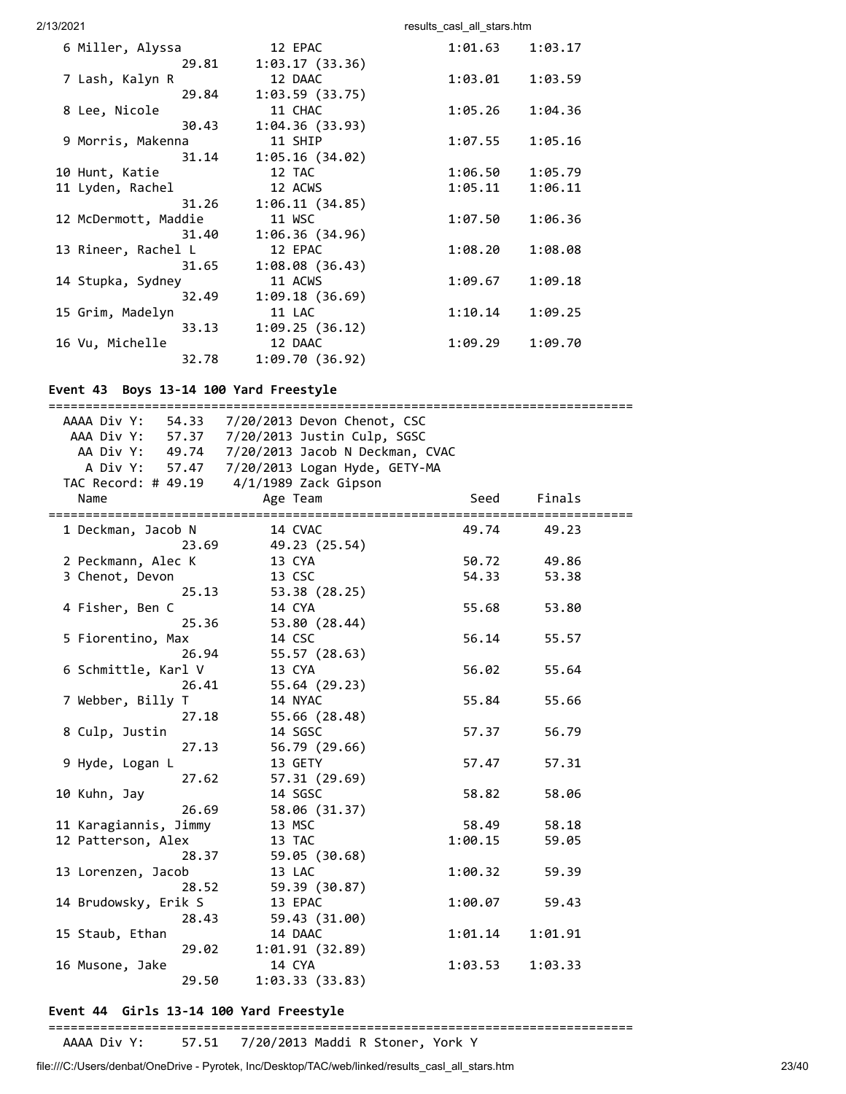#### 2/13/2021 2002 and the control of the control of the case of the case of the case of the control of the control of the control of the control of the control of the control of the control of the control of the control of th

| 6 Miller, Alyssa     | 12 EPAC                 | 1:01.63 | 1:03.17 |
|----------------------|-------------------------|---------|---------|
|                      | 1:03.17(33.36)<br>29.81 |         |         |
| 7 Lash, Kalyn R      | 12 DAAC                 | 1:03.01 | 1:03.59 |
|                      | 1:03.59(33.75)<br>29.84 |         |         |
| 8 Lee, Nicole        | 11 CHAC                 | 1:05.26 | 1:04.36 |
|                      | 1:04.36(33.93)<br>30.43 |         |         |
| 9 Morris, Makenna    | 11 SHIP                 | 1:07.55 | 1:05.16 |
|                      | 1:05.16(34.02)<br>31.14 |         |         |
| 10 Hunt, Katie       | 12 TAC                  | 1:06.50 | 1:05.79 |
| 11 Lyden, Rachel     | 12 ACWS                 | 1:05.11 | 1:06.11 |
| 31.26                | 1:06.11(34.85)          |         |         |
| 12 McDermott, Maddie | 11 WSC                  | 1:07.50 | 1:06.36 |
|                      | 31.40<br>1:06.36(34.96) |         |         |
| 13 Rineer, Rachel L  | 12 EPAC                 | 1:08.20 | 1:08.08 |
|                      | 1:08.08(36.43)<br>31.65 |         |         |
| 14 Stupka, Sydney    | 11 ACWS                 | 1:09.67 | 1:09.18 |
|                      | 1:09.18(36.69)<br>32.49 |         |         |
| 15 Grim, Madelyn     | 11 LAC                  | 1:10.14 | 1:09.25 |
|                      | 1:09.25(36.12)<br>33.13 |         |         |
| 16 Vu, Michelle      | 12 DAAC                 | 1:09.29 | 1:09.70 |
| 32.78                | 1:09.70(36.92)          |         |         |
|                      |                         |         |         |

# **Event 43 Boys 13-14 100 Yard Freestyle**

|                                  | AAAA Div Y: 54.33 7/20/2013 Devon Chenot, CSC<br>AAA Div Y: 57.37 7/20/2013 Justin Culp, SGSC |         |         |
|----------------------------------|-----------------------------------------------------------------------------------------------|---------|---------|
|                                  | AA Div Y: 49.74 7/20/2013 Jacob N Deckman, CVAC                                               |         |         |
|                                  | A Div Y: 57.47 7/20/2013 Logan Hyde, GETY-MA                                                  |         |         |
|                                  | TAC Record: # 49.19 4/1/1989 Zack Gipson                                                      |         |         |
| Name                             | Age Team                                                                                      | Seed    | Finals  |
| ================================ | ========================                                                                      |         |         |
| 1 Deckman, Jacob N               | 14 CVAC                                                                                       | 49.74   | 49.23   |
| 23.69                            | 49.23 (25.54)                                                                                 |         |         |
| 2 Peckmann, Alec K               | 13 CYA                                                                                        | 50.72   | 49.86   |
| 3 Chenot, Devon                  | 13 CSC                                                                                        | 54.33   | 53.38   |
| 25.13                            | 53.38 (28.25)                                                                                 |         |         |
| 4 Fisher, Ben C                  | 14 CYA                                                                                        | 55.68   | 53.80   |
| 25.36                            | 53.80 (28.44)                                                                                 |         |         |
| 5 Fiorentino, Max                | 14 CSC                                                                                        | 56.14   | 55.57   |
| 26.94                            | 55.57 (28.63)                                                                                 |         |         |
| 6 Schmittle, Karl V              | 13 CYA                                                                                        | 56.02   | 55.64   |
| 26.41                            | 55.64 (29.23)                                                                                 |         |         |
| 7 Webber, Billy T                | 14 NYAC                                                                                       | 55.84   | 55.66   |
| 27.18                            | 55.66 (28.48)                                                                                 |         |         |
| 8 Culp, Justin                   | 14 SGSC                                                                                       | 57.37   | 56.79   |
| 27.13                            | 56.79 (29.66)                                                                                 |         |         |
| 9 Hyde, Logan L                  | 13 GETY                                                                                       | 57.47   | 57.31   |
| 27.62                            | 57.31 (29.69)                                                                                 |         |         |
| 10 Kuhn, Jay                     | 14 SGSC                                                                                       | 58.82   | 58.06   |
| 26.69                            | 58.06 (31.37)                                                                                 |         |         |
| 11 Karagiannis, Jimmy            | 13 MSC                                                                                        | 58.49   | 58.18   |
| 12 Patterson, Alex               | 13 TAC                                                                                        | 1:00.15 | 59.05   |
| 28.37                            | 59.05 (30.68)                                                                                 |         |         |
| 13 Lorenzen, Jacob               | 13 LAC                                                                                        | 1:00.32 | 59.39   |
| 28.52                            | 59.39 (30.87)                                                                                 |         |         |
| 14 Brudowsky, Erik S             | 13 EPAC                                                                                       | 1:00.07 | 59.43   |
| 28.43                            | 59.43 (31.00)                                                                                 |         |         |
| 15 Staub, Ethan                  | 14 DAAC                                                                                       | 1:01.14 | 1:01.91 |
| 29.02                            | 1:01.91(32.89)                                                                                |         |         |
| 16 Musone, Jake                  | 14 CYA                                                                                        | 1:03.53 | 1:03.33 |
| 29.50                            | 1:03.33(33.83)                                                                                |         |         |
|                                  |                                                                                               |         |         |

# **Event 44 Girls 13-14 100 Yard Freestyle**

===============================================================================

AAAA Div Y: 57.51 7/20/2013 Maddi R Stoner, York Y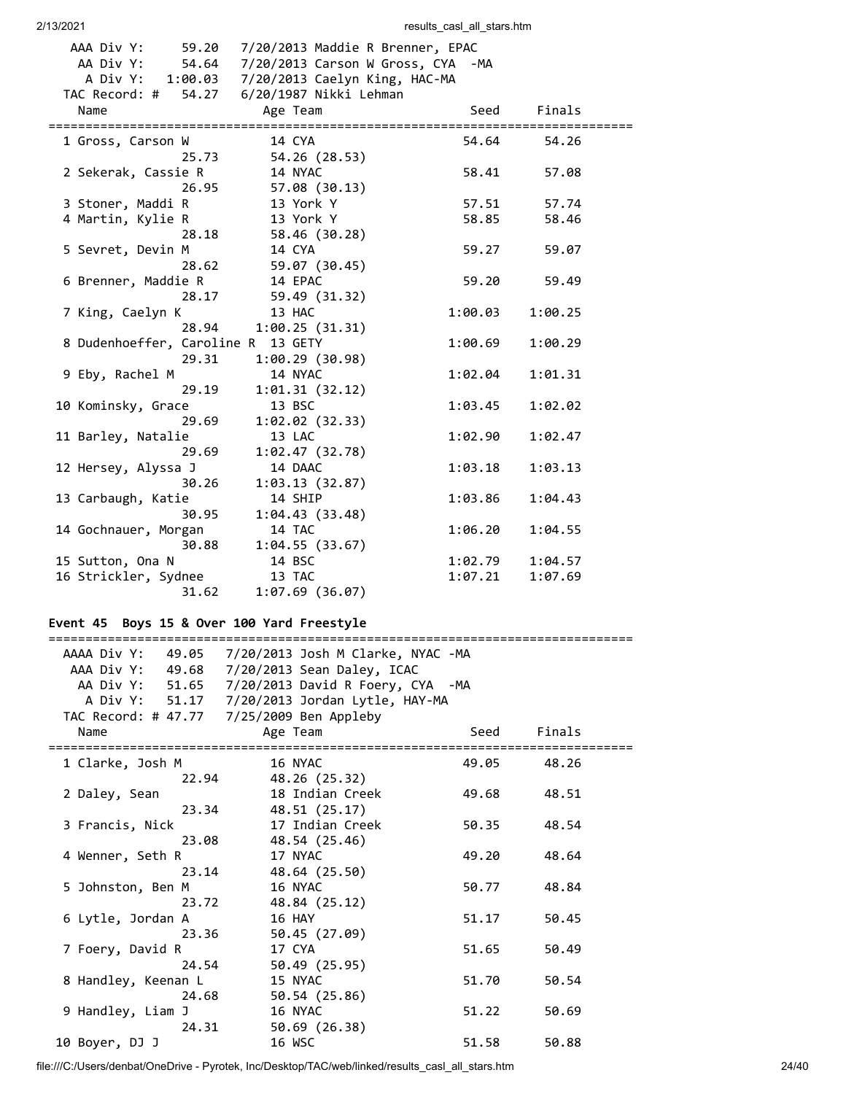| 2/13/2021                                                              | results_casl_all_stars.htm                                                                                                                     |                    |                    |  |
|------------------------------------------------------------------------|------------------------------------------------------------------------------------------------------------------------------------------------|--------------------|--------------------|--|
| AAA Div Y:<br>59.20<br>AA Div Y:<br>A Div Y:<br>54.27<br>TAC Record: # | 7/20/2013 Maddie R Brenner, EPAC<br>54.64 7/20/2013 Carson W Gross, CYA -MA<br>1:00.03 7/20/2013 Caelyn King, HAC-MA<br>6/20/1987 Nikki Lehman |                    |                    |  |
| Name                                                                   | Age Team                                                                                                                                       | Seed               | Finals             |  |
| 1 Gross, Carson W<br>25.73                                             | 14 CYA<br>54.26 (28.53)                                                                                                                        | 54.64              | 54.26              |  |
| 2 Sekerak, Cassie R<br>26.95                                           | 14 NYAC<br>57.08 (30.13)                                                                                                                       | 58.41              | 57.08              |  |
| 3 Stoner, Maddi R                                                      | 13 York Y                                                                                                                                      | 57.51              | 57.74              |  |
| 4 Martin, Kylie R<br>28.18                                             | 13 York Y<br>58.46 (30.28)                                                                                                                     | 58.85              | 58.46              |  |
| 5 Sevret, Devin M<br>28.62                                             | 14 CYA<br>59.07 (30.45)                                                                                                                        | 59.27              | 59.07              |  |
| 6 Brenner, Maddie R<br>28.17                                           | 14 EPAC<br>59.49 (31.32)                                                                                                                       | 59.20              | 59.49              |  |
| 7 King, Caelyn K                                                       | 13 HAC                                                                                                                                         | 1:00.03            | 1:00.25            |  |
| 28.94<br>8 Dudenhoeffer, Caroline R<br>29.31                           | 1:00.25(31.31)<br>13 GETY<br>1:00.29 (30.98)                                                                                                   | 1:00.69            | 1:00.29            |  |
| 9 Eby, Rachel M<br>29.19                                               | 14 NYAC<br>1:01.31 (32.12)                                                                                                                     | 1:02.04            | 1:01.31            |  |
| 10 Kominsky, Grace<br>29.69                                            | 13 BSC<br>1:02.02 (32.33)                                                                                                                      | 1:03.45            | 1:02.02            |  |
| 11 Barley, Natalie<br>29.69                                            | 13 LAC<br>1:02.47 (32.78)                                                                                                                      | 1:02.90            | 1:02.47            |  |
| 12 Hersey, Alyssa J<br>30.26                                           | 14 DAAC<br>1:03.13(32.87)                                                                                                                      | 1:03.18            | 1:03.13            |  |
| 13 Carbaugh, Katie<br>30.95                                            | 14 SHIP<br>1:04.43 (33.48)                                                                                                                     | 1:03.86            | 1:04.43            |  |
| 14 Gochnauer, Morgan<br>30.88                                          | 14 TAC<br>1:04.55(33.67)                                                                                                                       | 1:06.20            | 1:04.55            |  |
| 15 Sutton, Ona N<br>16 Strickler, Sydnee<br>31.62                      | 14 BSC<br>13 TAC<br>1:07.69 (36.07)                                                                                                            | 1:02.79<br>1:07.21 | 1:04.57<br>1:07.69 |  |
|                                                                        |                                                                                                                                                |                    |                    |  |

# **Event 45 Boys 15 & Over 100 Yard Freestyle**

# ===============================================================================

|                            | AAAA Div Y: 49.05 7/20/2013 Josh M Clarke, NYAC -MA |       |        |  |
|----------------------------|-----------------------------------------------------|-------|--------|--|
|                            | AAA Div Y: 49.68 7/20/2013 Sean Daley, ICAC         |       |        |  |
|                            | AA Div Y: 51.65 7/20/2013 David R Foery, CYA -MA    |       |        |  |
|                            | A Div Y: 51.17 7/20/2013 Jordan Lytle, HAY-MA       |       |        |  |
|                            | TAC Record: # 47.77 7/25/2009 Ben Appleby           |       |        |  |
| Name                       | Age Team                                            | Seed  | Finals |  |
| 1 Clarke, Josh M           | 16 NYAC                                             | 49.05 | 48.26  |  |
| 22.94                      | 48.26 (25.32)                                       |       |        |  |
| 2 Daley, Sean              | 18 Indian Creek                                     | 49.68 | 48.51  |  |
| 23.34                      | 48.51 (25.17)                                       |       |        |  |
| 3 Francis, Nick            | 17 Indian Creek                                     | 50.35 | 48.54  |  |
| 23.08                      | 48.54 (25.46)                                       |       |        |  |
| 4 Wenner, Seth R           | 17 NYAC                                             | 49.20 | 48.64  |  |
| 23.14                      | 48.64 (25.50)                                       |       |        |  |
|                            | 16 NYAC                                             | 50.77 | 48.84  |  |
| 5 Johnston, Ben M<br>23.72 |                                                     |       |        |  |
|                            | 48.84 (25.12)                                       |       |        |  |
| 6 Lytle, Jordan A          | 16 HAY                                              | 51.17 | 50.45  |  |
| 23.36                      | 50.45 (27.09)                                       |       |        |  |
| 7 Foery, David R           | 17 CYA                                              | 51.65 | 50.49  |  |
| 24.54                      | 50.49 (25.95)                                       |       |        |  |
| 8 Handley, Keenan L        | 15 NYAC                                             | 51.70 | 50.54  |  |
| 24.68                      | 50.54 (25.86)                                       |       |        |  |
| 9 Handley, Liam J          | 16 NYAC                                             | 51.22 | 50.69  |  |
| 24.31                      | 50.69 (26.38)                                       |       |        |  |
| 10 Boyer, DJ J             | 16 WSC                                              | 51.58 | 50.88  |  |

file:///C:/Users/denbat/OneDrive - Pyrotek, Inc/Desktop/TAC/web/linked/results\_casl\_all\_stars.htm 24/40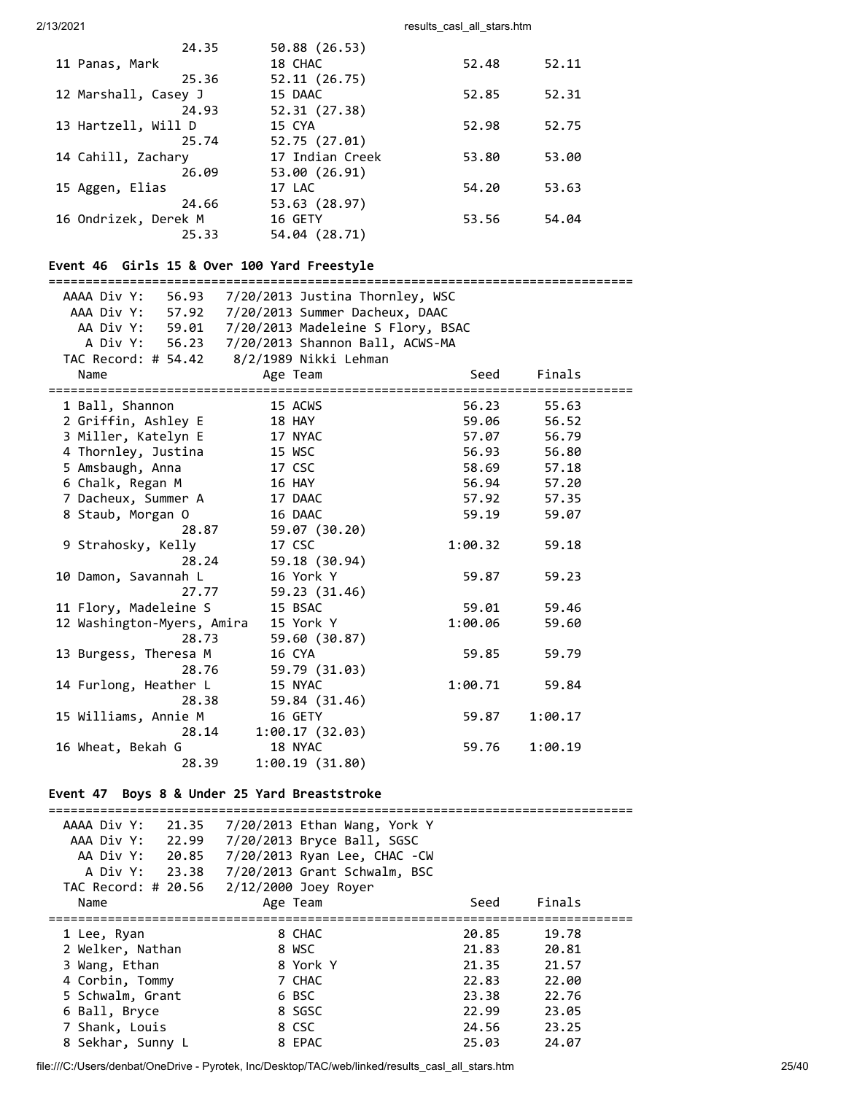| 24.35                | 50.88 (26.53)   |       |       |
|----------------------|-----------------|-------|-------|
| 11 Panas, Mark       | 18 CHAC         | 52.48 | 52.11 |
| 25.36                | 52.11(26.75)    |       |       |
| 12 Marshall, Casey J | 15 DAAC         | 52.85 | 52.31 |
| 24.93                | 52.31 (27.38)   |       |       |
| 13 Hartzell, Will D  | 15 CYA          | 52.98 | 52.75 |
| 25.74                | 52.75 (27.01)   |       |       |
| 14 Cahill, Zachary   | 17 Indian Creek | 53.80 | 53.00 |
| 26.09                | 53.00 (26.91)   |       |       |
| 15 Aggen, Elias      | 17 LAC          | 54.20 | 53.63 |
| 24.66                | 53.63 (28.97)   |       |       |
| 16 Ondrizek, Derek M | 16 GETY         | 53.56 | 54.04 |
| 25.33                | 54.04 (28.71)   |       |       |
|                      |                 |       |       |

# **Event 46 Girls 15 & Over 100 Yard Freestyle**

| ======================                    |                                                   | :==================== |         |
|-------------------------------------------|---------------------------------------------------|-----------------------|---------|
|                                           | AAAA Div Y: 56.93 7/20/2013 Justina Thornley, WSC |                       |         |
|                                           | AAA Div Y: 57.92 7/20/2013 Summer Dacheux, DAAC   |                       |         |
|                                           | AA Div Y: 59.01 7/20/2013 Madeleine S Flory, BSAC |                       |         |
|                                           | A Div Y: 56.23 7/20/2013 Shannon Ball, ACWS-MA    |                       |         |
| TAC Record: # 54.42 8/2/1989 Nikki Lehman |                                                   |                       |         |
| Name                                      | Age Team                                          | Seed                  | Finals  |
| 1 Ball, Shannon                           | 15 ACWS                                           | 56.23                 | 55.63   |
| 2 Griffin, Ashley E                       | 18 HAY                                            | 59.06                 | 56.52   |
| 3 Miller, Katelyn E                       | 17 NYAC                                           | 57.07                 | 56.79   |
| 4 Thornley, Justina                       | 15 WSC                                            | 56.93                 | 56.80   |
| 5 Amsbaugh, Anna                          | 17 CSC                                            | 58.69                 | 57.18   |
| 6 Chalk, Regan M                          | <b>16 HAY</b>                                     | 56.94 57.20           |         |
| 7 Dacheux, Summer A 17 DAAC               |                                                   | 57.92                 | 57.35   |
| 8 Staub, Morgan O                         | 16 DAAC                                           | 59.19                 | 59.07   |
| 28.87                                     | 59.07 (30.20)                                     |                       |         |
| 9 Strahosky, Kelly                        | 17 CSC                                            | 1:00.32               | 59.18   |
| 28.24                                     | 59.18 (30.94)                                     |                       |         |
| 10 Damon, Savannah L                      | 16 York Y                                         | 59.87                 | 59.23   |
| 27.77                                     | 59.23 (31.46)                                     |                       |         |
| 11 Flory, Madeleine S                     | 15 BSAC                                           | 59.01                 | 59.46   |
| 12 Washington-Myers, Amira 15 York Y      |                                                   | 1:00.06               | 59.60   |
| 28.73                                     | 59.60 (30.87)                                     |                       |         |
| 13 Burgess, Theresa M                     | 16 CYA                                            | 59.85                 | 59.79   |
| 28.76                                     | 59.79 (31.03)                                     |                       |         |
| 14 Furlong, Heather L                     | 15 NYAC                                           | 1:00.71               | 59.84   |
| 28.38                                     | 59.84 (31.46)                                     |                       |         |
| 15 Williams, Annie M                      | 16 GETY                                           | 59.87                 | 1:00.17 |
| 28.14                                     | 1:00.17(32.03)                                    |                       |         |
| 16 Wheat, Bekah G                         | 18 NYAC                                           | 59.76                 | 1:00.19 |
| 28.39                                     | 1:00.19(31.80)                                    |                       |         |

# **Event 47 Boys 8 & Under 25 Yard Breaststroke**

| AAAA Div Y:<br>21.35 | 7/20/2013 Ethan Wang, York Y |       |        |
|----------------------|------------------------------|-------|--------|
| AAA Div Y:<br>22.99  | 7/20/2013 Bryce Ball, SGSC   |       |        |
| AA Div Y: 20.85      | 7/20/2013 Ryan Lee, CHAC -CW |       |        |
| A Div Y: 23.38       | 7/20/2013 Grant Schwalm, BSC |       |        |
| TAC Record: # 20.56  | 2/12/2000 Joey Royer         |       |        |
| Name                 | Age Team                     | Seed  | Finals |
|                      |                              |       |        |
|                      |                              |       |        |
| 1 Lee, Ryan          | 8 CHAC                       | 20.85 | 19.78  |
| 2 Welker, Nathan     | 8 WSC                        | 21.83 | 20.81  |
| 3 Wang, Ethan        | 8 York Y                     | 21.35 | 21.57  |
| 4 Corbin, Tommy      | 7 CHAC                       | 22.83 | 22.00  |
| 5 Schwalm, Grant     | 6 BSC                        | 23.38 | 22.76  |
| 6 Ball, Bryce        | 8 SGSC                       | 22.99 | 23.05  |
| 7 Shank, Louis       | 8 CSC                        | 24.56 | 23.25  |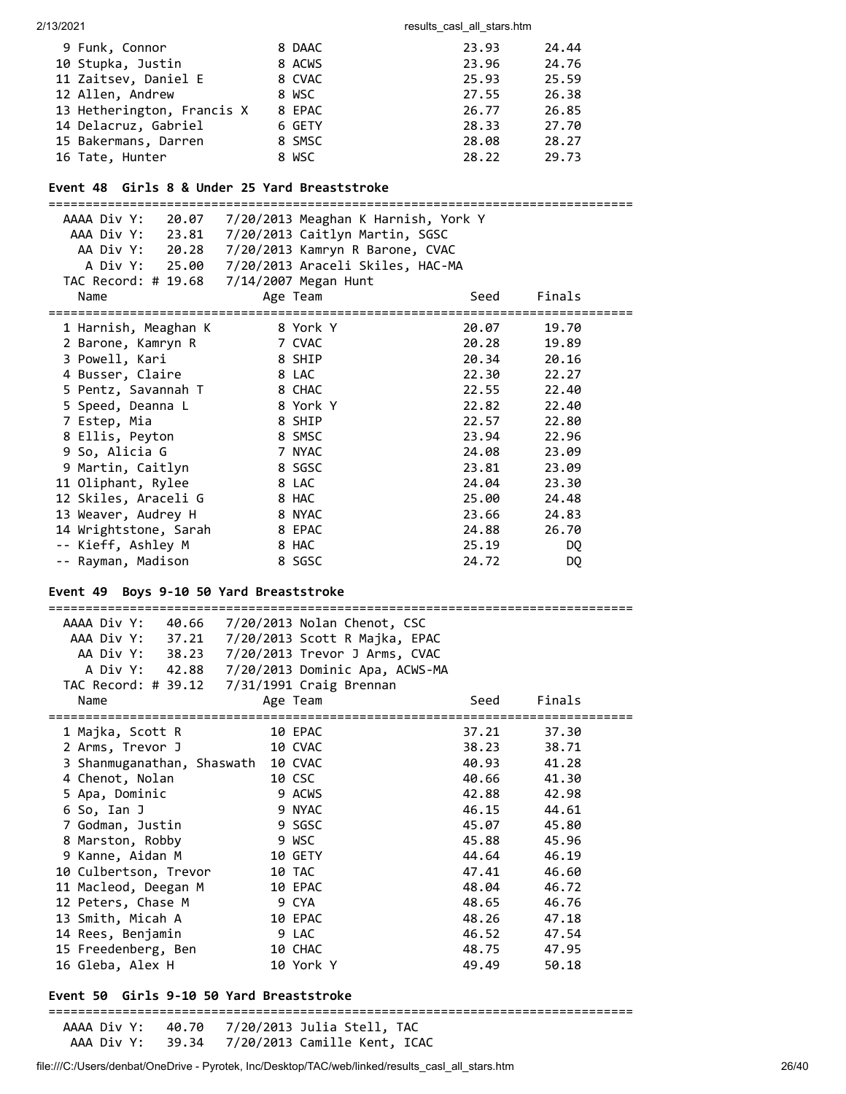| 9 Funk, Connor             | 8 DAAC | 23.93 | 24.44 |
|----------------------------|--------|-------|-------|
| 10 Stupka, Justin          | 8 ACWS | 23.96 | 24.76 |
| 11 Zaitsev, Daniel E       | 8 CVAC | 25.93 | 25.59 |
| 12 Allen, Andrew           | 8 WSC  | 27.55 | 26.38 |
| 13 Hetherington, Francis X | 8 EPAC | 26.77 | 26.85 |
| 14 Delacruz, Gabriel       | 6 GETY | 28.33 | 27.70 |
| 15 Bakermans, Darren       | 8 SMSC | 28.08 | 28.27 |
| 16 Tate, Hunter            | 8 WSC  | 28.22 | 29.73 |

# **Event 48 Girls 8 & Under 25 Yard Breaststroke**

| AAAA Div Y: 20.07     | 7/20/2013 Meaghan K Harnish, York Y |       |        |
|-----------------------|-------------------------------------|-------|--------|
| AAA Div Y: 23.81      | 7/20/2013 Caitlyn Martin, SGSC      |       |        |
| AA Div Y: 20.28       | 7/20/2013 Kamryn R Barone, CVAC     |       |        |
| A Div Y: 25.00        | 7/20/2013 Araceli Skiles, HAC-MA    |       |        |
| TAC Record: # 19.68   | 7/14/2007 Megan Hunt                |       |        |
| Name                  | Age Team                            | Seed  | Finals |
| 1 Harnish, Meaghan K  | ==================<br>8 York Y      | 20.07 | 19.70  |
| 2 Barone, Kamryn R    | 7 CVAC                              | 20.28 | 19.89  |
| 3 Powell, Kari        | 8 SHIP                              | 20.34 | 20.16  |
| 4 Busser, Claire      | 8 LAC                               | 22.30 | 22.27  |
| 5 Pentz, Savannah T   | 8 CHAC                              | 22.55 | 22.40  |
| 5 Speed, Deanna L     | 8 York Y                            | 22.82 | 22.40  |
| 7 Estep, Mia          | 8 SHIP                              | 22.57 | 22.80  |
| 8 Ellis, Peyton       | 8 SMSC                              | 23.94 | 22.96  |
| 9 So, Alicia G        | 7 NYAC                              | 24.08 | 23.09  |
| 9 Martin, Caitlyn     | 8 SGSC                              | 23.81 | 23.09  |
| 11 Oliphant, Rylee    | 8 LAC                               | 24.04 | 23.30  |
| 12 Skiles, Araceli G  | 8 HAC                               | 25.00 | 24.48  |
| 13 Weaver, Audrey H   | 8 NYAC                              | 23.66 | 24.83  |
| 14 Wrightstone, Sarah | 8 EPAC                              | 24.88 | 26.70  |
| -- Kieff, Ashley M    | 8 HAC                               | 25.19 | DQ.    |
| -- Rayman, Madison    | 8 SGSC                              | 24.72 | DQ     |
|                       |                                     |       |        |

# **Event 49 Boys 9-10 50 Yard Breaststroke**

| AAAA Div Y:<br>40.66                            | $7/20/2013$ Nolan Chenot, CSC |       |        |
|-------------------------------------------------|-------------------------------|-------|--------|
| AAA Div Y: 37.21 7/20/2013 Scott R Majka, EPAC  |                               |       |        |
| AA Div Y: 38.23 7/20/2013 Trevor J Arms, CVAC   |                               |       |        |
| A Div Y: 42.88  7/20/2013  Dominic Apa, ACWS-MA |                               |       |        |
|                                                 |                               |       |        |
| Name                                            | Age Team                      | Seed  | Finals |
| 1 Majka, Scott R                                | 10 EPAC                       | 37.21 | 37.30  |
| 2 Arms, Trevor J                                | 10 CVAC                       | 38.23 | 38.71  |
| 3 Shanmuganathan, Shaswath                      | 10 CVAC                       | 40.93 | 41.28  |
| 4 Chenot, Nolan                                 | 10 CSC                        | 40.66 | 41.30  |
| 5 Apa, Dominic                                  | 9 ACWS                        | 42.88 | 42.98  |
| 6 So, Ian J                                     | 9 NYAC                        | 46.15 | 44.61  |
| 7 Godman, Justin                                | 9 SGSC                        | 45.07 | 45.80  |
| 8 Marston, Robby                                | 9 WSC                         | 45.88 | 45.96  |
| 9 Kanne, Aidan M                                | 10 GETY                       | 44.64 | 46.19  |
| 10 Culbertson, Trevor                           | 10 TAC                        | 47.41 | 46.60  |
| 11 Macleod, Deegan M                            | 10 EPAC                       | 48.04 | 46.72  |
| 12 Peters, Chase M                              | 9 CYA                         | 48.65 | 46.76  |
| 13 Smith, Micah A                               | 10 EPAC                       | 48.26 | 47.18  |
| 14 Rees, Benjamin                               | 9 LAC                         | 46.52 | 47.54  |
| 15 Freedenberg, Ben                             | 10 CHAC                       | 48.75 | 47.95  |
| 16 Gleba, Alex H                                | 10 York Y                     | 49.49 | 50.18  |

#### **Event 50 Girls 9-10 50 Yard Breaststroke**

#### ===============================================================================

 AAAA Div Y: 40.70 7/20/2013 Julia Stell, TAC AAA Div Y: 39.34 7/20/2013 Camille Kent, ICAC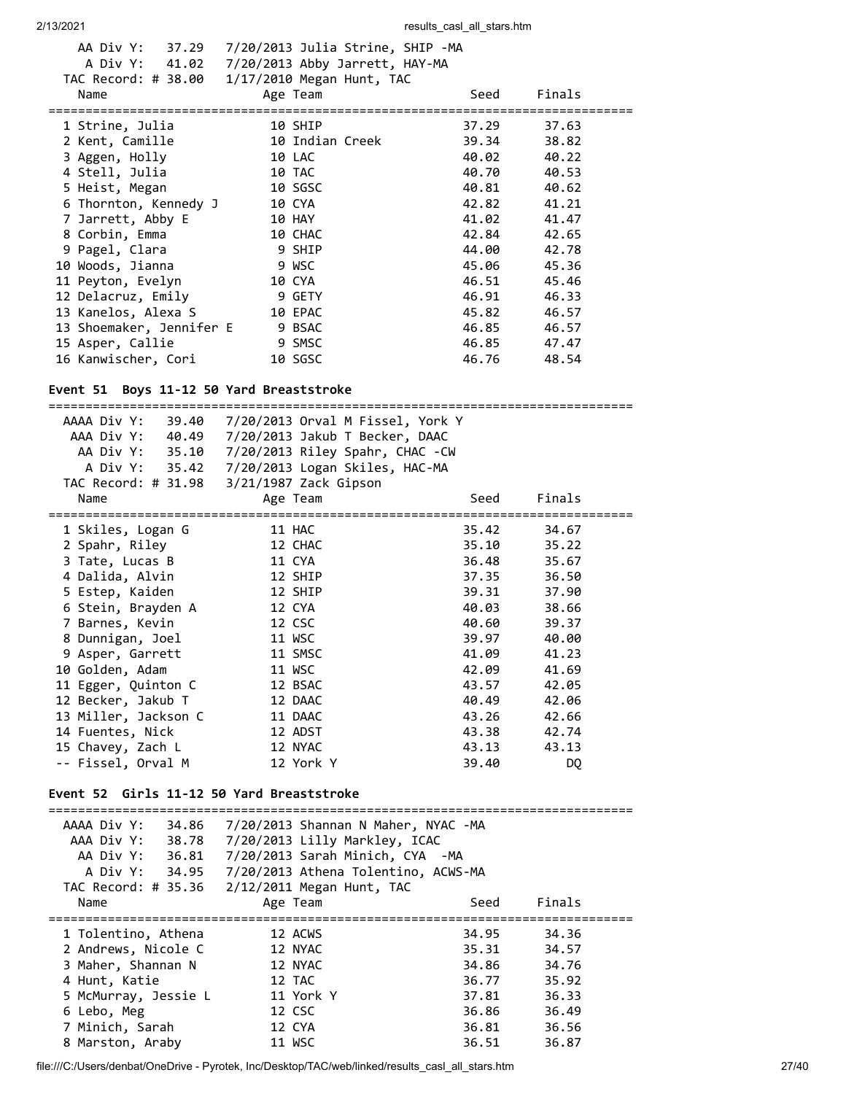| A Div Y: 41.02 7/20/2013 Abby Jarrett, HAY-MA |         |                 |       |        |  |
|-----------------------------------------------|---------|-----------------|-------|--------|--|
| TAC Record: # 38.00 1/17/2010 Megan Hunt, TAC |         |                 |       |        |  |
| Name                                          |         | Age Team        | Seed  | Finals |  |
|                                               |         |                 |       |        |  |
| 1 Strine, Julia                               |         | 10 SHIP         | 37.29 | 37.63  |  |
| 2 Kent, Camille                               |         | 10 Indian Creek | 39.34 | 38.82  |  |
| 3 Aggen, Holly                                |         | 10 LAC          | 40.02 | 40.22  |  |
| 4 Stell, Julia                                |         | 10 TAC          | 40.70 | 40.53  |  |
| 5 Heist, Megan                                | 10 SGSC |                 | 40.81 | 40.62  |  |
| 6 Thornton, Kennedy J                         | 10 CYA  |                 | 42.82 | 41.21  |  |
| 7 Jarrett, Abby E                             |         | 10 HAY          | 41.02 | 41.47  |  |
| 8 Corbin, Emma                                |         | 10 CHAC         | 42.84 | 42.65  |  |
| 9 Pagel, Clara                                |         | 9 SHIP          | 44.00 | 42.78  |  |
| 10 Woods, Jianna                              |         | 9 WSC           | 45.06 | 45.36  |  |
| 11 Peyton, Evelyn                             |         | 10 CYA          | 46.51 | 45.46  |  |
| 12 Delacruz, Emily                            |         | 9 GETY          | 46.91 | 46.33  |  |
| 13 Kanelos, Alexa S                           |         | 10 EPAC         | 45.82 | 46.57  |  |
| 13 Shoemaker, Jennifer E 9 BSAC               |         |                 | 46.85 | 46.57  |  |
| 15 Asper, Callie                              |         | 9 SMSC          | 46.85 | 47.47  |  |
| 16 Kanwischer, Cori                           |         | 10 SGSC         | 46.76 | 48.54  |  |
|                                               |         |                 |       |        |  |

# **Event 51 Boys 11-12 50 Yard Breaststroke**

| AAAA Div Y:<br>39.40                      | 7/20/2013 Orval M Fissel, York Y                   |                |        |  |  |  |  |
|-------------------------------------------|----------------------------------------------------|----------------|--------|--|--|--|--|
|                                           | AAA Div Y: 40.49 7/20/2013 Jakub T Becker, DAAC    |                |        |  |  |  |  |
| AA Div Y: 35.10                           | 7/20/2013 Riley Spahr, CHAC -CW                    |                |        |  |  |  |  |
|                                           | A Div Y: 35.42 7/20/2013 Logan Skiles, HAC-MA      |                |        |  |  |  |  |
|                                           |                                                    |                |        |  |  |  |  |
| Name                                      | Age Team                                           | Seed           | Finals |  |  |  |  |
|                                           |                                                    |                |        |  |  |  |  |
| 1 Skiles, Logan G                         | 11 HAC                                             | 35.42          | 34.67  |  |  |  |  |
| 2 Spahr, Riley                            | 12 CHAC                                            | 35.10          | 35.22  |  |  |  |  |
| 3 Tate, Lucas B                           | 11 CYA                                             | 36.48          | 35.67  |  |  |  |  |
| 4 Dalida, Alvin                           | 12 SHIP                                            | 37.35          | 36.50  |  |  |  |  |
| 5 Estep, Kaiden                           | 12 SHIP                                            | 39.31          | 37.90  |  |  |  |  |
| 6 Stein, Brayden A                        | 12 CYA                                             | 40.03          | 38.66  |  |  |  |  |
| 7 Barnes, Kevin                           | 12 CSC                                             | 40.60          | 39.37  |  |  |  |  |
| 8 Dunnigan, Joel                          | 11 WSC                                             | 39.97          | 40.00  |  |  |  |  |
| 9 Asper, Garrett                          | 11 SMSC                                            | 41.09          | 41.23  |  |  |  |  |
| 10 Golden, Adam                           | 11 WSC                                             | 42.09          | 41.69  |  |  |  |  |
| 11 Egger, Quinton C                       | 12 BSAC                                            | 43.57          | 42.05  |  |  |  |  |
| 12 Becker, Jakub T<br>12 DAAC             |                                                    |                | 42.06  |  |  |  |  |
| 13 Miller, Jackson C                      | 11 DAAC                                            | 40.49<br>43.26 | 42.66  |  |  |  |  |
|                                           |                                                    |                |        |  |  |  |  |
| 14 Fuentes, Nick                          | 12 ADST                                            | 43.38          | 42.74  |  |  |  |  |
| 15 Chavey, Zach L                         | 12 NYAC                                            | 43.13          | 43.13  |  |  |  |  |
| -- Fissel, Orval M                        | 12 York Y                                          | 39.40          | DQ     |  |  |  |  |
|                                           |                                                    |                |        |  |  |  |  |
| Event 52 Girls 11-12 50 Yard Breaststroke |                                                    |                |        |  |  |  |  |
| AAAA Div Y: 34.86                         | 7/20/2013 Shannan N Maher, NYAC -MA                |                |        |  |  |  |  |
|                                           | AAA Div Y: 38.78 7/20/2013 Lilly Markley, ICAC     |                |        |  |  |  |  |
|                                           | AA Div Y: 36.81 7/20/2013 Sarah Minich, CYA -MA    |                |        |  |  |  |  |
|                                           | A Div Y: 34.95 7/20/2013 Athena Tolentino, ACWS-MA |                |        |  |  |  |  |
|                                           | TAC Record: # 35.36 2/12/2011 Megan Hunt, TAC      |                |        |  |  |  |  |
|                                           |                                                    | Seed           | Finals |  |  |  |  |
| Name                                      | Age Team                                           |                |        |  |  |  |  |
| 1 Tolentino, Athena                       | 12 ACWS                                            | 34.95          | 34.36  |  |  |  |  |
| 2 Andrews, Nicole C                       | 12 NYAC                                            | 35.31          | 34.57  |  |  |  |  |
| 3 Maher, Shannan N                        | 12 NYAC                                            | 34.86          | 34.76  |  |  |  |  |
| 4 Hunt, Katie                             | 12 TAC                                             | 36.77          | 35.92  |  |  |  |  |
|                                           | 11 York Y                                          |                |        |  |  |  |  |
| 5 McMurray, Jessie L                      |                                                    | 37.81          | 36.33  |  |  |  |  |
| 6 Lebo, Meg                               | 12 CSC                                             | 36.86          | 36.49  |  |  |  |  |
| 7 Minich, Sarah                           | 12 CYA                                             | 36.81          | 36.56  |  |  |  |  |
| 8 Marston, Araby                          | 11 WSC                                             | 36.51          | 36.87  |  |  |  |  |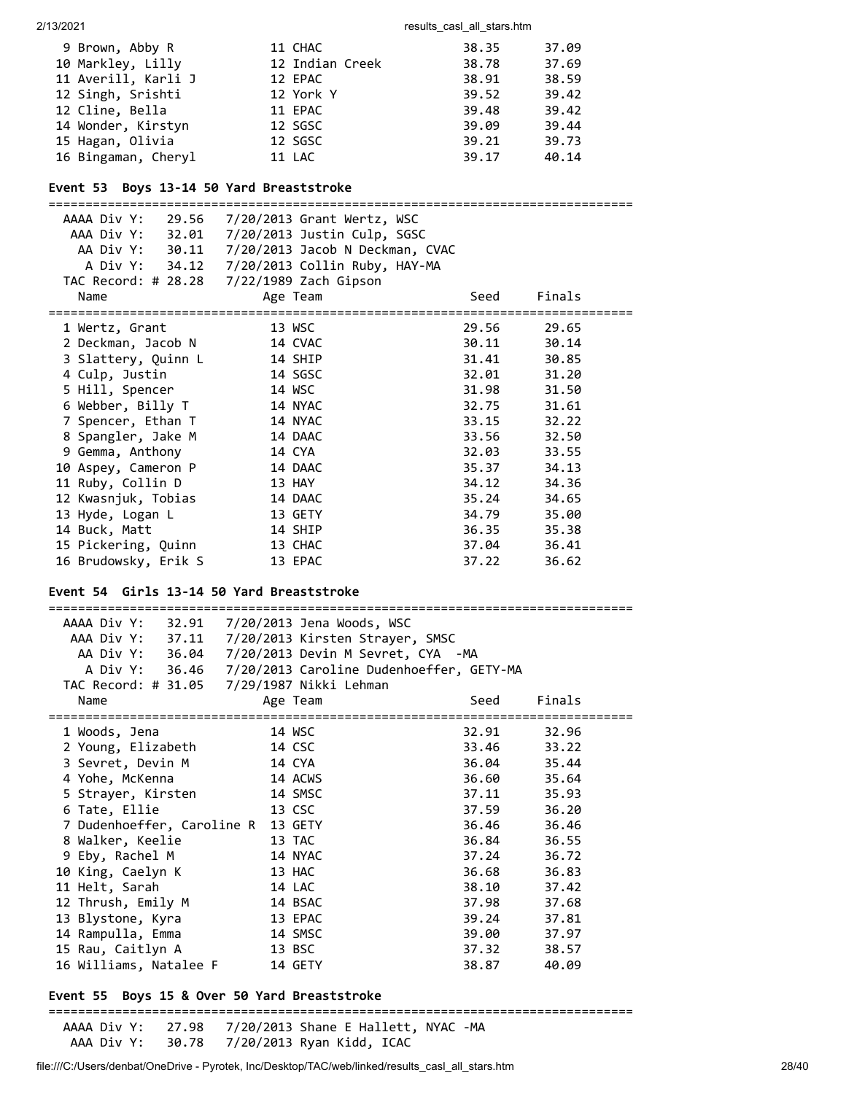#### 2/13/2021 2013/2021 **results** casl all stars.htm

| 9 Brown, Abby R     | 11 CHAC         | 38.35 | 37.09 |
|---------------------|-----------------|-------|-------|
| 10 Markley, Lilly   | 12 Indian Creek | 38.78 | 37.69 |
| 11 Averill, Karli J | 12 EPAC         | 38.91 | 38.59 |
| 12 Singh, Srishti   | 12 York Y       | 39.52 | 39.42 |
| 12 Cline, Bella     | 11 EPAC         | 39.48 | 39.42 |
| 14 Wonder, Kirstyn  | 12 SGSC         | 39.09 | 39.44 |
| 15 Hagan, Olivia    | 12 SGSC         | 39.21 | 39.73 |
| 16 Bingaman, Cheryl | 11 LAC          | 39.17 | 40.14 |

#### **Event 53 Boys 13-14 50 Yard Breaststroke**

| AAAA Div Y:          | 29.56 7/20/2013 Grant Wertz, WSC<br>AAA Div Y: 32.01 7/20/2013 Justin Culp, SGSC |       |             |
|----------------------|----------------------------------------------------------------------------------|-------|-------------|
|                      | AA Div Y: 30.11 7/20/2013 Jacob N Deckman, CVAC                                  |       |             |
|                      | A Div Y: 34.12   7/20/2013   Collin Ruby, HAY-MA                                 |       |             |
|                      |                                                                                  |       |             |
| Name                 | Age Team                                                                         | Seed  | Finals      |
| 1 Wertz, Grant       | 13 WSC                                                                           | 29.56 | 29.65       |
| 2 Deckman, Jacob N   | 14 CVAC                                                                          |       | 30.11 30.14 |
| 3 Slattery, Quinn L  | 14 SHIP                                                                          | 31.41 | 30.85       |
| 4 Culp, Justin       | 14 SGSC                                                                          | 32.01 | 31.20       |
| 5 Hill, Spencer      | 14 WSC                                                                           | 31.98 | 31.50       |
| 6 Webber, Billy T    | 14 NYAC                                                                          | 32.75 | 31.61       |
| 7 Spencer, Ethan T   | 14 NYAC                                                                          | 33.15 | 32.22       |
| 8 Spangler, Jake M   | 14 DAAC                                                                          | 33.56 | 32.50       |
| 9 Gemma, Anthony     | 14 CYA                                                                           | 32.03 | 33.55       |
| 10 Aspey, Cameron P  | 14 DAAC                                                                          | 35.37 | 34.13       |
| 11 Ruby, Collin D    | 13 HAY                                                                           | 34.12 | 34.36       |
| 12 Kwasnjuk, Tobias  | 14 DAAC                                                                          | 35.24 | 34.65       |
| 13 Hyde, Logan L     | 13 GETY                                                                          | 34.79 | 35.00       |
| 14 Buck, Matt        | 14 SHIP                                                                          | 36.35 | 35.38       |
| 15 Pickering, Quinn  | 13 CHAC                                                                          | 37.04 | 36.41       |
| 16 Brudowsky, Erik S | 13 EPAC                                                                          | 37.22 | 36.62       |

# **Event 54 Girls 13-14 50 Yard Breaststroke**

| AAAA Div Y: 32.91 7/20/2013 Jena Woods, WSC      |                                                         |             |        |
|--------------------------------------------------|---------------------------------------------------------|-------------|--------|
| AAA Div Y: 37.11 7/20/2013 Kirsten Strayer, SMSC |                                                         |             |        |
|                                                  | AA Div Y: 36.04 7/20/2013 Devin M Sevret, CYA -MA       |             |        |
|                                                  | A Div Y: 36.46 7/20/2013 Caroline Dudenhoeffer, GETY-MA |             |        |
| TAC Record: # 31.05 7/29/1987 Nikki Lehman       |                                                         |             |        |
| Name                                             | Age Team                                                | Seed        | Finals |
| 1 Woods, Jena                                    | 14 WSC                                                  | 32.91       | 32.96  |
| 2 Young, Elizabeth                               | 14 CSC                                                  | 33.46 33.22 |        |
| 3 Sevret, Devin M                                | 14 CYA                                                  | 36.04 35.44 |        |
| 4 Yohe, McKenna                                  | 14 ACWS                                                 | 36.60 35.64 |        |
| 5 Strayer, Kirsten                               | 14 SMSC                                                 | 37.11       | 35.93  |
| 6 Tate, Ellie                                    | 13 CSC                                                  | 37.59       | 36.20  |
| 7 Dudenhoeffer, Caroline R 13 GETY               |                                                         | 36.46       | 36.46  |
| 8 Walker, Keelie                                 | 13 TAC                                                  | 36.84       | 36.55  |
| 9 Eby, Rachel M                                  | 14 NYAC                                                 | 37.24       | 36.72  |
| 10 King, Caelyn K                                | 13 HAC                                                  | 36.68       | 36.83  |
| 11 Helt, Sarah                                   | 14 LAC                                                  | 38.10       | 37.42  |
| 12 Thrush, Emily M                               | 14 BSAC                                                 | 37.98       | 37.68  |
| 13 Blystone, Kyra                                | 13 EPAC                                                 | 39.24       | 37.81  |
| 14 Rampulla, Emma                                | 14 SMSC                                                 | 39.00       | 37.97  |
| 15 Rau, Caitlyn A                                | 13 BSC                                                  | 37.32       | 38.57  |
| 16 Williams, Natalee F                           | 14 GETY                                                 | 38.87       | 40.09  |

# **Event 55 Boys 15 & Over 50 Yard Breaststroke**

===============================================================================

 AAAA Div Y: 27.98 7/20/2013 Shane E Hallett, NYAC -MA AAA Div Y: 30.78 7/20/2013 Ryan Kidd, ICAC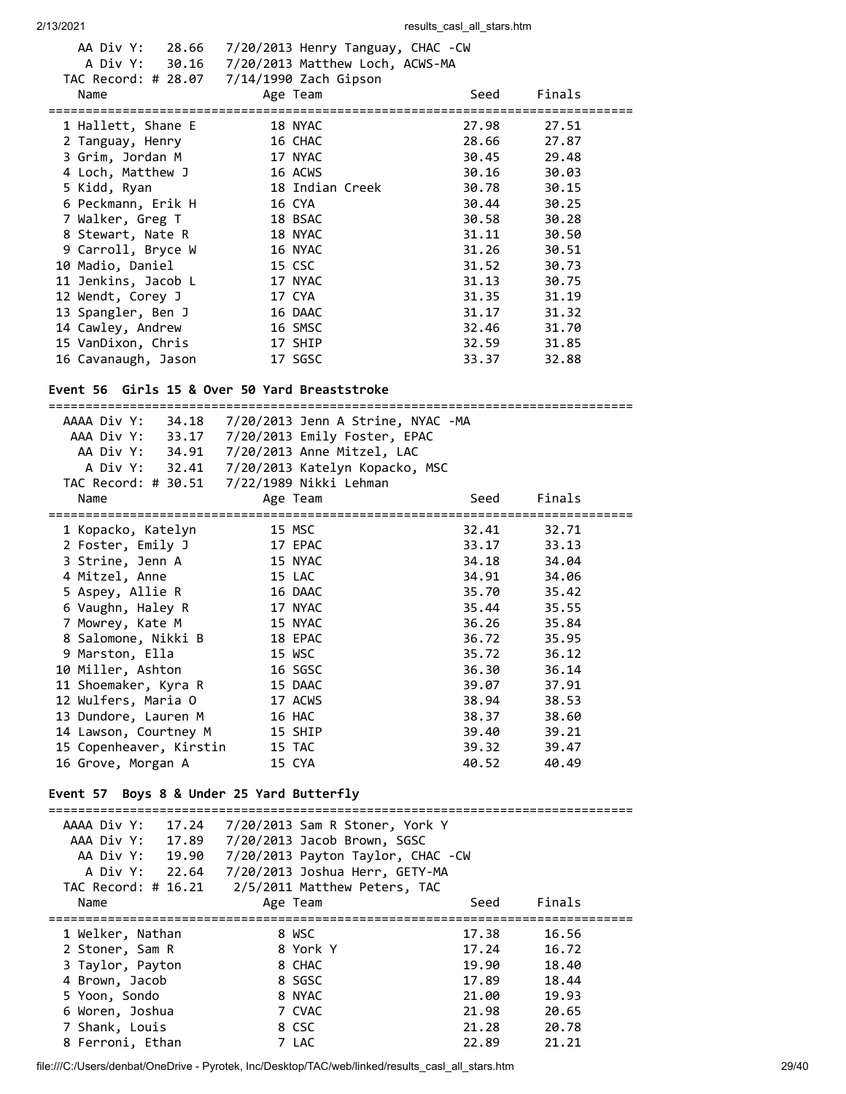| Name                | AA Div Y: 28.66 7/20/2013 Henry Tanguay, CHAC - CW<br>A Div Y: 30.16 7/20/2013 Matthew Loch, ACWS-MA<br>TAC Record: # 28.07 7/14/1990 Zach Gipson<br>Age Team | Seed  | Finals |
|---------------------|---------------------------------------------------------------------------------------------------------------------------------------------------------------|-------|--------|
| 1 Hallett, Shane E  | 18 NYAC                                                                                                                                                       | 27.98 | 27.51  |
| 2 Tanguay, Henry    | 16 CHAC                                                                                                                                                       | 28.66 | 27.87  |
| 3 Grim, Jordan M    | 17 NYAC                                                                                                                                                       | 30.45 | 29.48  |
| 4 Loch, Matthew J   | 16 ACWS                                                                                                                                                       | 30.16 | 30.03  |
| 5 Kidd, Ryan        | 18 Indian Creek                                                                                                                                               | 30.78 | 30.15  |
| 6 Peckmann, Erik H  | 16 CYA                                                                                                                                                        | 30.44 | 30.25  |
| 7 Walker, Greg T    | 18 BSAC                                                                                                                                                       | 30.58 | 30.28  |
| 8 Stewart, Nate R   | 18 NYAC                                                                                                                                                       | 31.11 | 30.50  |
| 9 Carroll, Bryce W  | 16 NYAC                                                                                                                                                       | 31.26 | 30.51  |
| 10 Madio, Daniel    | 15 CSC                                                                                                                                                        | 31.52 | 30.73  |
| 11 Jenkins, Jacob L | 17 NYAC                                                                                                                                                       | 31.13 | 30.75  |
| 12 Wendt, Corey J   | 17 CYA                                                                                                                                                        | 31.35 | 31.19  |
| 13 Spangler, Ben J  | 16 DAAC                                                                                                                                                       | 31.17 | 31.32  |
| 14 Cawley, Andrew   | 16 SMSC                                                                                                                                                       | 32.46 | 31.70  |
| 15 VanDixon, Chris  | 17 SHIP                                                                                                                                                       | 32.59 | 31.85  |
| 16 Cavanaugh, Jason | 17 SGSC                                                                                                                                                       | 33.37 | 32.88  |

#### **Event 56 Girls 15 & Over 50 Yard Breaststroke**

=============================================================================== AAAA Div Y: 34.18 7/20/2013 Jenn A Strine, NYAC -MA AAA Div Y: 33.17 7/20/2013 Emily Foster, EPAC AA Div Y: 34.91 7/20/2013 Anne Mitzel, LAC A Div Y: 32.41 7/20/2013 Katelyn Kopacko, MSC TAC Record: # 30.51 7/22/1989 Nikki Lehman Name Contract Age Team Contract Age Seed Finals =============================================================================== 1 Kopacko, Katelyn 15 MSC 32.41 32.71 2 Foster, Emily J 17 EPAC 33.17 33.13 3 Strine, Jenn A 15 NYAC 34.18 34.04 4 Mitzel, Anne 15 LAC 34.91 34.06 5 Aspey, Allie R 16 DAAC 35.70 35.42 6 Vaughn, Haley R 17 NYAC 35.44 35.55 7 Mowrey, Kate M 15 NYAC 36.26 35.84 8 Salomone, Nikki B 18 EPAC 36.72 35.95 9 Marston, Ella 15 WSC 35.72 36.12 10 Miller, Ashton 16 SGSC 36.30 36.14 11 Shoemaker, Kyra R 15 DAAC 39.07 37.91 12 Wulfers, Maria O 17 ACWS 38.94 38.53 13 Dundore, Lauren M 16 HAC 38.37 38.60 14 Lawson, Courtney M 15 SHIP 39.40 39.21 15 Copenheaver, Kirstin 15 TAC 39.32 39.47 16 Grove, Morgan A 15 CYA 40.52 40.49 **Event 57 Boys 8 & Under 25 Yard Butterfly**

| AAAA Div Y:<br>17.24 | 7/20/2013 Sam R Stoner, York Y    |       |        |  |
|----------------------|-----------------------------------|-------|--------|--|
| AAA Div Y:<br>17.89  | 7/20/2013 Jacob Brown, SGSC       |       |        |  |
| AA Div Y:<br>19.90   | 7/20/2013 Payton Taylor, CHAC -CW |       |        |  |
| A Div Y: 22.64       | 7/20/2013 Joshua Herr, GETY-MA    |       |        |  |
| TAC Record: # 16.21  | 2/5/2011 Matthew Peters, TAC      |       |        |  |
| Name                 | Age Team                          | Seed  | Finals |  |
|                      |                                   |       |        |  |
| 1 Welker, Nathan     | 8 WSC                             | 17.38 | 16.56  |  |
| 2 Stoner, Sam R      | 8 York Y                          | 17.24 | 16.72  |  |
| 3 Taylor, Payton     | 8 CHAC                            | 19.90 | 18.40  |  |
| 4 Brown, Jacob       | 8 SGSC                            | 17.89 | 18.44  |  |
| 5 Yoon, Sondo        | 8 NYAC                            | 21.00 | 19.93  |  |
| 6 Woren, Joshua      | 7 CVAC                            | 21.98 | 20.65  |  |
| 7 Shank, Louis       | 8 CSC                             | 21.28 | 20.78  |  |
| 8 Ferroni, Ethan     | 7 LAC                             | 22.89 | 21.21  |  |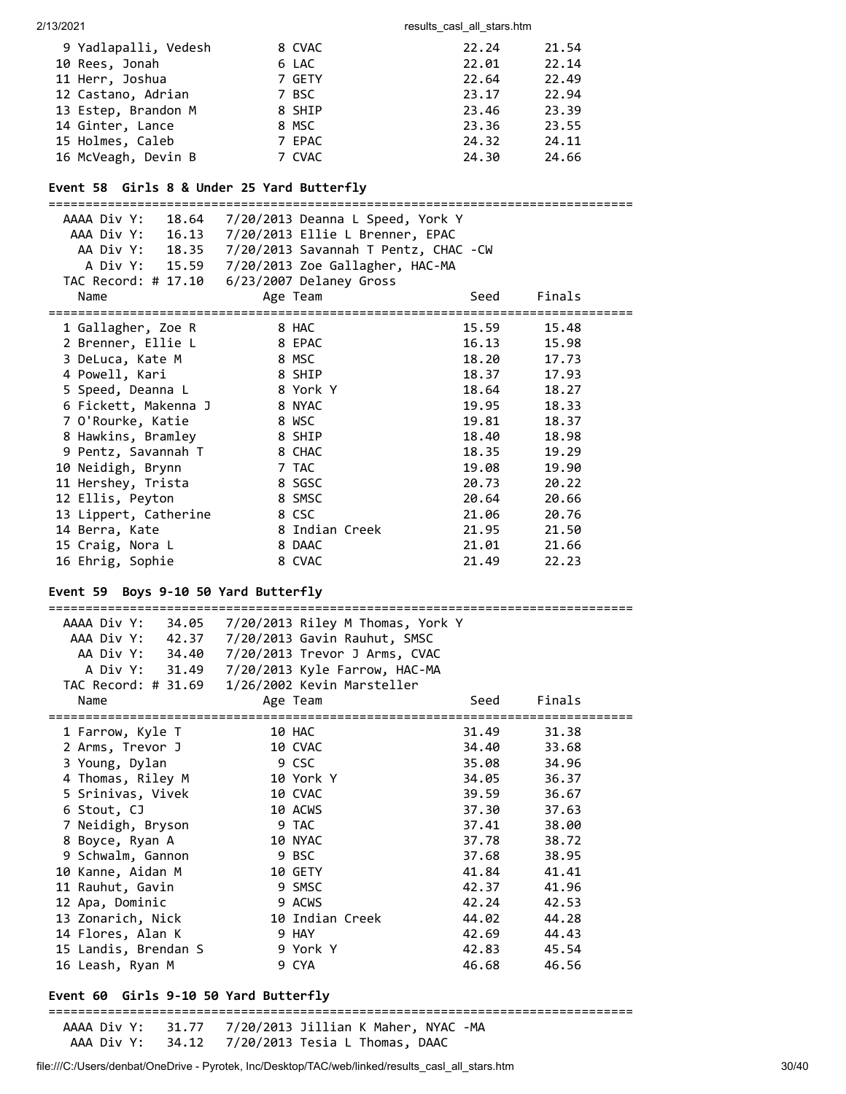| 9 Yadlapalli, Vedesh | 8 CVAC | 22.24 | 21.54 |
|----------------------|--------|-------|-------|
| 10 Rees, Jonah       | 6 LAC  | 22.01 | 22.14 |
| 11 Herr, Joshua      | 7 GETY | 22.64 | 22.49 |
| 12 Castano, Adrian   | 7 BSC  | 23.17 | 22.94 |
| 13 Estep, Brandon M  | 8 SHIP | 23.46 | 23.39 |
| 14 Ginter, Lance     | 8 MSC  | 23.36 | 23.55 |
| 15 Holmes, Caleb     | 7 EPAC | 24.32 | 24.11 |
| 16 McVeagh, Devin B  | 7 CVAC | 24.30 | 24.66 |

# **Event 58 Girls 8 & Under 25 Yard Butterfly**

| AAAA Div Y:<br>18.64  | 7/20/2013 Deanna L Speed, York Y<br>AAA Div Y: 16.13  7/20/2013  Ellie L Brenner, EPAC |       |             |
|-----------------------|----------------------------------------------------------------------------------------|-------|-------------|
|                       |                                                                                        |       |             |
|                       | AA Div Y: 18.35   7/20/2013   Savannah T Pentz, CHAC -CW                               |       |             |
|                       | A Div Y: 15.59 7/20/2013 Zoe Gallagher, HAC-MA                                         |       |             |
|                       | TAC Record: # 17.10    6/23/2007 Delaney Gross                                         |       |             |
| Name                  | Age Team                                                                               | Seed  | Finals      |
| 1 Gallagher, Zoe R    | 8 HAC                                                                                  | 15.59 | 15.48       |
| 2 Brenner, Ellie L    | <b>EXAMPLE 28 EPAC</b>                                                                 |       | 16.13 15.98 |
| 3 DeLuca, Kate M      | 8 MSC                                                                                  | 18.20 | 17.73       |
| 4 Powell, Kari        | 8 SHIP                                                                                 | 18.37 | 17.93       |
| 5 Speed, Deanna L     | 8 York Y                                                                               | 18.64 | 18.27       |
| 6 Fickett, Makenna J  | 8 NYAC                                                                                 | 19.95 | 18.33       |
| 7 O'Rourke, Katie     | 8 WSC                                                                                  | 19.81 | 18.37       |
| 8 Hawkins, Bramley    | 8 SHIP                                                                                 | 18.40 | 18.98       |
| 9 Pentz, Savannah T   | 8 CHAC                                                                                 | 18.35 | 19.29       |
| 10 Neidigh, Brynn     | 7 TAC                                                                                  | 19.08 | 19.90       |
| 11 Hershey, Trista    | 8 SGSC                                                                                 | 20.73 | 20.22       |
| 12 Ellis, Peyton      | 8 SMSC                                                                                 | 20.64 | 20.66       |
| 13 Lippert, Catherine | 8 CSC                                                                                  | 21.06 | 20.76       |
| 14 Berra, Kate        | 8 Indian Creek                                                                         | 21.95 | 21.50       |
| 15 Craig, Nora L      | 8 DAAC                                                                                 | 21.01 | 21.66       |
| 16 Ehrig, Sophie      | 8 CVAC                                                                                 | 21.49 | 22.23       |

# **Event 59 Boys 9-10 50 Yard Butterfly**

| AAAA Div Y:<br>34.05 | 7/20/2013 Riley M Thomas, York Y                |       |        |
|----------------------|-------------------------------------------------|-------|--------|
| AAA Div Y: 42.37     | 7/20/2013 Gavin Rauhut, SMSC                    |       |        |
| AA Div Y: 34.40      | 7/20/2013 Trevor J Arms, CVAC                   |       |        |
|                      | A Div Y: 31.49 7/20/2013 Kyle Farrow, HAC-MA    |       |        |
|                      | TAC Record: # 31.69  1/26/2002 Kevin Marsteller |       |        |
| Name                 | Age Team                                        | Seed  | Finals |
| 1 Farrow, Kyle T     | 10 HAC                                          | 31.49 | 31.38  |
| 2 Arms, Trevor J     | 10 CVAC                                         | 34.40 | 33.68  |
| 3 Young, Dylan       | 9 CSC                                           | 35.08 | 34.96  |
| 4 Thomas, Riley M    | 10 York Y                                       | 34.05 | 36.37  |
| 5 Srinivas, Vivek    | 10 CVAC                                         | 39.59 | 36.67  |
| 6 Stout, CJ          | 10 ACWS                                         | 37.30 | 37.63  |
| 7 Neidigh, Bryson    | 9 TAC                                           | 37.41 | 38.00  |
| 8 Boyce, Ryan A      | 10 NYAC                                         | 37.78 | 38.72  |
| 9 Schwalm, Gannon    | 9 BSC                                           | 37.68 | 38.95  |
| 10 Kanne, Aidan M    | 10 GETY                                         | 41.84 | 41.41  |
| 11 Rauhut, Gavin     | 9 SMSC                                          | 42.37 | 41.96  |
| 12 Apa, Dominic      | 9 ACWS                                          | 42.24 | 42.53  |
| 13 Zonarich, Nick    | 10 Indian Creek                                 | 44.02 | 44.28  |
| 14 Flores, Alan K    | 9 HAY                                           | 42.69 | 44.43  |
| 15 Landis, Brendan S | 9 York Y                                        | 42.83 | 45.54  |
| 16 Leash, Ryan M     | 9 CYA                                           | 46.68 | 46.56  |

# **Event 60 Girls 9-10 50 Yard Butterfly**

===============================================================================

 AAAA Div Y: 31.77 7/20/2013 Jillian K Maher, NYAC -MA AAA Div Y: 34.12 7/20/2013 Tesia L Thomas, DAAC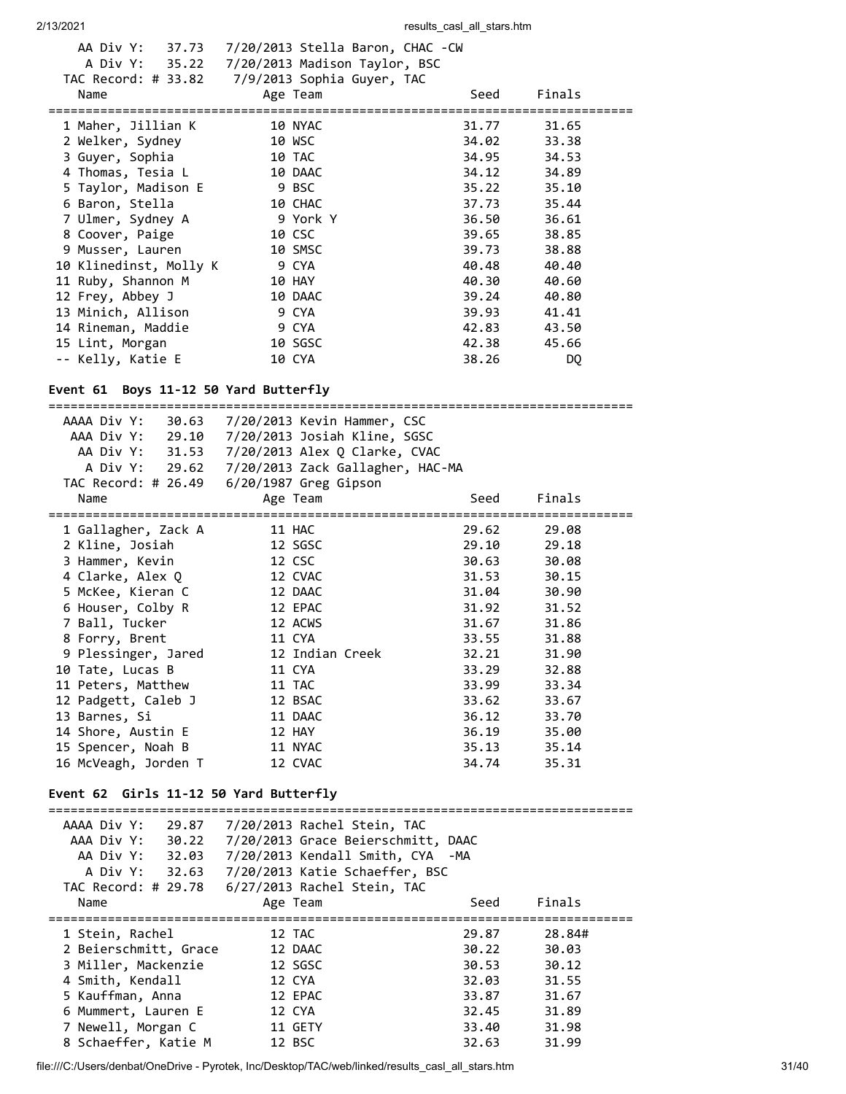| A Div Y: 35.22 7/20/2013 Madison Taylor, BSC     |                       |          |       |        |  |
|--------------------------------------------------|-----------------------|----------|-------|--------|--|
| TAC Record: # 33.82 $7/9/2013$ Sophia Guyer, TAC |                       |          |       |        |  |
| Name                                             |                       | Age Team | Seed  | Finals |  |
| ================================                 |                       |          |       |        |  |
| 1 Maher, Jillian K                               | <b>10 NYAC</b>        |          | 31.77 | 31.65  |  |
| 2 Welker, Sydney                                 |                       | 10 WSC   | 34.02 | 33.38  |  |
| 3 Guyer, Sophia                                  | 10 TAC                |          | 34.95 | 34.53  |  |
| 4 Thomas, Tesia L                                |                       | 10 DAAC  | 34.12 | 34.89  |  |
| 5 Taylor, Madison E                              | <b>Example 19 BSC</b> |          | 35.22 | 35.10  |  |
| 6 Baron, Stella                                  | 10 CHAC               |          | 37.73 | 35.44  |  |
| 7 Ulmer, Sydney A                                |                       | 9 York Y | 36.50 | 36.61  |  |
| 8 Coover, Paige                                  |                       | 10 CSC   | 39.65 | 38.85  |  |
| 9 Musser, Lauren                                 |                       | 10 SMSC  | 39.73 | 38.88  |  |
| 10 Klinedinst, Molly K                           | 9 CYA                 |          | 40.48 | 40.40  |  |
| 11 Ruby, Shannon M                               |                       | 10 HAY   | 40.30 | 40.60  |  |
| 12 Frey, Abbey J                                 |                       | 10 DAAC  | 39.24 | 40.80  |  |
| 13 Minich, Allison                               |                       | 9 CYA    | 39.93 | 41.41  |  |
| 14 Rineman, Maddie                               |                       | 9 CYA    | 42.83 | 43.50  |  |
| 15 Lint, Morgan                                  |                       | 10 SGSC  | 42.38 | 45.66  |  |
| -- Kelly, Katie E                                |                       | 10 CYA   | 38.26 | DQ     |  |
|                                                  |                       |          |       |        |  |

===============================================================================

# **Event 61 Boys 11-12 50 Yard Butterfly**

| AAAA Div Y:<br>30.63                                      | 7/20/2013 Kevin Hammer, CSC                       |       |        |
|-----------------------------------------------------------|---------------------------------------------------|-------|--------|
| AAA Div Y:<br>29.10                                       | 7/20/2013 Josiah Kline, SGSC                      |       |        |
| AA Div Y:<br>31.53                                        | 7/20/2013 Alex Q Clarke, CVAC                     |       |        |
| A Div Y:<br>29.62                                         | 7/20/2013 Zack Gallagher, HAC-MA                  |       |        |
| TAC Record: # 26.49                                       | $6/20/1987$ Greg Gipson                           |       |        |
| Name                                                      | Age Team                                          | Seed  | Finals |
| 1 Gallagher, Zack A                                       | 11 HAC                                            | 29.62 | 29.08  |
| 2 Kline, Josiah                                           | 12 SGSC                                           | 29.10 | 29.18  |
| 3 Hammer, Kevin                                           | 12 CSC                                            | 30.63 | 30.08  |
| 4 Clarke, Alex Q                                          | 12 CVAC                                           | 31.53 | 30.15  |
| 5 McKee, Kieran C                                         | 12 DAAC                                           | 31.04 | 30.90  |
| 6 Houser, Colby R                                         | 12 EPAC                                           | 31.92 | 31.52  |
| 7 Ball, Tucker                                            | 12 ACWS                                           | 31.67 | 31.86  |
| 8 Forry, Brent                                            | 11 CYA                                            | 33.55 | 31.88  |
| 9 Plessinger, Jared                                       | 12 Indian Creek                                   | 32.21 | 31.90  |
| 10 Tate, Lucas B                                          | 11 CYA                                            | 33.29 | 32.88  |
| 11 Peters, Matthew                                        | 11 TAC                                            | 33.99 | 33.34  |
| 12 Padgett, Caleb J                                       | 12 BSAC                                           | 33.62 | 33.67  |
| 13 Barnes, Si                                             | 11 DAAC                                           | 36.12 | 33.70  |
| 14 Shore, Austin E                                        | 12 HAY                                            | 36.19 | 35.00  |
| 15 Spencer, Noah B                                        | 11 NYAC                                           | 35.13 | 35.14  |
| 16 McVeagh, Jorden T                                      | 12 CVAC                                           | 34.74 | 35.31  |
| Event 62 Girls 11-12 50 Yard Butterfly<br>--------------- |                                                   |       |        |
| AAAA Div Y:<br>29.87                                      | 7/20/2013 Rachel Stein, TAC                       |       |        |
| AAA Div Y:                                                | 30.22 7/20/2013 Grace Beierschmitt, DAAC          |       |        |
|                                                           | AA Div Y: 32.03  7/20/2013 Kendall Smith, CYA -MA |       |        |
| A Div Y:<br>32.63                                         | 7/20/2013 Katie Schaeffer, BSC                    |       |        |
| TAC Record: # 29.78                                       | 6/27/2013 Rachel Stein, TAC                       |       |        |
| Name                                                      | Age Team                                          | Seed  | Finals |
| 1 Stein, Rachel                                           | 12 TAC                                            | 29.87 | 28.84# |
| 2 Beierschmitt, Grace                                     | 12 DAAC                                           | 30.22 | 30.03  |
| 3 Miller, Mackenzie                                       | 12 SGSC                                           | 30.53 | 30.12  |
| 4 Smith, Kendall                                          | 12 CYA                                            | 32.03 | 31.55  |
| 5 Kauffman, Anna                                          | 12 EPAC                                           | 33.87 | 31.67  |
| 6 Mummert, Lauren E                                       | 12 CYA                                            | 32.45 | 31.89  |
| 7 Newell, Morgan C                                        | 11 GETY                                           | 33.40 | 31.98  |
| 8 Schaeffer, Katie M                                      | 12 BSC                                            | 32.63 | 31.99  |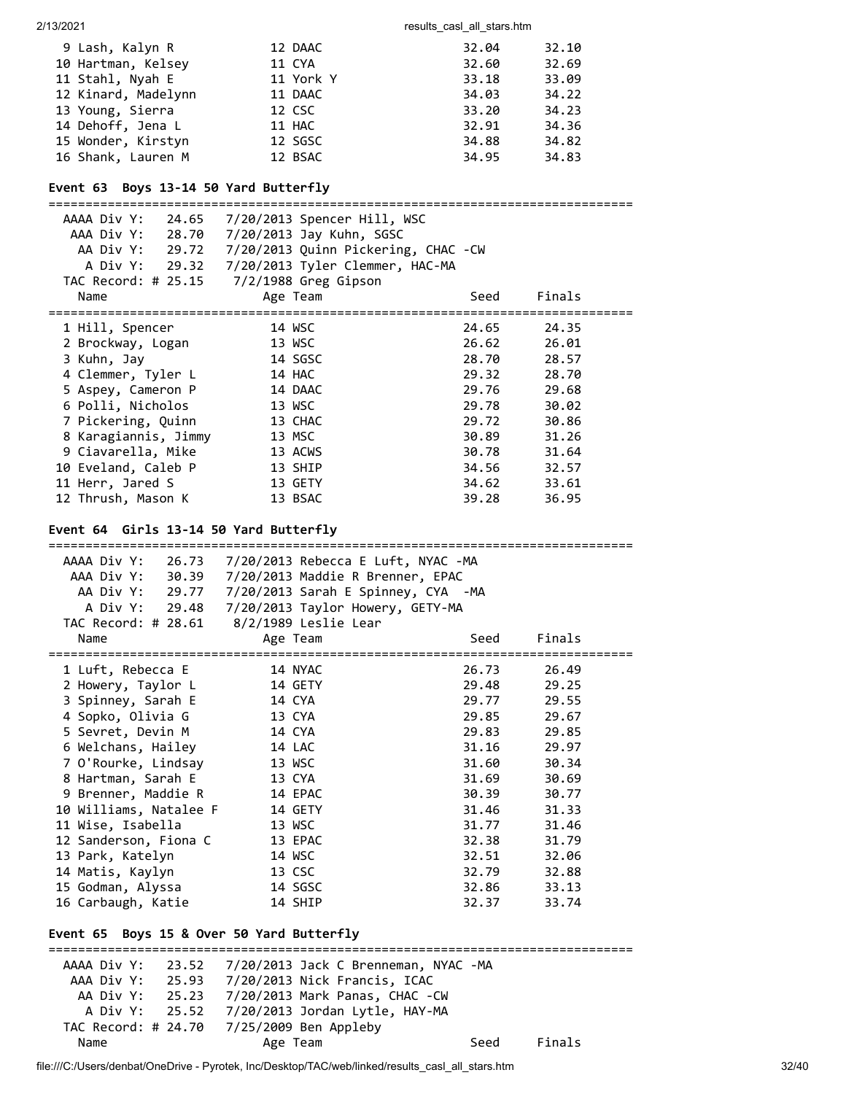| 9 Lash, Kalyn R     | 12 DAAC   | 32.04 | 32.10 |
|---------------------|-----------|-------|-------|
| 10 Hartman, Kelsey  | 11 CYA    | 32.60 | 32.69 |
| 11 Stahl, Nyah E    | 11 York Y | 33.18 | 33.09 |
| 12 Kinard, Madelynn | 11 DAAC   | 34.03 | 34.22 |
| 13 Young, Sierra    | 12 CSC    | 33.20 | 34.23 |
| 14 Dehoff, Jena L   | 11 HAC    | 32.91 | 34.36 |
| 15 Wonder, Kirstyn  | 12 SGSC   | 34.88 | 34.82 |
| 16 Shank, Lauren M  | 12 BSAC   | 34.95 | 34.83 |

# **Event 63 Boys 13-14 50 Yard Butterfly**

| AAAA Div Y:<br>24.65<br>AAA Div Y: 28.70 | 7/20/2013 Spencer Hill, WSC         |       |        |
|------------------------------------------|-------------------------------------|-------|--------|
|                                          | 7/20/2013 Jay Kuhn, SGSC            |       |        |
| AA Div Y: 29.72                          | 7/20/2013 Quinn Pickering, CHAC -CW |       |        |
| A Div Y: 29.32                           | 7/20/2013 Tyler Clemmer, HAC-MA     |       |        |
| TAC Record: # 25.15                      | 7/2/1988 Greg Gipson                |       |        |
| Name                                     | Age Team                            | Seed  | Finals |
|                                          |                                     |       |        |
| 1 Hill, Spencer                          | 14 WSC                              | 24.65 | 24.35  |
| 2 Brockway, Logan                        | 13 WSC                              | 26.62 | 26.01  |
| 3 Kuhn, Jay                              | 14 SGSC                             | 28.70 | 28.57  |
| 4 Clemmer, Tyler L                       | 14 HAC                              | 29.32 | 28.70  |
| 5 Aspey, Cameron P                       | 14 DAAC                             | 29.76 | 29.68  |
| 6 Polli, Nicholos                        | 13 WSC                              | 29.78 | 30.02  |
| 7 Pickering, Quinn                       | 13 CHAC                             | 29.72 | 30.86  |
| 8 Karagiannis, Jimmy                     | 13 MSC                              | 30.89 | 31.26  |
| 9 Ciavarella, Mike                       | 13 ACWS                             | 30.78 | 31.64  |
| 10 Eveland, Caleb P                      | 13 SHIP                             | 34.56 | 32.57  |
| 11 Herr, Jared S                         | 13 GETY                             | 34.62 | 33.61  |
| 12 Thrush, Mason K                       | 13 BSAC                             | 39.28 | 36.95  |

# **Event 64 Girls 13-14 50 Yard Butterfly**

| =======================                   |                                                        |       |             |
|-------------------------------------------|--------------------------------------------------------|-------|-------------|
|                                           | AAAA Div Y: 26.73 7/20/2013 Rebecca E Luft, NYAC -MA   |       |             |
|                                           | AAA Div Y: 30.39 7/20/2013 Maddie R Brenner, EPAC      |       |             |
|                                           | AA Div Y: 29.77 7/20/2013 Sarah E Spinney, CYA -MA     |       |             |
|                                           | A Div Y: 29.48 7/20/2013 Taylor Howery, GETY-MA        |       |             |
|                                           | TAC Record: # 28.61 8/2/1989 Leslie Lear               |       |             |
| Name                                      | Age Team                                               | Seed  | Finals      |
| 1 Luft, Rebecca E                         | 14 NYAC                                                | 26.73 | 26.49       |
| 2 Howery, Taylor L                        | 14 GETY                                                | 29.48 | 29.25       |
| 3 Spinney, Sarah E                        | 14 CYA                                                 | 29.77 | 29.55       |
| 4 Sopko, Olivia G                         | 13 CYA                                                 | 29.85 | 29.67       |
| 5 Sevret, Devin M                         | 14 CYA                                                 | 29.83 | 29.85       |
| 6 Welchans, Hailey                        | 14 LAC                                                 | 31.16 | 29.97       |
| 7 O'Rourke, Lindsay                       | 13 WSC                                                 | 31.60 | 30.34       |
| 8 Hartman, Sarah E                        | 13 CYA                                                 | 31.69 | 30.69       |
| 9 Brenner, Maddie R                       | 14 EPAC                                                | 30.39 | 30.77       |
| 10 Williams, Natalee F                    | 14 GETY                                                | 31.46 | 31.33       |
| 11 Wise, Isabella                         | 13 WSC                                                 | 31.77 | 31.46       |
| 12 Sanderson, Fiona C                     | 13 EPAC                                                | 32.38 | 31.79       |
| 13 Park, Katelyn                          | 14 WSC                                                 | 32.51 | 32.06       |
| 14 Matis, Kaylyn                          | 13 CSC                                                 | 32.79 | 32.88       |
| 15 Godman, Alyssa                         | 14 SGSC                                                |       | 32.86 33.13 |
| 16 Carbaugh, Katie                        | 14 SHIP                                                | 32.37 | 33.74       |
|                                           |                                                        |       |             |
| Event 65 Boys 15 & Over 50 Yard Butterfly |                                                        |       |             |
|                                           | AAAA Div Y: 23.52 7/20/2013 Jack C Brenneman, NYAC -MA |       |             |
|                                           | AAA Div Y: 25.93  7/20/2013 Nick Francis, ICAC         |       |             |
|                                           | AA Div Y: 25.23 7/20/2013 Mark Panas, CHAC -CW         |       |             |
|                                           | A Div Y: 25.52 7/20/2013 Jordan Lytle, HAY-MA          |       |             |
|                                           | TAC Record: # 24.70 7/25/2009 Ben Appleby              |       |             |
|                                           |                                                        |       |             |

Name **Age Team** Age Team Seed Finals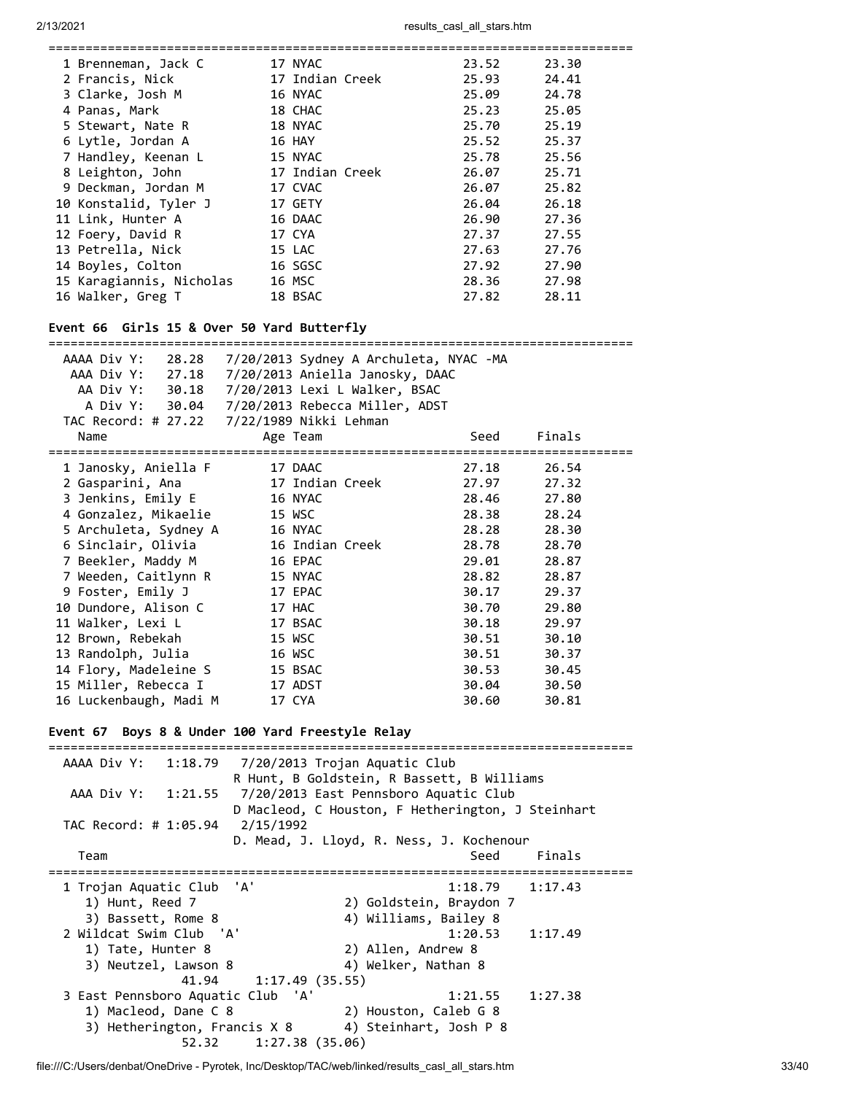| 1 Brenneman, Jack C      | 17 NYAC         | 23.52 | 23.30 |
|--------------------------|-----------------|-------|-------|
| 2 Francis, Nick          | 17 Indian Creek | 25.93 | 24.41 |
| 3 Clarke, Josh M         | 16 NYAC         | 25.09 | 24.78 |
| 4 Panas, Mark            | 18 CHAC         | 25.23 | 25.05 |
| 5 Stewart, Nate R        | 18 NYAC         | 25.70 | 25.19 |
| 6 Lytle, Jordan A        | 16 HAY          | 25.52 | 25.37 |
| 7 Handley, Keenan L      | 15 NYAC         | 25.78 | 25.56 |
| 8 Leighton, John         | 17 Indian Creek | 26.07 | 25.71 |
| 9 Deckman, Jordan M      | 17 CVAC         | 26.07 | 25.82 |
| 10 Konstalid, Tyler J    | 17 GETY         | 26.04 | 26.18 |
| 11 Link, Hunter A        | 16 DAAC         | 26.90 | 27.36 |
| 12 Foery, David R        | 17 CYA          | 27.37 | 27.55 |
| 13 Petrella, Nick        | 15 LAC          | 27.63 | 27.76 |
| 14 Boyles, Colton        | 16 SGSC         | 27.92 | 27.90 |
| 15 Karagiannis, Nicholas | 16 MSC          | 28.36 | 27.98 |
| 16 Walker, Greg T        | 18 BSAC         | 27.82 | 28.11 |
|                          |                 |       |       |

#### **Event 66 Girls 15 & Over 50 Yard Butterfly**

=============================================================================== AAAA Div Y: 28.28 7/20/2013 Sydney A Archuleta, NYAC -MA

|                                               |  |                 | $1/20/20 = 0.00$                              |       |        |  |
|-----------------------------------------------|--|-----------------|-----------------------------------------------|-------|--------|--|
| AAA Div Y: 27.18                              |  |                 | 7/20/2013 Aniella Janosky, DAAC               |       |        |  |
| AA Div Y: 30.18 7/20/2013 Lexi L Walker, BSAC |  |                 |                                               |       |        |  |
|                                               |  |                 | A Div Y: 30.04 7/20/2013 Rebecca Miller, ADST |       |        |  |
|                                               |  |                 |                                               |       |        |  |
| Name                                          |  | Age Team        |                                               | Seed  | Finals |  |
|                                               |  |                 |                                               |       |        |  |
| 1 Janosky, Aniella F                          |  | 17 DAAC         |                                               | 27.18 | 26.54  |  |
| 2 Gasparini, Ana                              |  | 17 Indian Creek |                                               | 27.97 | 27.32  |  |
| 3 Jenkins, Emily E                            |  | 16 NYAC         |                                               | 28.46 | 27.80  |  |
| 4 Gonzalez, Mikaelie                          |  | 15 WSC          |                                               | 28.38 | 28.24  |  |
| 5 Archuleta, Sydney A                         |  | 16 NYAC         |                                               | 28.28 | 28.30  |  |
| 6 Sinclair, Olivia                            |  | 16 Indian Creek |                                               | 28.78 | 28.70  |  |
| 7 Beekler, Maddy M                            |  | 16 EPAC         |                                               | 29.01 | 28.87  |  |
| 7 Weeden, Caitlynn R                          |  | 15 NYAC         |                                               | 28.82 | 28.87  |  |
| 9 Foster, Emily J                             |  | 17 EPAC         |                                               | 30.17 | 29.37  |  |
| 10 Dundore, Alison C                          |  | 17 HAC          |                                               | 30.70 | 29.80  |  |
| 11 Walker, Lexi L                             |  | 17 BSAC         |                                               | 30.18 | 29.97  |  |
| 12 Brown, Rebekah                             |  | 15 WSC          |                                               | 30.51 | 30.10  |  |
| 13 Randolph, Julia                            |  | 16 WSC          |                                               | 30.51 | 30.37  |  |
| 14 Flory, Madeleine S                         |  | 15 BSAC         |                                               | 30.53 | 30.45  |  |
| 15 Miller, Rebecca I                          |  | 17 ADST         |                                               | 30.04 | 30.50  |  |
| 16 Luckenbaugh, Madi M                        |  | 17 CYA          |                                               | 30.60 | 30.81  |  |
|                                               |  |                 |                                               |       |        |  |

#### **Event 67 Boys 8 & Under 100 Yard Freestyle Relay**

=============================================================================== AAAA Div Y: 1:18.79 7/20/2013 Trojan Aquatic Club R Hunt, B Goldstein, R Bassett, B Williams AAA Div Y: 1:21.55 7/20/2013 East Pennsboro Aquatic Club D Macleod, C Houston, F Hetherington, J Steinhart TAC Record: # 1:05.94 2/15/1992 D. Mead, J. Lloyd, R. Ness, J. Kochenour Team Seed Finals =============================================================================== 1 Trojan Aquatic Club 'A' 1:18.79 1:17.43 1) Hunt, Reed 7 2) Goldstein, Braydon 7 3) Bassett, Rome 8 4) Williams, Bailey 8 2 Wildcat Swim Club 'A' 1:20.53 1:17.49 1) Tate, Hunter 8 3) Neutzel, Lawson 8 (4) Welker, Nathan 8 41.94 1:17.49 (35.55) 3 East Pennsboro Aquatic Club 'A' 1:21.55 1:27.38 1) Macleod, Dane C 8 2) Houston, Caleb G 8 3) Hetherington, Francis X 8 4) Steinhart, Josh P 8 52.32 1:27.38 (35.06)

file:///C:/Users/denbat/OneDrive - Pyrotek, Inc/Desktop/TAC/web/linked/results\_casl\_all\_stars.htm 33/40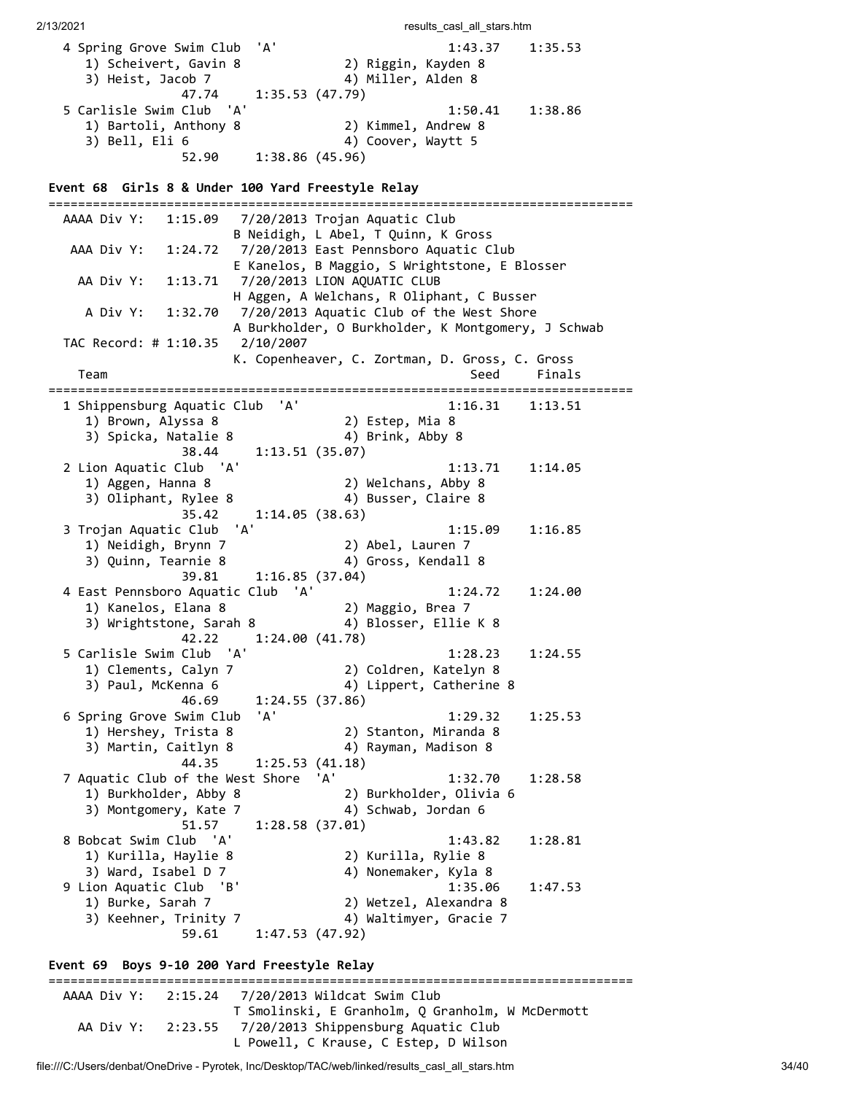2/13/2021 **results** casl all stars.htm 4 Spring Grove Swim Club 'A' 1:43.37 1:35.53 1) Scheivert, Gavin 8 2) Riggin, Kayden 8 3) Heist, Jacob 7 4) Miller, Alden 8 47.74 1:35.53 (47.79) 1:35.53 (47.79)<br>5 Carlisle Swim Club 'A' 1:35.53 (47.79)<br>5 Carlisle Swim Club 'A' 1:50.41 1:38.86<br>1) Bartoli, Anthony 8 2) Kimmel, Andrew 8 2011511 - 2012<br>1) Bartoli, Anthony 8 3) Bell, Eli 6 4) Coover, Waytt 5 52.90 1:38.86 (45.96) **Event 68 Girls 8 & Under 100 Yard Freestyle Relay** =============================================================================== AAAA Div Y: 1:15.09 7/20/2013 Trojan Aquatic Club B Neidigh, L Abel, T Quinn, K Gross AAA Div Y: 1:24.72 7/20/2013 East Pennsboro Aquatic Club E Kanelos, B Maggio, S Wrightstone, E Blosser AA Div Y: 1:13.71 7/20/2013 LION AQUATIC CLUB H Aggen, A Welchans, R Oliphant, C Busser A Div Y: 1:32.70 7/20/2013 Aquatic Club of the West Shore A Burkholder, O Burkholder, K Montgomery, J Schwab TAC Record: # 1:10.35 2/10/2007 K. Copenheaver, C. Zortman, D. Gross, C. Gross Team Seed Finals =============================================================================== 1 Shippensburg Aquatic Club 'A' 1:16.31 1:13.51 1) Brown, Alyssa 8 2) Estep, Mia 8 3) Spicka, Natalie 8 4) Brink, Abby 8 38.44 1:13.51 (35.07) 2 Lion Aquatic Club 'A' 1:13.71 1:14.05 1) Aggen, Hanna 8 2) Welchans, Abby 8 3) Oliphant, Rylee 8 4) Busser, Claire 8 35.42 1:14.05 (38.63) 3 Trojan Aquatic Club 'A' 1:15.09 1:16.85 2) Abel, Lauren 7<br>4) Gross, Kendall 8 3) Quinn, Tearnie 8 4) Gross, Kendall 8 39.81 1:16.85 (37.04) 4 East Pennsboro Aquatic Club 'A' 1:24.72 1:24.00 1) Kanelos, Elana 8 2) Maggio, Brea 7 3) Wrightstone, Sarah 8 4) Blosser, Ellie K 8 42.22 1:24.00 (41.78) 5 Carlisle Swim Club 'A' 1:28.23 1:24.55 1) Clements, Calyn 7 2) Coldren, Katelyn 8 3) Paul, McKenna 6 4) Lippert, Catherine 8 46.69 1:24.55 (37.86) 6 Spring Grove Swim Club 'A' 1:29.32 1:25.53 1) Hershey, Trista 8 2) Stanton, Miranda 8 3) Martin, Caitlyn 8 4) Rayman, Madison 8 44.35 1:25.53 (41.18) 7 Aquatic Club of the West Shore 'A' 1:32.70 1:28.58 1) Burkholder, Abby 8 2) Burkholder, Olivia 6 3) Montgomery, Kate 7 4) Schwab, Jordan 6 51.57 1:28.58 (37.01) 8 Bobcat Swim Club 'A' 1:43.82 1:28.81 1) Kurilla, Haylie 8 2) Kurilla, Rylie 8 3) Ward, Isabel D 7 4) Nonemaker, Kyla 8 9 Lion Aquatic Club 'B' 1:35.06 1:47.53 1) Burke, Sarah 7 2) Wetzel, Alexandra 8 3) Keehner, Trinity 7 4) Waltimyer, Gracie 7 59.61 1:47.53 (47.92)

# **Event 69 Boys 9-10 200 Yard Freestyle Relay**

=============================================================================== AAAA Div Y: 2:15.24 7/20/2013 Wildcat Swim Club T Smolinski, E Granholm, Q Granholm, W McDermott AA Div Y: 2:23.55 7/20/2013 Shippensburg Aquatic Club L Powell, C Krause, C Estep, D Wilson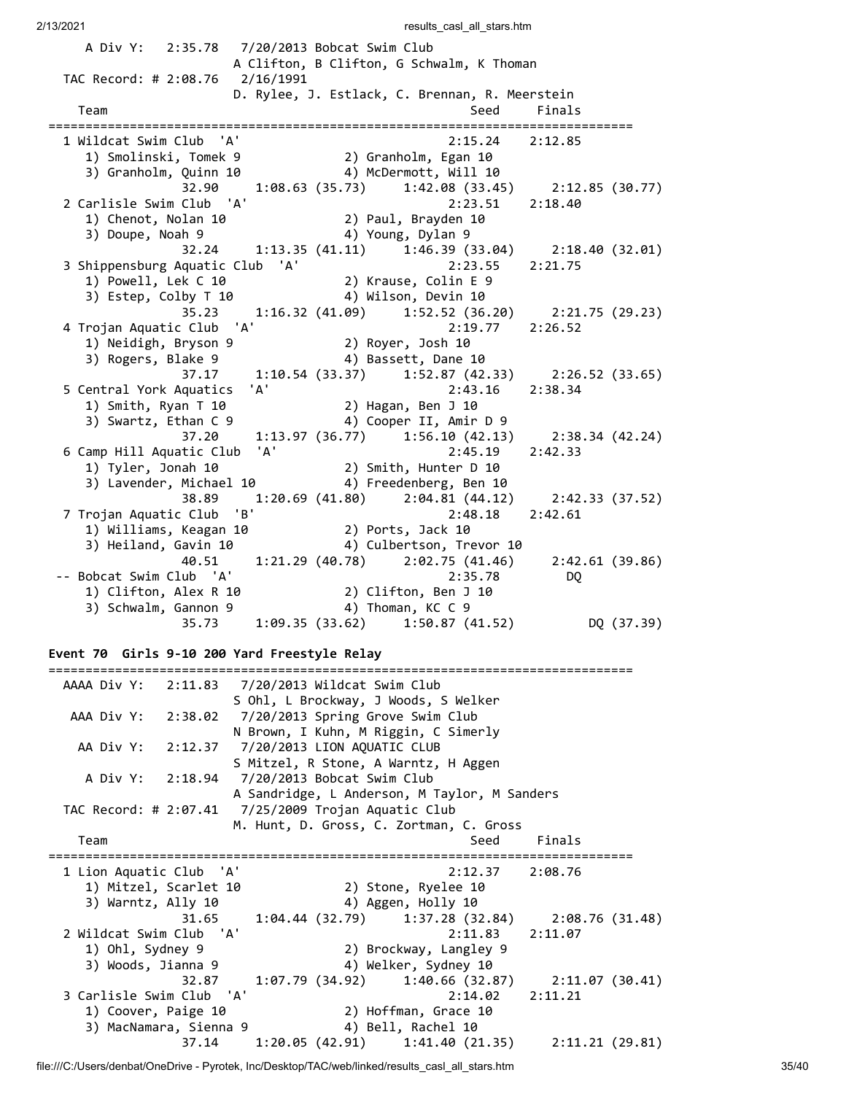A Div Y: 2:35.78 7/20/2013 Bobcat Swim Club A Clifton, B Clifton, G Schwalm, K Thoman TAC Record: # 2:08.76 2/16/1991 D. Rylee, J. Estlack, C. Brennan, R. Meerstein Team Seed Finals =============================================================================== 1 Wildcat Swim Club 'A' 2:15.24 2:12.85 1) Smolinski, Tomek 9 2) Granholm, Egan 10 3) Granholm, Quinn 10 4) McDermott, Will 10 32.90 1:08.63 (35.73) 1:42.08 (33.45) 2:12.85 (30.77) 2 Carlisle Swim Club 'A' 2:23.51 2:18.40 1) Chenot, Nolan 10 2) Paul, Brayden 10 1) Chenot, Nolan 10 (2) Paul, Brayden 10<br>3) Doupe, Noah 9 (4) Young, Dylan 9  $32.24$  1:13.35 (41.11) 1:46.39 (33.04) 2:18.40 (32.01) 3 Shippensburg Aquatic Club 'A' 2:23.55 2:21.75 1) Powell, Lek C 10 2) Krause, Colin E 9<br>3) Estep, Colby T 10 4) Wilson, Devin 10 3) Estep, Colby T 10 4) Wilson, Devin 10 35.23 1:16.32 (41.09) 1:52.52 (36.20) 2:21.75 (29.23) 4 Trojan Aquatic Club 'A' 2:19.77 2:26.52 1) Neidigh, Bryson 9 2) Royer, Josh 10 3) Rogers, Blake 9 4) Bassett, Dane 10 37.17 1:10.54 (33.37) 1:52.87 (42.33) 2:26.52 (33.65) 5 Central York Aquatics 'A' 2:43.16 2:38.34 1) Smith, Ryan T 10 2) Hagan, Ben J 10 3) Swartz, Ethan C 9 4) Cooper II, Amir D 9 37.20 1:13.97 (36.77) 1:56.10 (42.13) 2:38.34 (42.24) 6 Camp Hill Aquatic Club 'A' 2:45.19 2:42.33 1) Tyler, Jonah 10 2) Smith, Hunter D 10 3) Lavender, Michael 10 4) Freedenberg, Ben 10 38.89 1:20.69 (41.80) 2:04.81 (44.12) 2:42.33 (37.52) 7 Trojan Aquatic Club 'B' 2:48.18 2:42.61 1) Williams, Keagan 10<br>
1) Williams, Keagan 10<br>
3) Heiland, Gavin 10 (2) Culbertson, Trevor 10 3) Heiland, Gavin 10 4) Culbertson, Trevor 10 40.51 1:21.29 (40.78) 2:02.75 (41.46) 2:42.61 (39.86) -- Bobcat Swim Club 'A' 2:35.78 DQ 1) Clifton, Alex R 10 2) Clifton, Ben J 10 3) Schwalm, Gannon 9 4) Thoman, KC C 9 35.73 1:09.35 (33.62) 1:50.87 (41.52) DQ (37.39) **Event 70 Girls 9-10 200 Yard Freestyle Relay** =============================================================================== AAAA Div Y: 2:11.83 7/20/2013 Wildcat Swim Club S Ohl, L Brockway, J Woods, S Welker AAA Div Y: 2:38.02 7/20/2013 Spring Grove Swim Club N Brown, I Kuhn, M Riggin, C Simerly AA Div Y: 2:12.37 7/20/2013 LION AQUATIC CLUB S Mitzel, R Stone, A Warntz, H Aggen A Div Y: 2:18.94 7/20/2013 Bobcat Swim Club A Sandridge, L Anderson, M Taylor, M Sanders TAC Record: # 2:07.41 7/25/2009 Trojan Aquatic Club M. Hunt, D. Gross, C. Zortman, C. Gross Team Seed Finals =============================================================================== 1 Lion Aquatic Club 'A' 2:12.37 2:08.76 1) Mitzel, Scarlet 10 2) Stone, Ryelee 10 3) Warntz, Ally 10 4) Aggen, Holly 10 31.65 1:04.44 (32.79) 1:37.28 (32.84) 2:08.76 (31.48) 2 Wildcat Swim Club 'A' 2:11.83 2:11.07 1) Ohl, Sydney 9 2) Brockway, Langley 9 1) Ohl, Sydney 9 (2) Brockway, Langley 9<br>3) Woods, Jianna 9 (4) Welker, Sydney 10 32.87 1:07.79 (34.92) 1:40.66 (32.87) 2:11.07 (30.41) 3 Carlisle Swim Club 'A' 2:14.02 2:11.21 1) Coover, Paige 10 2) Hoffman, Grace 10 3) MacNamara, Sienna 9 4) Bell, Rachel 10 37.14 1:20.05 (42.91) 1:41.40 (21.35) 2:11.21 (29.81)

file:///C:/Users/denbat/OneDrive - Pyrotek, Inc/Desktop/TAC/web/linked/results\_casl\_all\_stars.htm 35/40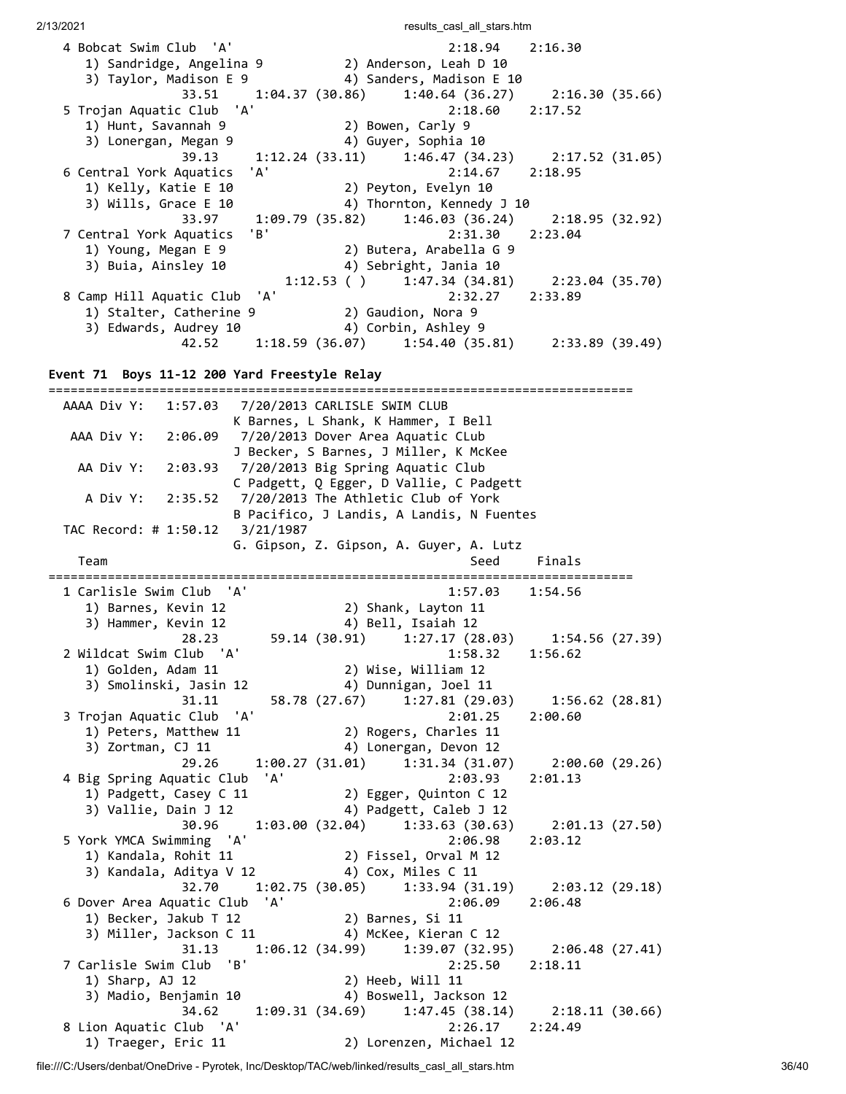2/13/2021 **results** casl all stars.htm 4 Bobcat Swim Club 'A' 2:18.94 2:16.30 1) Sandridge, Angelina 9 2) Anderson, Leah D 10 3) Taylor, Madison E 9 4) Sanders, Madison E 10 33.51 1:04.37 (30.86) 1:40.64 (36.27) 2:16.30 (35.66) 5 Trojan Aquatic Club 'A' 2:18.60 2:17.52 1) Hunt, Savannah 9 2) Bowen, Carly 9 3) Lonergan, Megan 9 (4) Guyer, Sophia 10 39.13 1:12.24 (33.11) 1:46.47 (34.23) 2:17.52 (31.05) 6 Central York Aquatics 'A' 2:14.67 2:18.95 1) Kelly, Katie E 10 2) Peyton, Evelyn 10 3) Wills, Grace E 10 4) Thornton, Kennedy J 10 33.97 1:09.79 (35.82) 1:46.03 (36.24) 2:18.95 (32.92) 7 Central York Aquatics 'B' 2:31.30 2:23.04 1) Young, Megan E 9 2) Butera, Arabella G 9 3) Buia, Ainsley 10 4) Sebright, Jania 10 1:12.53 ( )  $1:47.34$  (34.81) 2:23.04 (35.70) 8 Camp Hill Aquatic Club 'A' 2:32.27 2:33.89 1) Stalter, Catherine 9 2) Gaudion, Nora 9 3) Edwards, Audrey 10 4) Corbin, Ashley 9 42.52 1:18.59 (36.07) 1:54.40 (35.81) 2:33.89 (39.49)

**Event 71 Boys 11-12 200 Yard Freestyle Relay**

=============================================================================== AAAA Div Y: 1:57.03 7/20/2013 CARLISLE SWIM CLUB K Barnes, L Shank, K Hammer, I Bell AAA Div Y: 2:06.09 7/20/2013 Dover Area Aquatic CLub J Becker, S Barnes, J Miller, K McKee AA Div Y: 2:03.93 7/20/2013 Big Spring Aquatic Club C Padgett, Q Egger, D Vallie, C Padgett A Div Y: 2:35.52 7/20/2013 The Athletic Club of York B Pacifico, J Landis, A Landis, N Fuentes TAC Record: # 1:50.12 3/21/1987 G. Gipson, Z. Gipson, A. Guyer, A. Lutz Team Seed Finals =============================================================================== 1 Carlisle Swim Club 'A' 1:57.03 1:54.56 1) Barnes, Kevin 12 2) Shank, Layton 11 3) Hammer, Kevin 12 4) Bell, Isaiah 12 28.23 59.14 (30.91) 1:27.17 (28.03) 1:54.56 (27.39) 2 Wildcat Swim Club 'A' 1:58.32 1:56.62 1) Golden, Adam 11 2) Wise, William 12 3) Smolinski, Jasin 12 4) Dunnigan, Joel 11 31.11 58.78 (27.67) 1:27.81 (29.03) 1:56.62 (28.81) 3 Trojan Aquatic Club 'A' 2:01.25 2:00.60 1) Peters, Matthew 11 2) Rogers, Charles 11 3) Zortman, CJ 11  $\hskip1cm$  4) Lonergan, Devon 12 29.26 1:00.27 (31.01) 1:31.34 (31.07) 2:00.60 (29.26) 4 Big Spring Aquatic Club 'A' 2:03.93 2:01.13 1) Padgett, Casey C 11 2) Egger, Quinton C 12<br>3) Vallie, Dain J 12 4) Padgett, Caleb J 12 3) Vallie, Dain J 12 4) Padgett, Caleb J 12 30.96 1:03.00 (32.04) 1:33.63 (30.63) 2:01.13 (27.50) 5 York YMCA Swimming 'A' 2:06.98 2:03.12 1) Kandala, Rohit 11 2) Fissel, Orval M 12 3) Kandala, Aditya V 12 4) Cox, Miles C 11 32.70 1:02.75 (30.05) 1:33.94 (31.19) 2:03.12 (29.18) 6 Dover Area Aquatic Club 'A' 2:06.09 2:06.48 1) Becker, Jakub T 12 2) Barnes, Si 11 3) Miller, Jackson C 11 4) McKee, Kieran C 12 31.13 1:06.12 (34.99) 1:39.07 (32.95) 2:06.48 (27.41) 7 Carlisle Swim Club 'B' 2:25.50 2:18.11 1) Sharp, AJ 12 2) Heeb, Will 11 3) Madio, Benjamin 10 4) Boswell, Jackson 12 34.62 1:09.31 (34.69) 1:47.45 (38.14) 2:18.11 (30.66) 8 Lion Aquatic Club 'A' 2:26.17 2:24.49 1) Traeger, Eric 11 2) Lorenzen, Michael 12

file:///C:/Users/denbat/OneDrive - Pyrotek, Inc/Desktop/TAC/web/linked/results\_casl\_all\_stars.htm 36/40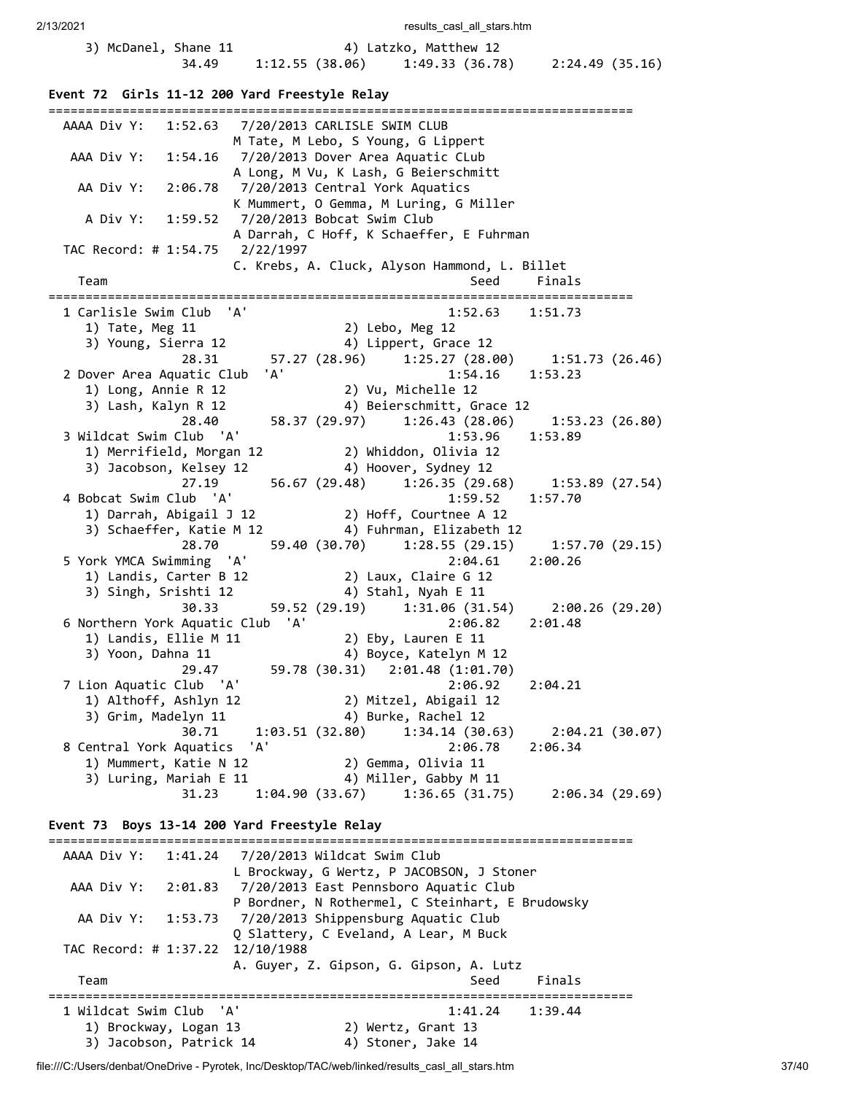```
2/13/2021 results casl all stars.htm
     3) McDanel, Shane 11 4) Latzko, Matthew 12
                 34.49 1:12.55 (38.06) 1:49.33 (36.78) 2:24.49 (35.16)
 Event 72 Girls 11-12 200 Yard Freestyle Relay
 ===============================================================================
   AAAA Div Y: 1:52.63 7/20/2013 CARLISLE SWIM CLUB 
                      M Tate, M Lebo, S Young, G Lippert 
    AAA Div Y: 1:54.16 7/20/2013 Dover Area Aquatic CLub 
                      A Long, M Vu, K Lash, G Beierschmitt 
     AA Div Y: 2:06.78 7/20/2013 Central York Aquatics 
                      K Mummert, O Gemma, M Luring, G Miller 
      A Div Y: 1:59.52 7/20/2013 Bobcat Swim Club 
                      A Darrah, C Hoff, K Schaeffer, E Fuhrman 
   TAC Record: # 1:54.75 2/22/1997 
                      C. Krebs, A. Cluck, Alyson Hammond, L. Billet 
    Team Seed Finals
 ===============================================================================
  1 Carlisle Swim Club 'A'
  1) Tate, Meg 11 2) Lebo, Meg 12 
 3) Young, Sierra 12         4) Lippert, Grace 12
  28.31 57.27 (28.96) 1:25.27 (28.00) 1:51.73 (26.46)
   2 Dover Area Aquatic Club 'A' 1:54.16 1:53.23 
  1) Long, Annie R 12 2) Vu, Michelle 12 
  3) Lash, Kalyn R 12 4) Beierschmitt, Grace 12 
  28.40 58.37 (29.97) 1:26.43 (28.06) 1:53.23 (26.80)
  3 Wildcat Swim Club 'A' 1:53.96 1:53.89 
  1) Merrifield, Morgan 12 2) Whiddon, Olivia 12 
 3) Jacobson, Kelsey 12        4) Hoover, Sydney 12
                27.19 56.67 (29.48) 1:26.35 (29.68) 1:53.89 (27.54)
   4 Bobcat Swim Club 'A' 1:59.52 1:57.70 
  1) Darrah, Abigail J 12 2) Hoff, Courtnee A 12 
  3) Schaeffer, Katie M 12 4) Fuhrman, Elizabeth 12 
                 28.70 59.40 (30.70) 1:28.55 (29.15) 1:57.70 (29.15)
   5 York YMCA Swimming 'A' 2:04.61 2:00.26 
  1) Landis, Carter B 12 2) Laux, Claire G 12 
  3) Singh, Srishti 12 4) Stahl, Nyah E 11 
     3) Singh, Srishti 12 <br>30.33 59.52 (29.19) 1:31.06 (31.54) 2:00.26 (29.20)
  6 Northern York Aquatic Club 'A' 2:06.82 2:01.48 
  1) Landis, Ellie M 11 2) Eby, Lauren E 11 
 3) Yoon, Dahna 11                          4) Boyce, Katelyn M 12
               1a 11 (4) Boyce, Natelyn n 12<br>29.47 59.78 (30.31) 2:01.48 (1:01.70)
  7 Lion Aquatic Club 'A' 2:06.92 2:04.21
      1) Althoff, Ashlyn 12 2) Mitzel, Abigail 12 
     3) Grim, Madelyn 11 4) Burke, Rachel 12
                30.71 1:03.51 (32.80) 1:34.14 (30.63) 2:04.21 (30.07)
   8 Central York Aquatics 'A' 2:06.78 2:06.34 
  1) Mummert, Katie N 12 2) Gemma, Olivia 11 
 3) Luring, Mariah E 11        4) Miller, Gabby M 11
                 31.23 1:04.90 (33.67) 1:36.65 (31.75) 2:06.34 (29.69)
 Event 73 Boys 13-14 200 Yard Freestyle Relay
 ===============================================================================
   AAAA Div Y: 1:41.24 7/20/2013 Wildcat Swim Club 
                      L Brockway, G Wertz, P JACOBSON, J Stoner 
    AAA Div Y: 2:01.83 7/20/2013 East Pennsboro Aquatic Club 
                      P Bordner, N Rothermel, C Steinhart, E Brudowsky 
     AA Div Y: 1:53.73 7/20/2013 Shippensburg Aquatic Club 
                      Q Slattery, C Eveland, A Lear, M Buck 
   TAC Record: # 1:37.22 12/10/1988 
                      A. Guyer, Z. Gipson, G. Gipson, A. Lutz 
    Team Seed Finals
 ===============================================================================
  1 Wildcat Swim Club 'A' 1:41.24 1:39.44 
  1) Brockway, Logan 13 2) Wertz, Grant 13 
 3) Jacobson, Patrick 14 \hskip1cm 4) Stoner, Jake 14
```
file:///C:/Users/denbat/OneDrive - Pyrotek, Inc/Desktop/TAC/web/linked/results\_casl\_all\_stars.htm 37/40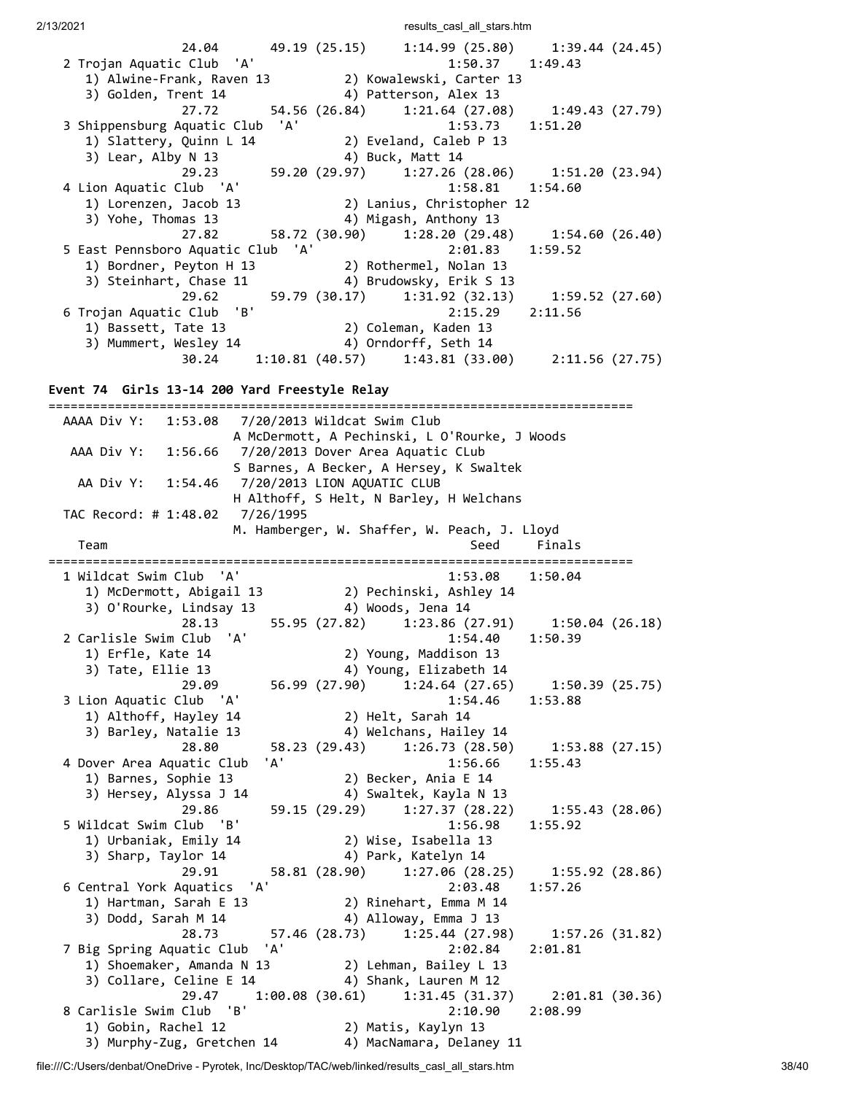2/13/2021 2002 **results** casl all stars.htm

24.04 49.19 (25.15) 1:14.99 (25.80) 1:39.44 (24.45)<br>2 Trojan Aquatic Club 'A' 1:50.37 1:49.43 2 Trojan Aquatic Club 'A' 1:50.37 1:49.43 1) Alwine-Frank, Raven 13 2) Kowalewski, Carter 13 3) Golden, Trent 14  $\hskip1cm$  4) Patterson, Alex 13  $27.72$  54.56 (26.84) 1:21.64 (27.08) 1:49.43 (27.79) 3 Shippensburg Aquatic Club 'A' 1:53.73 1:51.20 1) Slattery, Quinn L 14 2) Eveland, Caleb P 13 3) Lear, Alby N 13 4) Buck, Matt 14 29.23 59.20 (29.97) 1:27.26 (28.06) 1:51.20 (23.94) 4 Lion Aquatic Club 'A' 1:58.81 1:54.60 1) Lorenzen, Jacob 13 2) Lanius, Christopher 12 3) Yohe, Thomas 13 4) Migash, Anthony 13 27.82 58.72 (30.90) 1:28.20 (29.48) 1:54.60 (26.40) 5 East Pennsboro Aquatic Club 'A' 2:01.83 1:59.52 1) Bordner, Peyton H 13 2) Rothermel, Nolan 13 3) Steinhart, Chase 11 4) Brudowsky, Erik S 13 29.62 59.79 (30.17) 1:31.92 (32.13) 1:59.52 (27.60)<br>6 Trojan Aquatic Club 'B' 2:15.29 2:11.56 6 Trojan Aquatic Club 'B' 2:15.29 2:11.56 1) Bassett, Tate 13 2) Coleman, Kaden 13 3) Mummert, Wesley 14 4) Orndorff, Seth 14 30.24 1:10.81 (40.57) 1:43.81 (33.00) 2:11.56 (27.75)

**Event 74 Girls 13-14 200 Yard Freestyle Relay**

=============================================================================== AAAA Div Y: 1:53.08 7/20/2013 Wildcat Swim Club A McDermott, A Pechinski, L O'Rourke, J Woods AAA Div Y: 1:56.66 7/20/2013 Dover Area Aquatic CLub S Barnes, A Becker, A Hersey, K Swaltek AA Div Y: 1:54.46 7/20/2013 LION AQUATIC CLUB H Althoff, S Helt, N Barley, H Welchans TAC Record: # 1:48.02 7/26/1995 M. Hamberger, W. Shaffer, W. Peach, J. Lloyd Team Seed Finals =============================================================================== 1 Wildcat Swim Club 'A' 1:53.08 1:50.04 1) McDermott, Abigail 13 2) Pechinski, Ashley 14 3) O'Rourke, Lindsay 13 4) Woods, Jena 14 28.13 55.95 (27.82) 1:23.86 (27.91) 1:50.04 (26.18) 2 Carlisle Swim Club 'A' 1:54.40 1:50.39 1) Erfle, Kate 14 2) Young, Maddison 13 3) Tate, Ellie 13 4) Young, Elizabeth 14 29.09 56.99 (27.90) 1:24.64 (27.65) 1:50.39 (25.75)<br>Club 'A' 1:54.46 1:53.88 3 Lion Aquatic Club 'A' 1) Althoff, Hayley 14 2) Helt, Sarah 14 3) Barley, Natalie 13 4) Welchans, Hailey 14 28.80 58.23 (29.43) 1:26.73 (28.50) 1:53.88 (27.15) 4 Dover Area Aquatic Club 'A' 1:56.66 1:55.43 1) Barnes, Sophie 13 2) Becker, Ania E 14 3) Hersey, Alyssa J 14 4) Swaltek, Kayla N 13 29.86 59.15 (29.29) 1:27.37 (28.22) 1:55.43 (28.06) 5 Wildcat Swim Club 'B' 1:56.98 1:55.92 1) Urbaniak, Emily 14 2) Wise, Isabella 13<br>3) Sharp, Taylor 14 4) Park, Katelyn 14 3) Sharp, Taylor 14 4) Park, Katelyn 14 29.91 58.81 (28.90) 1:27.06 (28.25) 1:55.92 (28.86) 6 Central York Aquatics 'A' 2:03.48 1:57.26 1) Hartman, Sarah E 13 2) Rinehart, Emma M 14 3) Dodd, Sarah M 14 4) Alloway, Emma J 13 28.73 57.46 (28.73) 1:25.44 (27.98) 1:57.26 (31.82) 7 Big Spring Aquatic Club 'A' 2:02.84 2:01.81 1) Shoemaker, Amanda N 13 2) Lehman, Bailey L 13 3) Collare, Celine E 14 4) Shank, Lauren M 12 29.47 1:00.08 (30.61) 1:31.45 (31.37) 2:01.81 (30.36) 8 Carlisle Swim Club 'B' 2:10.90 2:08.99 1) Gobin, Rachel 12 2) Matis, Kaylyn 13 3) Murphy-Zug, Gretchen 14 4) MacNamara, Delaney 11

file:///C:/Users/denbat/OneDrive - Pyrotek, Inc/Desktop/TAC/web/linked/results\_casl\_all\_stars.htm 38/40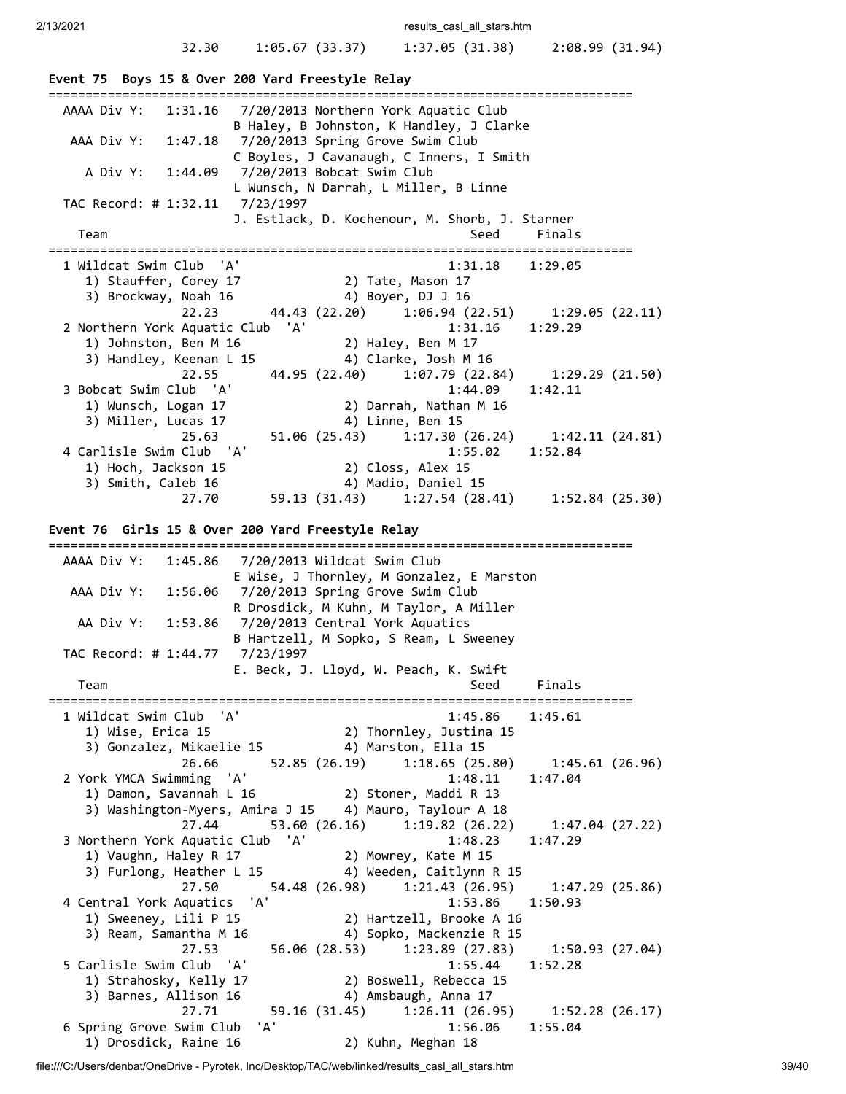# 32.30 1:05.67 (33.37) 1:37.05 (31.38) 2:08.99 (31.94)

| Event 75 Boys 15 & Over 200 Yard Freestyle Relay                                                                                                                                                                              |                            |
|-------------------------------------------------------------------------------------------------------------------------------------------------------------------------------------------------------------------------------|----------------------------|
| AAAA Div Y:<br>7/20/2013 Northern York Aquatic Club<br>1:31.16<br>B Haley, B Johnston, K Handley, J Clarke<br>AAA Div Y:<br>7/20/2013 Spring Grove Swim Club<br>1:47.18<br>C Boyles, J Cavanaugh, C Inners, I Smith           |                            |
| A Div Y:<br>7/20/2013 Bobcat Swim Club<br>1:44.09<br>L Wunsch, N Darrah, L Miller, B Linne                                                                                                                                    |                            |
| TAC Record: # 1:32.11 7/23/1997<br>J. Estlack, D. Kochenour, M. Shorb, J. Starner                                                                                                                                             |                            |
| Seed<br>Team                                                                                                                                                                                                                  | Finals                     |
| 1 Wildcat Swim Club  'A'<br>1:31.18<br>2) Tate, Mason 17<br>1) Stauffer, Corey 17<br>3) Brockway, Noah 16<br>4) Boyer, DJ J 16<br>22.23<br>44.43 (22.20) 1:06.94 (22.51)                                                      | 1:29.05<br>1:29.05 (22.11) |
| 2 Northern York Aquatic Club 'A'<br>1:31.16<br>2) Haley, Ben M 17<br>1) Johnston, Ben M 16<br>3) Handley, Keenan L 15<br>4) Clarke, Josh M 16                                                                                 | 1:29.29                    |
| 44.95 (22.40)<br>1:07.79(22.84)<br>22.55<br>1:44.09<br>3 Bobcat Swim Club 'A'<br>1) Wunsch, Logan 17<br>2) Darrah, Nathan M 16<br>3) Miller, Lucas 17<br>4) Linne, Ben 15                                                     | 1:29.29(21.50)<br>1:42.11  |
| 51.06 (25.43) 1:17.30 (26.24)<br>25.63<br>4 Carlisle Swim Club 'A'<br>1:55.02<br>2) Closs, Alex 15<br>1) Hoch, Jackson 15<br>3) Smith, Caleb 16<br>4) Madio, Daniel 15                                                        | 1:42.11(24.81)<br>1:52.84  |
| 59.13 (31.43) 1:27.54 (28.41) 1:52.84 (25.30)<br>27.70                                                                                                                                                                        |                            |
| Event 76 Girls 15 & Over 200 Yard Freestyle Relay                                                                                                                                                                             |                            |
| AAAA Div Y:<br>7/20/2013 Wildcat Swim Club<br>1:45.86                                                                                                                                                                         |                            |
| E Wise, J Thornley, M Gonzalez, E Marston<br>7/20/2013 Spring Grove Swim Club<br>AAA Div Y:<br>1:56.06<br>R Drosdick, M Kuhn, M Taylor, A Miller                                                                              |                            |
| 7/20/2013 Central York Aquatics<br>AA Div Y:<br>1:53.86<br>B Hartzell, M Sopko, S Ream, L Sweeney                                                                                                                             |                            |
| TAC Record: # 1:44.77 7/23/1997<br>E. Beck, J. Lloyd, W. Peach, K. Swift                                                                                                                                                      |                            |
| Team<br>Seed                                                                                                                                                                                                                  | Finals                     |
| 1 Wildcat Swim Club 'A'<br>1) Wise. Erica 15<br>$1:45.86$ $1:45.61$<br>2) Thornley, Justina 15<br>3) Gonzalez, Mikaelie 15 (4) Marston, Ella 15                                                                               |                            |
| 26.66 52.85 (26.19) 1:18.65 (25.80) 1:45.61 (26.96)<br>2 York YMCA Swimming 'A'<br>$1:48.11$ $1:47.04$<br>1:40:11<br>1) Damon, Savannah L 16 (2) Stoner, Maddi R 13<br>3) Washington-Myers, Amira J 15 4) Mauro, Taylour A 18 |                            |
| 53.60 (26.16) 1:19.82 (26.22) 1:47.04 (27.22)<br>27.44<br>3 Northern York Aquatic Club 'A'<br>$1:48.23$ $1:47.29$<br>2) Mowrey, Kate M 15<br>1) Vaughn, Haley R 17<br>3) Furlong, Heather L 15 4) Weeden, Caitlynn R 15       |                            |
| 27.50<br>4 Central York Aquatics 'A'<br>1:53.86 1:50.93<br>1) Sweeney, Lili P 15<br>2) Hartzell, Brooke A 16<br>4) Sopko, Mackenzie R 15<br>3) Ream, Samantha M 16                                                            |                            |
| 27.53<br>56.06 (28.53) 1:23.89 (27.83)<br>1:55.44<br>5 Carlisle Swim Club 'A'<br>2) Boswell, Rebecca 15<br>1) Strahosky, Kelly 17<br>3) Barnes, Allison 16<br>4) Amsbaugh, Anna 17                                            | 1:50.93 (27.04)<br>1:52.28 |
| 27.71<br>6 Spring Grove Swim Club 'A'<br>1:56.06 1:55.04<br>1) Drosdick, Raine 16<br>2) Kuhn, Meghan 18                                                                                                                       |                            |

file:///C:/Users/denbat/OneDrive - Pyrotek, Inc/Desktop/TAC/web/linked/results\_casl\_all\_stars.htm 39/40